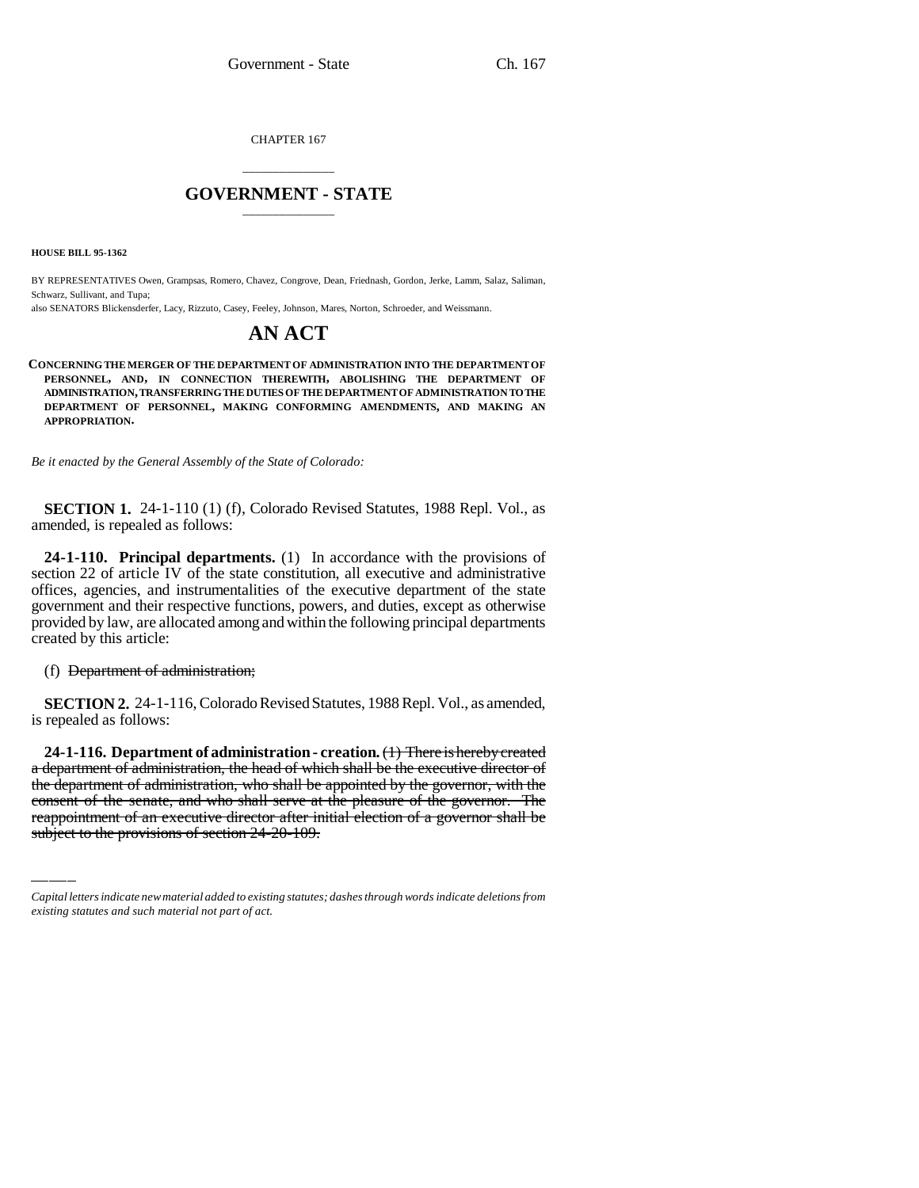CHAPTER 167

# \_\_\_\_\_\_\_\_\_\_\_\_\_\_\_ **GOVERNMENT - STATE** \_\_\_\_\_\_\_\_\_\_\_\_\_\_\_

**HOUSE BILL 95-1362**

BY REPRESENTATIVES Owen, Grampsas, Romero, Chavez, Congrove, Dean, Friednash, Gordon, Jerke, Lamm, Salaz, Saliman, Schwarz, Sullivant, and Tupa;

also SENATORS Blickensderfer, Lacy, Rizzuto, Casey, Feeley, Johnson, Mares, Norton, Schroeder, and Weissmann.

# **AN ACT**

**CONCERNING THE MERGER OF THE DEPARTMENT OF ADMINISTRATION INTO THE DEPARTMENT OF PERSONNEL, AND, IN CONNECTION THEREWITH, ABOLISHING THE DEPARTMENT OF ADMINISTRATION, TRANSFERRING THE DUTIES OF THE DEPARTMENT OF ADMINISTRATION TO THE DEPARTMENT OF PERSONNEL, MAKING CONFORMING AMENDMENTS, AND MAKING AN APPROPRIATION.**

*Be it enacted by the General Assembly of the State of Colorado:*

**SECTION 1.** 24-1-110 (1) (f), Colorado Revised Statutes, 1988 Repl. Vol., as amended, is repealed as follows:

**24-1-110. Principal departments.** (1) In accordance with the provisions of section 22 of article IV of the state constitution, all executive and administrative offices, agencies, and instrumentalities of the executive department of the state government and their respective functions, powers, and duties, except as otherwise provided by law, are allocated among and within the following principal departments created by this article:

(f) Department of administration;

**SECTION 2.** 24-1-116, Colorado Revised Statutes, 1988 Repl. Vol., as amended, is repealed as follows:

a department of administration, the head of which shall be the executive director of **24-1-116. Department of administration - creation.** (1) There is hereby created the department of administration, who shall be appointed by the governor, with the consent of the senate, and who shall serve at the pleasure of the governor. The reappointment of an executive director after initial election of a governor shall be subject to the provisions of section 24-20-109.

*Capital letters indicate new material added to existing statutes; dashes through words indicate deletions from existing statutes and such material not part of act.*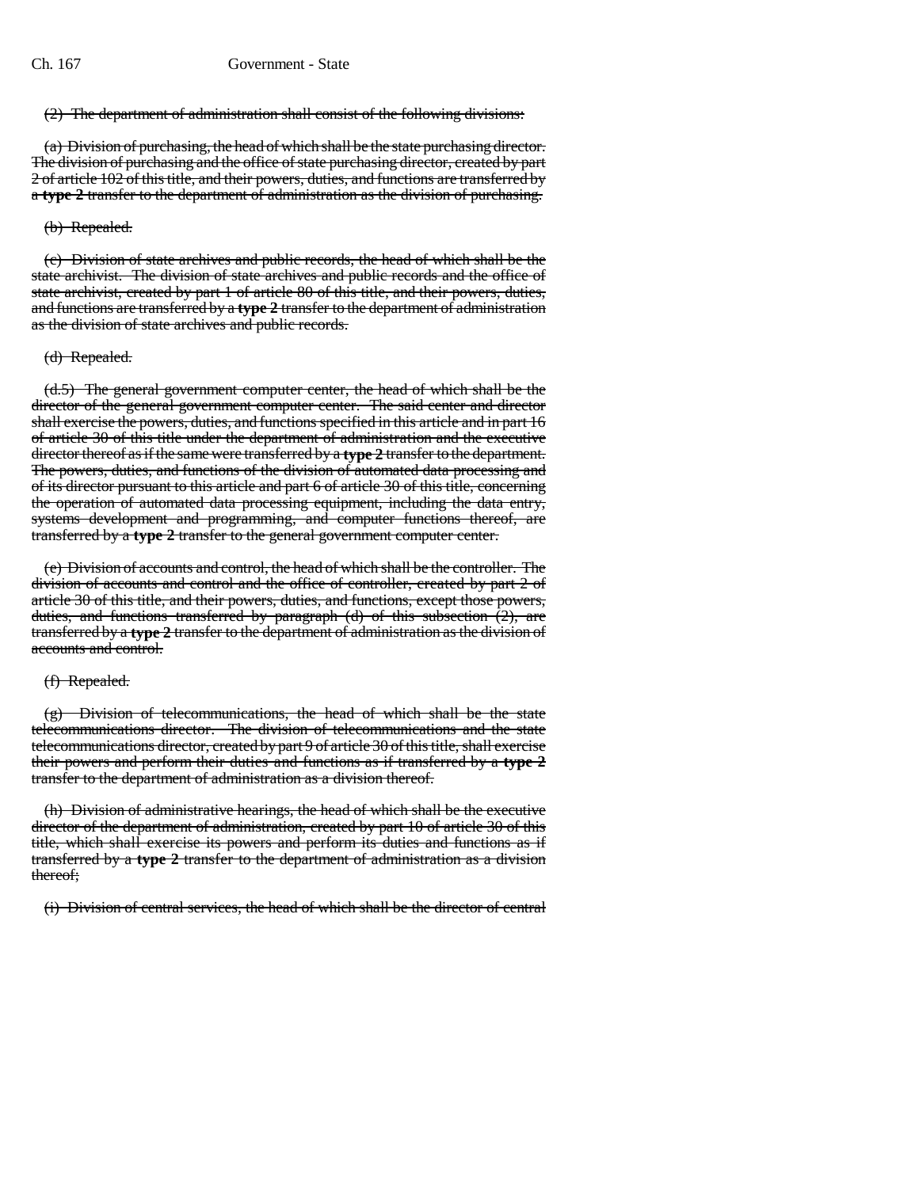### (2) The department of administration shall consist of the following divisions:

(a) Division of purchasing, the head of which shall be the state purchasing director. The division of purchasing and the office of state purchasing director, created by part 2 of article 102 of this title, and their powers, duties, and functions are transferred by a **type 2** transfer to the department of administration as the division of purchasing.

### (b) Repealed.

(c) Division of state archives and public records, the head of which shall be the state archivist. The division of state archives and public records and the office of state archivist, created by part 1 of article 80 of this title, and their powers, duties, and functions are transferred by a **type 2** transfer to the department of administration as the division of state archives and public records.

### (d) Repealed.

(d.5) The general government computer center, the head of which shall be the director of the general government computer center. The said center and director shall exercise the powers, duties, and functions specified in this article and in part 16 of article 30 of this title under the department of administration and the executive director thereof as if the same were transferred by a **type 2** transfer to the department. The powers, duties, and functions of the division of automated data processing and of its director pursuant to this article and part 6 of article 30 of this title, concerning the operation of automated data processing equipment, including the data entry, systems development and programming, and computer functions thereof, are transferred by a **type 2** transfer to the general government computer center.

(e) Division of accounts and control, the head of which shall be the controller. The division of accounts and control and the office of controller, created by part 2 of article 30 of this title, and their powers, duties, and functions, except those powers, duties, and functions transferred by paragraph (d) of this subsection (2), are transferred by a **type 2** transfer to the department of administration as the division of accounts and control.

### (f) Repealed.

(g) Division of telecommunications, the head of which shall be the state telecommunications director. The division of telecommunications and the state telecommunications director, created by part 9 of article 30 of this title, shall exercise their powers and perform their duties and functions as if transferred by a **type 2** transfer to the department of administration as a division thereof.

(h) Division of administrative hearings, the head of which shall be the executive director of the department of administration, created by part 10 of article 30 of this title, which shall exercise its powers and perform its duties and functions as if transferred by a **type 2** transfer to the department of administration as a division thereof;

(i) Division of central services, the head of which shall be the director of central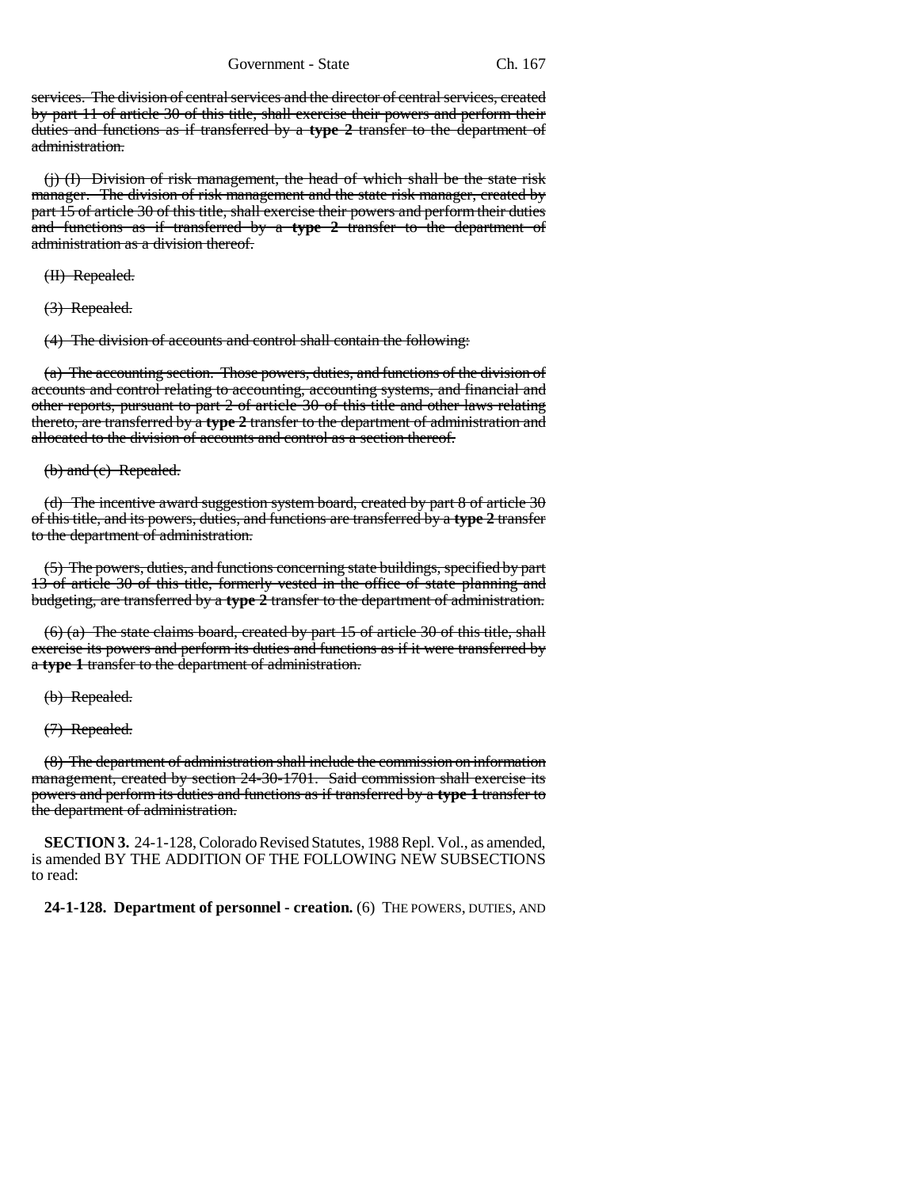services. The division of central services and the director of central services, created by part 11 of article 30 of this title, shall exercise their powers and perform their duties and functions as if transferred by a **type 2** transfer to the department of administration.

(j) (I) Division of risk management, the head of which shall be the state risk manager. The division of risk management and the state risk manager, created by part 15 of article 30 of this title, shall exercise their powers and perform their duties and functions as if transferred by a **type 2** transfer to the department of administration as a division thereof.

(II) Repealed.

(3) Repealed.

(4) The division of accounts and control shall contain the following:

(a) The accounting section. Those powers, duties, and functions of the division of accounts and control relating to accounting, accounting systems, and financial and other reports, pursuant to part 2 of article 30 of this title and other laws relating thereto, are transferred by a **type 2** transfer to the department of administration and allocated to the division of accounts and control as a section thereof.

(b) and (c) Repealed.

(d) The incentive award suggestion system board, created by part 8 of article 30 of this title, and its powers, duties, and functions are transferred by a **type 2** transfer to the department of administration.

(5) The powers, duties, and functions concerning state buildings, specified by part 13 of article 30 of this title, formerly vested in the office of state planning and budgeting, are transferred by a **type 2** transfer to the department of administration.

(6) (a) The state claims board, created by part 15 of article 30 of this title, shall exercise its powers and perform its duties and functions as if it were transferred by a **type 1** transfer to the department of administration.

(b) Repealed.

(7) Repealed.

(8) The department of administration shall include the commission on information management, created by section 24-30-1701. Said commission shall exercise its powers and perform its duties and functions as if transferred by a **type 1** transfer to the department of administration.

**SECTION 3.** 24-1-128, Colorado Revised Statutes, 1988 Repl. Vol., as amended, is amended BY THE ADDITION OF THE FOLLOWING NEW SUBSECTIONS to read:

**24-1-128. Department of personnel - creation.** (6) THE POWERS, DUTIES, AND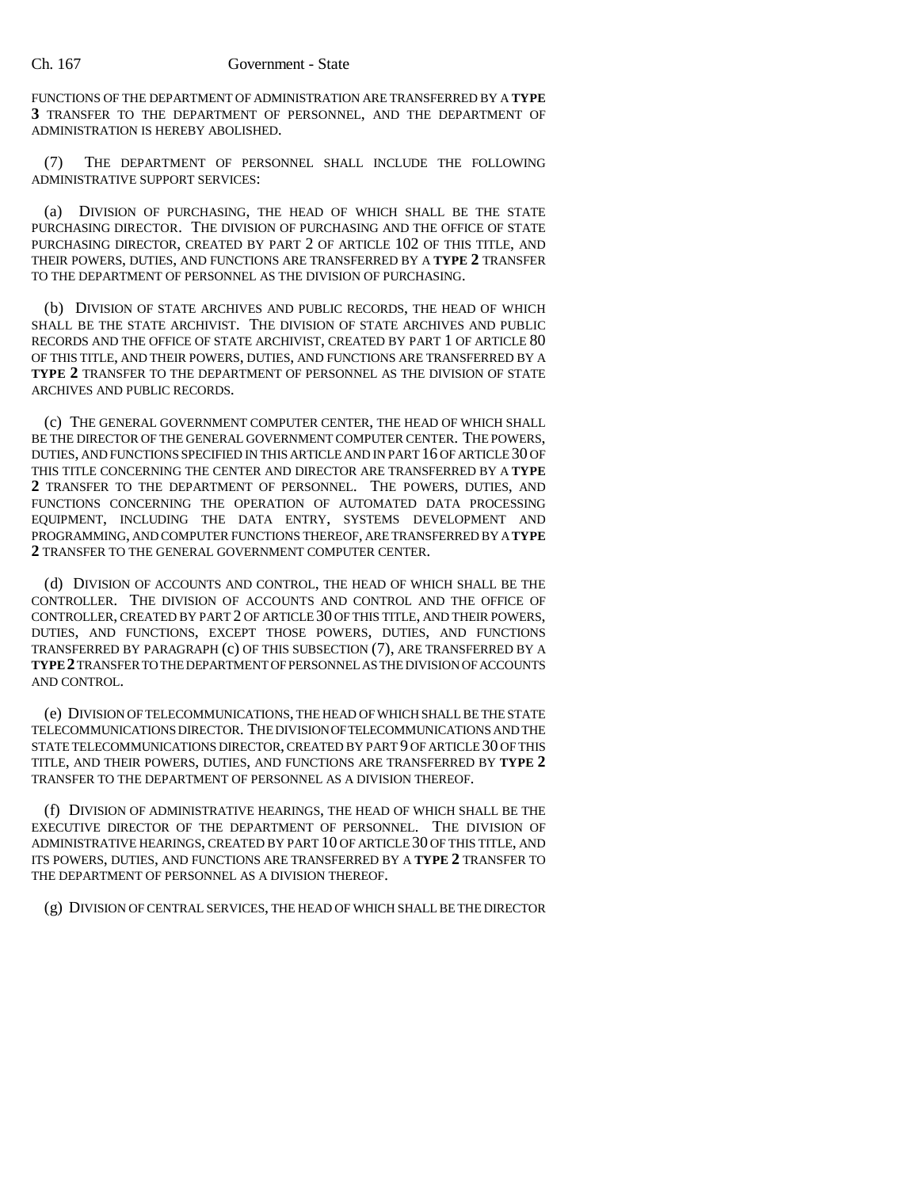FUNCTIONS OF THE DEPARTMENT OF ADMINISTRATION ARE TRANSFERRED BY A **TYPE 3** TRANSFER TO THE DEPARTMENT OF PERSONNEL, AND THE DEPARTMENT OF ADMINISTRATION IS HEREBY ABOLISHED.

(7) THE DEPARTMENT OF PERSONNEL SHALL INCLUDE THE FOLLOWING ADMINISTRATIVE SUPPORT SERVICES:

(a) DIVISION OF PURCHASING, THE HEAD OF WHICH SHALL BE THE STATE PURCHASING DIRECTOR. THE DIVISION OF PURCHASING AND THE OFFICE OF STATE PURCHASING DIRECTOR, CREATED BY PART 2 OF ARTICLE 102 OF THIS TITLE, AND THEIR POWERS, DUTIES, AND FUNCTIONS ARE TRANSFERRED BY A **TYPE 2** TRANSFER TO THE DEPARTMENT OF PERSONNEL AS THE DIVISION OF PURCHASING.

(b) DIVISION OF STATE ARCHIVES AND PUBLIC RECORDS, THE HEAD OF WHICH SHALL BE THE STATE ARCHIVIST. THE DIVISION OF STATE ARCHIVES AND PUBLIC RECORDS AND THE OFFICE OF STATE ARCHIVIST, CREATED BY PART 1 OF ARTICLE 80 OF THIS TITLE, AND THEIR POWERS, DUTIES, AND FUNCTIONS ARE TRANSFERRED BY A **TYPE 2** TRANSFER TO THE DEPARTMENT OF PERSONNEL AS THE DIVISION OF STATE ARCHIVES AND PUBLIC RECORDS.

(c) THE GENERAL GOVERNMENT COMPUTER CENTER, THE HEAD OF WHICH SHALL BE THE DIRECTOR OF THE GENERAL GOVERNMENT COMPUTER CENTER. THE POWERS, DUTIES, AND FUNCTIONS SPECIFIED IN THIS ARTICLE AND IN PART 16 OF ARTICLE 30 OF THIS TITLE CONCERNING THE CENTER AND DIRECTOR ARE TRANSFERRED BY A **TYPE 2** TRANSFER TO THE DEPARTMENT OF PERSONNEL. THE POWERS, DUTIES, AND FUNCTIONS CONCERNING THE OPERATION OF AUTOMATED DATA PROCESSING EQUIPMENT, INCLUDING THE DATA ENTRY, SYSTEMS DEVELOPMENT AND PROGRAMMING, AND COMPUTER FUNCTIONS THEREOF, ARE TRANSFERRED BY A **TYPE 2** TRANSFER TO THE GENERAL GOVERNMENT COMPUTER CENTER.

(d) DIVISION OF ACCOUNTS AND CONTROL, THE HEAD OF WHICH SHALL BE THE CONTROLLER. THE DIVISION OF ACCOUNTS AND CONTROL AND THE OFFICE OF CONTROLLER, CREATED BY PART 2 OF ARTICLE 30 OF THIS TITLE, AND THEIR POWERS, DUTIES, AND FUNCTIONS, EXCEPT THOSE POWERS, DUTIES, AND FUNCTIONS TRANSFERRED BY PARAGRAPH (c) OF THIS SUBSECTION (7), ARE TRANSFERRED BY A **TYPE 2**TRANSFER TO THE DEPARTMENT OF PERSONNEL AS THE DIVISION OF ACCOUNTS AND CONTROL.

(e) DIVISION OF TELECOMMUNICATIONS, THE HEAD OF WHICH SHALL BE THE STATE TELECOMMUNICATIONS DIRECTOR. THE DIVISION OF TELECOMMUNICATIONS AND THE STATE TELECOMMUNICATIONS DIRECTOR, CREATED BY PART 9 OF ARTICLE 30 OF THIS TITLE, AND THEIR POWERS, DUTIES, AND FUNCTIONS ARE TRANSFERRED BY **TYPE 2** TRANSFER TO THE DEPARTMENT OF PERSONNEL AS A DIVISION THEREOF.

(f) DIVISION OF ADMINISTRATIVE HEARINGS, THE HEAD OF WHICH SHALL BE THE EXECUTIVE DIRECTOR OF THE DEPARTMENT OF PERSONNEL. THE DIVISION OF ADMINISTRATIVE HEARINGS, CREATED BY PART 10 OF ARTICLE 30 OF THIS TITLE, AND ITS POWERS, DUTIES, AND FUNCTIONS ARE TRANSFERRED BY A **TYPE 2** TRANSFER TO THE DEPARTMENT OF PERSONNEL AS A DIVISION THEREOF.

(g) DIVISION OF CENTRAL SERVICES, THE HEAD OF WHICH SHALL BE THE DIRECTOR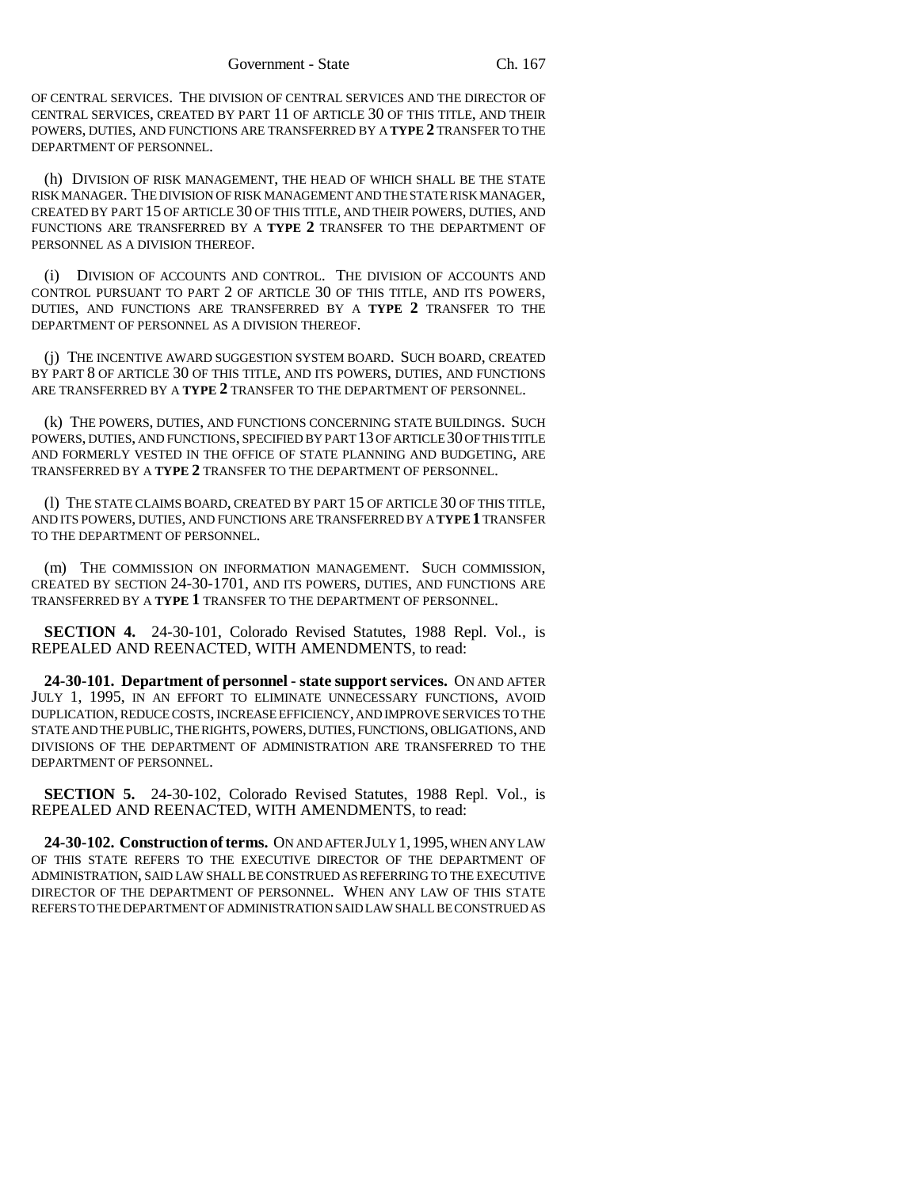OF CENTRAL SERVICES. THE DIVISION OF CENTRAL SERVICES AND THE DIRECTOR OF CENTRAL SERVICES, CREATED BY PART 11 OF ARTICLE 30 OF THIS TITLE, AND THEIR POWERS, DUTIES, AND FUNCTIONS ARE TRANSFERRED BY A **TYPE 2** TRANSFER TO THE DEPARTMENT OF PERSONNEL.

(h) DIVISION OF RISK MANAGEMENT, THE HEAD OF WHICH SHALL BE THE STATE RISK MANAGER. THE DIVISION OF RISK MANAGEMENT AND THE STATE RISK MANAGER, CREATED BY PART 15 OF ARTICLE 30 OF THIS TITLE, AND THEIR POWERS, DUTIES, AND FUNCTIONS ARE TRANSFERRED BY A **TYPE 2** TRANSFER TO THE DEPARTMENT OF PERSONNEL AS A DIVISION THEREOF.

(i) DIVISION OF ACCOUNTS AND CONTROL. THE DIVISION OF ACCOUNTS AND CONTROL PURSUANT TO PART 2 OF ARTICLE 30 OF THIS TITLE, AND ITS POWERS, DUTIES, AND FUNCTIONS ARE TRANSFERRED BY A **TYPE 2** TRANSFER TO THE DEPARTMENT OF PERSONNEL AS A DIVISION THEREOF.

(j) THE INCENTIVE AWARD SUGGESTION SYSTEM BOARD. SUCH BOARD, CREATED BY PART 8 OF ARTICLE 30 OF THIS TITLE, AND ITS POWERS, DUTIES, AND FUNCTIONS ARE TRANSFERRED BY A **TYPE 2** TRANSFER TO THE DEPARTMENT OF PERSONNEL.

(k) THE POWERS, DUTIES, AND FUNCTIONS CONCERNING STATE BUILDINGS. SUCH POWERS, DUTIES, AND FUNCTIONS, SPECIFIED BY PART 13 OF ARTICLE 30 OF THIS TITLE AND FORMERLY VESTED IN THE OFFICE OF STATE PLANNING AND BUDGETING, ARE TRANSFERRED BY A **TYPE 2** TRANSFER TO THE DEPARTMENT OF PERSONNEL.

(l) THE STATE CLAIMS BOARD, CREATED BY PART 15 OF ARTICLE 30 OF THIS TITLE, AND ITS POWERS, DUTIES, AND FUNCTIONS ARE TRANSFERRED BY A **TYPE 1** TRANSFER TO THE DEPARTMENT OF PERSONNEL.

(m) THE COMMISSION ON INFORMATION MANAGEMENT. SUCH COMMISSION, CREATED BY SECTION 24-30-1701, AND ITS POWERS, DUTIES, AND FUNCTIONS ARE TRANSFERRED BY A **TYPE 1** TRANSFER TO THE DEPARTMENT OF PERSONNEL.

**SECTION 4.** 24-30-101, Colorado Revised Statutes, 1988 Repl. Vol., is REPEALED AND REENACTED, WITH AMENDMENTS, to read:

**24-30-101. Department of personnel - state support services.** ON AND AFTER JULY 1, 1995, IN AN EFFORT TO ELIMINATE UNNECESSARY FUNCTIONS, AVOID DUPLICATION, REDUCE COSTS, INCREASE EFFICIENCY, AND IMPROVE SERVICES TO THE STATE AND THE PUBLIC, THE RIGHTS, POWERS, DUTIES, FUNCTIONS, OBLIGATIONS, AND DIVISIONS OF THE DEPARTMENT OF ADMINISTRATION ARE TRANSFERRED TO THE DEPARTMENT OF PERSONNEL.

**SECTION 5.** 24-30-102, Colorado Revised Statutes, 1988 Repl. Vol., is REPEALED AND REENACTED, WITH AMENDMENTS, to read:

**24-30-102. Construction of terms.** ON AND AFTER JULY 1,1995, WHEN ANY LAW OF THIS STATE REFERS TO THE EXECUTIVE DIRECTOR OF THE DEPARTMENT OF ADMINISTRATION, SAID LAW SHALL BE CONSTRUED AS REFERRING TO THE EXECUTIVE DIRECTOR OF THE DEPARTMENT OF PERSONNEL. WHEN ANY LAW OF THIS STATE REFERS TO THE DEPARTMENT OF ADMINISTRATION SAID LAW SHALL BE CONSTRUED AS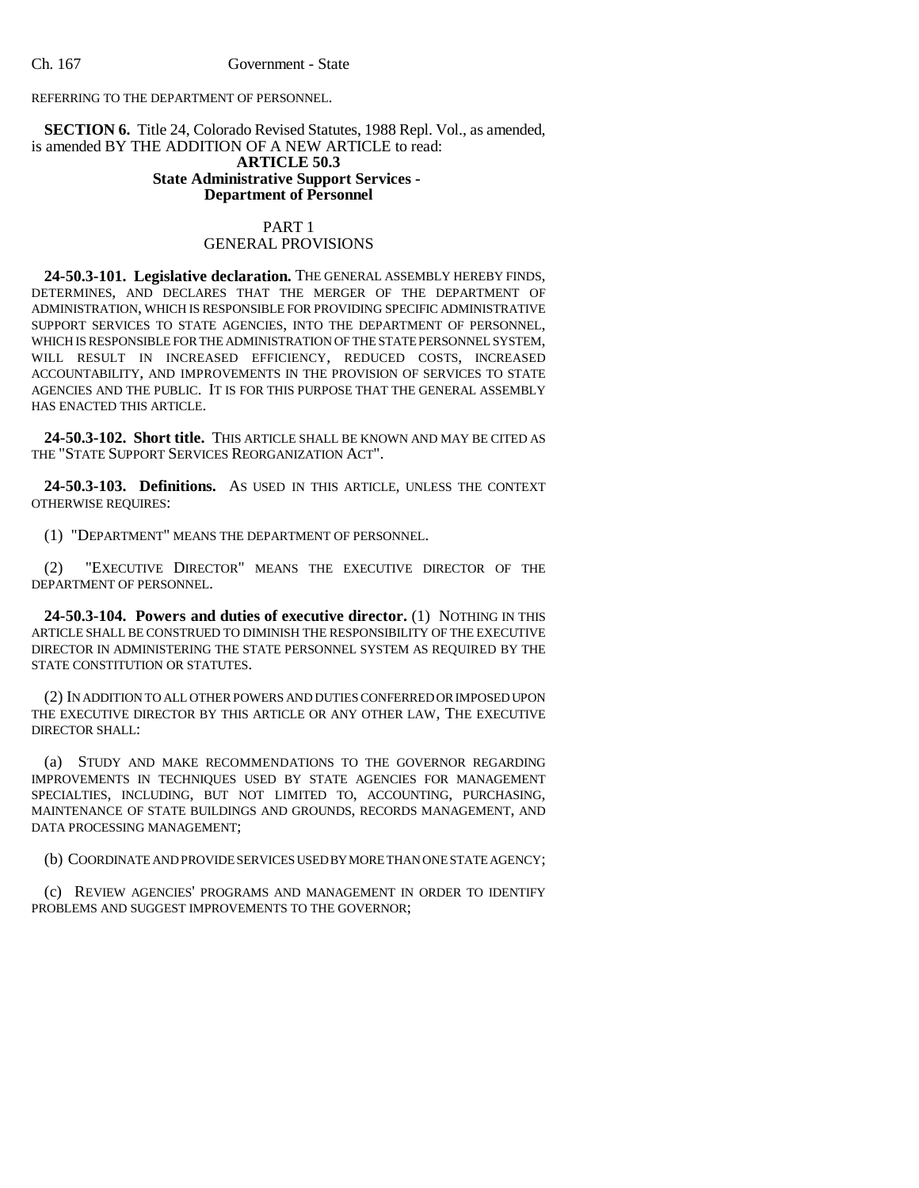REFERRING TO THE DEPARTMENT OF PERSONNEL.

**SECTION 6.** Title 24, Colorado Revised Statutes, 1988 Repl. Vol., as amended, is amended BY THE ADDITION OF A NEW ARTICLE to read: **ARTICLE 50.3 State Administrative Support Services - Department of Personnel**

# PART 1 GENERAL PROVISIONS

**24-50.3-101. Legislative declaration.** THE GENERAL ASSEMBLY HEREBY FINDS, DETERMINES, AND DECLARES THAT THE MERGER OF THE DEPARTMENT OF ADMINISTRATION, WHICH IS RESPONSIBLE FOR PROVIDING SPECIFIC ADMINISTRATIVE SUPPORT SERVICES TO STATE AGENCIES, INTO THE DEPARTMENT OF PERSONNEL, WHICH IS RESPONSIBLE FOR THE ADMINISTRATION OF THE STATE PERSONNEL SYSTEM, WILL RESULT IN INCREASED EFFICIENCY, REDUCED COSTS, INCREASED ACCOUNTABILITY, AND IMPROVEMENTS IN THE PROVISION OF SERVICES TO STATE AGENCIES AND THE PUBLIC. IT IS FOR THIS PURPOSE THAT THE GENERAL ASSEMBLY HAS ENACTED THIS ARTICLE.

**24-50.3-102. Short title.** THIS ARTICLE SHALL BE KNOWN AND MAY BE CITED AS THE "STATE SUPPORT SERVICES REORGANIZATION ACT".

**24-50.3-103. Definitions.** AS USED IN THIS ARTICLE, UNLESS THE CONTEXT OTHERWISE REQUIRES:

(1) "DEPARTMENT" MEANS THE DEPARTMENT OF PERSONNEL.

(2) "EXECUTIVE DIRECTOR" MEANS THE EXECUTIVE DIRECTOR OF THE DEPARTMENT OF PERSONNEL.

**24-50.3-104. Powers and duties of executive director.** (1) NOTHING IN THIS ARTICLE SHALL BE CONSTRUED TO DIMINISH THE RESPONSIBILITY OF THE EXECUTIVE DIRECTOR IN ADMINISTERING THE STATE PERSONNEL SYSTEM AS REQUIRED BY THE STATE CONSTITUTION OR STATUTES.

(2) IN ADDITION TO ALL OTHER POWERS AND DUTIES CONFERRED OR IMPOSED UPON THE EXECUTIVE DIRECTOR BY THIS ARTICLE OR ANY OTHER LAW, THE EXECUTIVE DIRECTOR SHALL:

(a) STUDY AND MAKE RECOMMENDATIONS TO THE GOVERNOR REGARDING IMPROVEMENTS IN TECHNIQUES USED BY STATE AGENCIES FOR MANAGEMENT SPECIALTIES, INCLUDING, BUT NOT LIMITED TO, ACCOUNTING, PURCHASING, MAINTENANCE OF STATE BUILDINGS AND GROUNDS, RECORDS MANAGEMENT, AND DATA PROCESSING MANAGEMENT;

(b) COORDINATE AND PROVIDE SERVICES USED BY MORE THAN ONE STATE AGENCY;

(c) REVIEW AGENCIES' PROGRAMS AND MANAGEMENT IN ORDER TO IDENTIFY PROBLEMS AND SUGGEST IMPROVEMENTS TO THE GOVERNOR;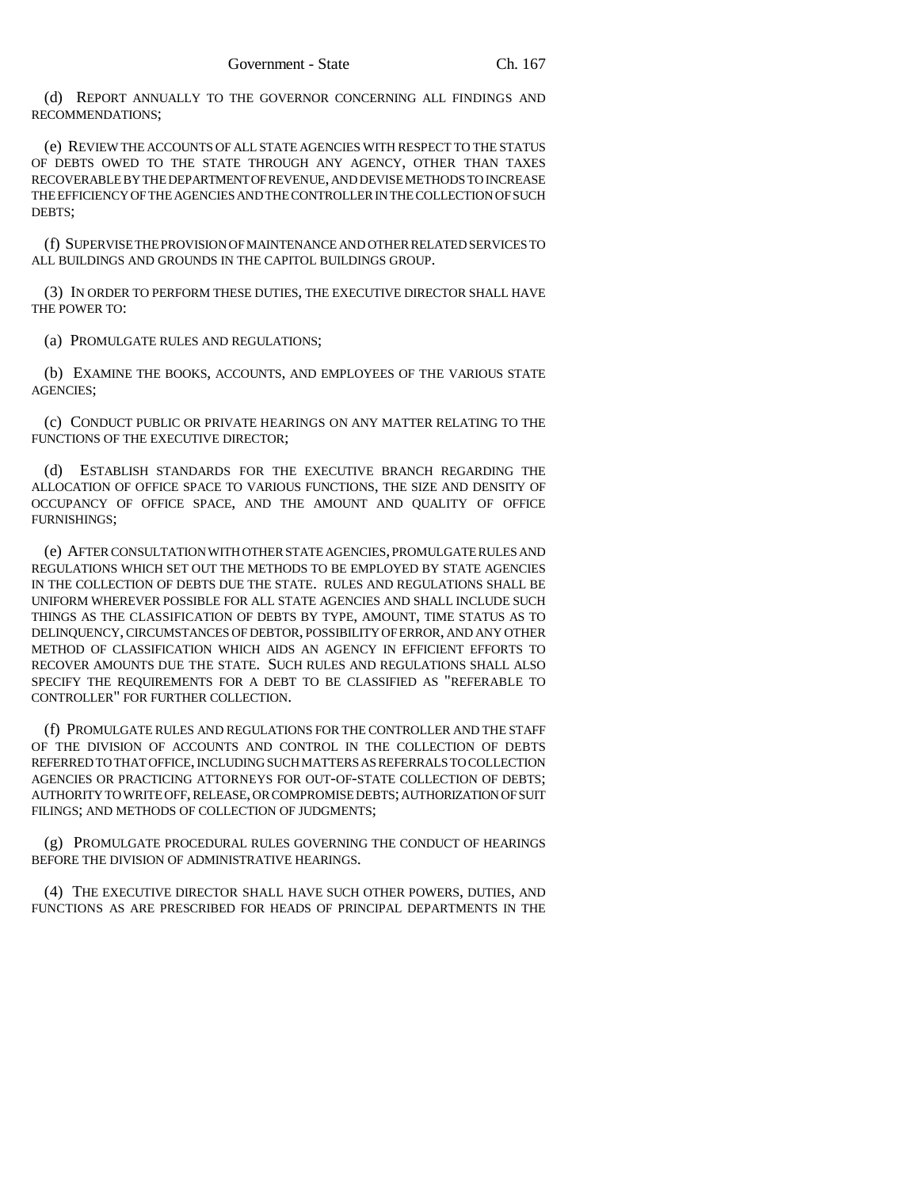(d) REPORT ANNUALLY TO THE GOVERNOR CONCERNING ALL FINDINGS AND RECOMMENDATIONS;

(e) REVIEW THE ACCOUNTS OF ALL STATE AGENCIES WITH RESPECT TO THE STATUS OF DEBTS OWED TO THE STATE THROUGH ANY AGENCY, OTHER THAN TAXES RECOVERABLE BY THE DEPARTMENT OF REVENUE, AND DEVISE METHODS TO INCREASE THE EFFICIENCY OF THE AGENCIES AND THE CONTROLLER IN THE COLLECTION OF SUCH DEBTS;

(f) SUPERVISE THE PROVISION OF MAINTENANCE AND OTHER RELATED SERVICES TO ALL BUILDINGS AND GROUNDS IN THE CAPITOL BUILDINGS GROUP.

(3) IN ORDER TO PERFORM THESE DUTIES, THE EXECUTIVE DIRECTOR SHALL HAVE THE POWER TO:

(a) PROMULGATE RULES AND REGULATIONS;

(b) EXAMINE THE BOOKS, ACCOUNTS, AND EMPLOYEES OF THE VARIOUS STATE AGENCIES;

(c) CONDUCT PUBLIC OR PRIVATE HEARINGS ON ANY MATTER RELATING TO THE FUNCTIONS OF THE EXECUTIVE DIRECTOR;

(d) ESTABLISH STANDARDS FOR THE EXECUTIVE BRANCH REGARDING THE ALLOCATION OF OFFICE SPACE TO VARIOUS FUNCTIONS, THE SIZE AND DENSITY OF OCCUPANCY OF OFFICE SPACE, AND THE AMOUNT AND QUALITY OF OFFICE FURNISHINGS;

(e) AFTER CONSULTATION WITH OTHER STATE AGENCIES, PROMULGATE RULES AND REGULATIONS WHICH SET OUT THE METHODS TO BE EMPLOYED BY STATE AGENCIES IN THE COLLECTION OF DEBTS DUE THE STATE. RULES AND REGULATIONS SHALL BE UNIFORM WHEREVER POSSIBLE FOR ALL STATE AGENCIES AND SHALL INCLUDE SUCH THINGS AS THE CLASSIFICATION OF DEBTS BY TYPE, AMOUNT, TIME STATUS AS TO DELINQUENCY, CIRCUMSTANCES OF DEBTOR, POSSIBILITY OF ERROR, AND ANY OTHER METHOD OF CLASSIFICATION WHICH AIDS AN AGENCY IN EFFICIENT EFFORTS TO RECOVER AMOUNTS DUE THE STATE. SUCH RULES AND REGULATIONS SHALL ALSO SPECIFY THE REQUIREMENTS FOR A DEBT TO BE CLASSIFIED AS "REFERABLE TO CONTROLLER" FOR FURTHER COLLECTION.

(f) PROMULGATE RULES AND REGULATIONS FOR THE CONTROLLER AND THE STAFF OF THE DIVISION OF ACCOUNTS AND CONTROL IN THE COLLECTION OF DEBTS REFERRED TO THAT OFFICE, INCLUDING SUCH MATTERS AS REFERRALS TO COLLECTION AGENCIES OR PRACTICING ATTORNEYS FOR OUT-OF-STATE COLLECTION OF DEBTS; AUTHORITY TO WRITE OFF, RELEASE, OR COMPROMISE DEBTS; AUTHORIZATION OF SUIT FILINGS; AND METHODS OF COLLECTION OF JUDGMENTS;

(g) PROMULGATE PROCEDURAL RULES GOVERNING THE CONDUCT OF HEARINGS BEFORE THE DIVISION OF ADMINISTRATIVE HEARINGS.

(4) THE EXECUTIVE DIRECTOR SHALL HAVE SUCH OTHER POWERS, DUTIES, AND FUNCTIONS AS ARE PRESCRIBED FOR HEADS OF PRINCIPAL DEPARTMENTS IN THE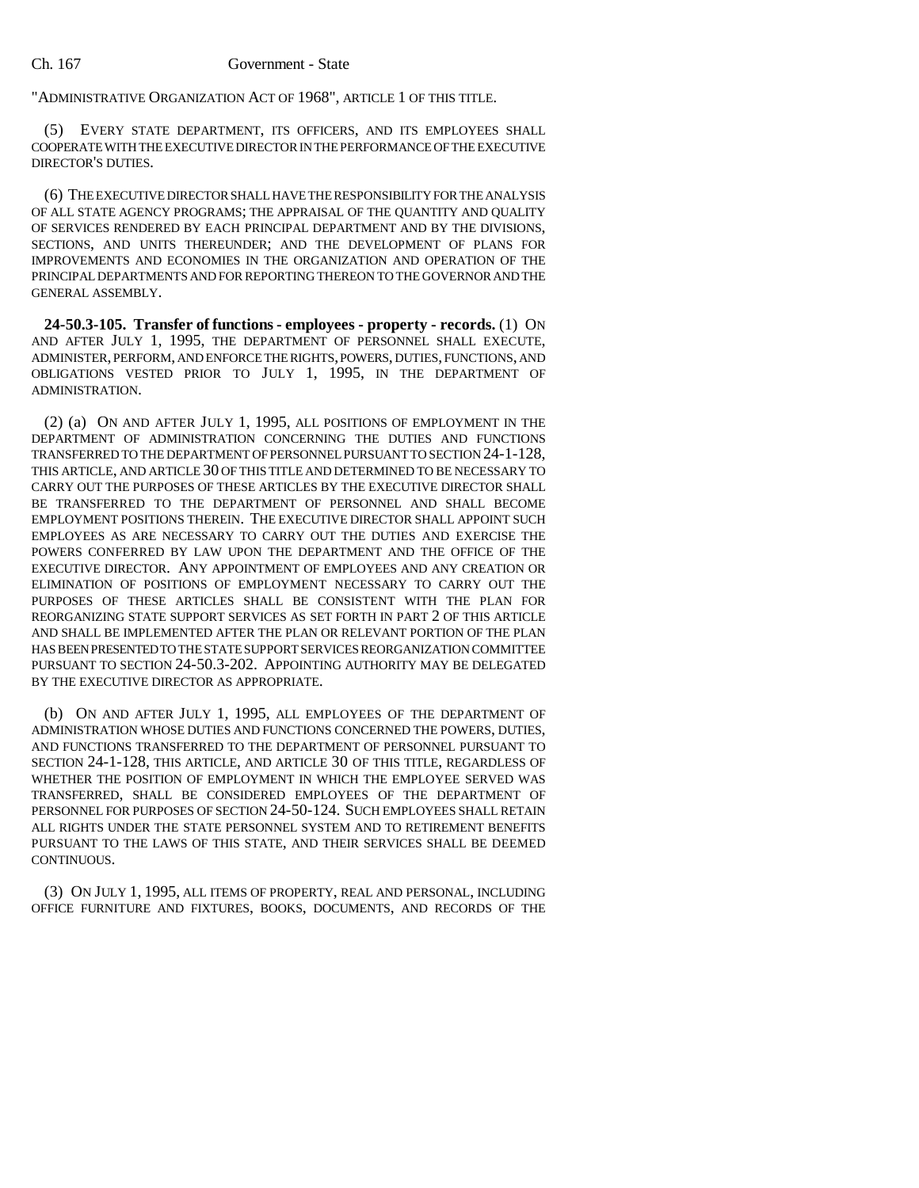"ADMINISTRATIVE ORGANIZATION ACT OF 1968", ARTICLE 1 OF THIS TITLE.

(5) EVERY STATE DEPARTMENT, ITS OFFICERS, AND ITS EMPLOYEES SHALL COOPERATE WITH THE EXECUTIVE DIRECTOR IN THE PERFORMANCE OF THE EXECUTIVE DIRECTOR'S DUTIES.

(6) THE EXECUTIVE DIRECTOR SHALL HAVE THE RESPONSIBILITY FOR THE ANALYSIS OF ALL STATE AGENCY PROGRAMS; THE APPRAISAL OF THE QUANTITY AND QUALITY OF SERVICES RENDERED BY EACH PRINCIPAL DEPARTMENT AND BY THE DIVISIONS, SECTIONS, AND UNITS THEREUNDER; AND THE DEVELOPMENT OF PLANS FOR IMPROVEMENTS AND ECONOMIES IN THE ORGANIZATION AND OPERATION OF THE PRINCIPAL DEPARTMENTS AND FOR REPORTING THEREON TO THE GOVERNOR AND THE GENERAL ASSEMBLY.

**24-50.3-105. Transfer of functions - employees - property - records.** (1) ON AND AFTER JULY 1, 1995, THE DEPARTMENT OF PERSONNEL SHALL EXECUTE, ADMINISTER, PERFORM, AND ENFORCE THE RIGHTS, POWERS, DUTIES, FUNCTIONS, AND OBLIGATIONS VESTED PRIOR TO JULY 1, 1995, IN THE DEPARTMENT OF ADMINISTRATION.

(2) (a) ON AND AFTER JULY 1, 1995, ALL POSITIONS OF EMPLOYMENT IN THE DEPARTMENT OF ADMINISTRATION CONCERNING THE DUTIES AND FUNCTIONS TRANSFERRED TO THE DEPARTMENT OF PERSONNEL PURSUANT TO SECTION 24-1-128, THIS ARTICLE, AND ARTICLE 30 OF THIS TITLE AND DETERMINED TO BE NECESSARY TO CARRY OUT THE PURPOSES OF THESE ARTICLES BY THE EXECUTIVE DIRECTOR SHALL BE TRANSFERRED TO THE DEPARTMENT OF PERSONNEL AND SHALL BECOME EMPLOYMENT POSITIONS THEREIN. THE EXECUTIVE DIRECTOR SHALL APPOINT SUCH EMPLOYEES AS ARE NECESSARY TO CARRY OUT THE DUTIES AND EXERCISE THE POWERS CONFERRED BY LAW UPON THE DEPARTMENT AND THE OFFICE OF THE EXECUTIVE DIRECTOR. ANY APPOINTMENT OF EMPLOYEES AND ANY CREATION OR ELIMINATION OF POSITIONS OF EMPLOYMENT NECESSARY TO CARRY OUT THE PURPOSES OF THESE ARTICLES SHALL BE CONSISTENT WITH THE PLAN FOR REORGANIZING STATE SUPPORT SERVICES AS SET FORTH IN PART 2 OF THIS ARTICLE AND SHALL BE IMPLEMENTED AFTER THE PLAN OR RELEVANT PORTION OF THE PLAN HAS BEEN PRESENTED TO THE STATE SUPPORT SERVICES REORGANIZATION COMMITTEE PURSUANT TO SECTION 24-50.3-202. APPOINTING AUTHORITY MAY BE DELEGATED BY THE EXECUTIVE DIRECTOR AS APPROPRIATE.

(b) ON AND AFTER JULY 1, 1995, ALL EMPLOYEES OF THE DEPARTMENT OF ADMINISTRATION WHOSE DUTIES AND FUNCTIONS CONCERNED THE POWERS, DUTIES, AND FUNCTIONS TRANSFERRED TO THE DEPARTMENT OF PERSONNEL PURSUANT TO SECTION 24-1-128, THIS ARTICLE, AND ARTICLE 30 OF THIS TITLE, REGARDLESS OF WHETHER THE POSITION OF EMPLOYMENT IN WHICH THE EMPLOYEE SERVED WAS TRANSFERRED, SHALL BE CONSIDERED EMPLOYEES OF THE DEPARTMENT OF PERSONNEL FOR PURPOSES OF SECTION 24-50-124. SUCH EMPLOYEES SHALL RETAIN ALL RIGHTS UNDER THE STATE PERSONNEL SYSTEM AND TO RETIREMENT BENEFITS PURSUANT TO THE LAWS OF THIS STATE, AND THEIR SERVICES SHALL BE DEEMED CONTINUOUS.

(3) ON JULY 1, 1995, ALL ITEMS OF PROPERTY, REAL AND PERSONAL, INCLUDING OFFICE FURNITURE AND FIXTURES, BOOKS, DOCUMENTS, AND RECORDS OF THE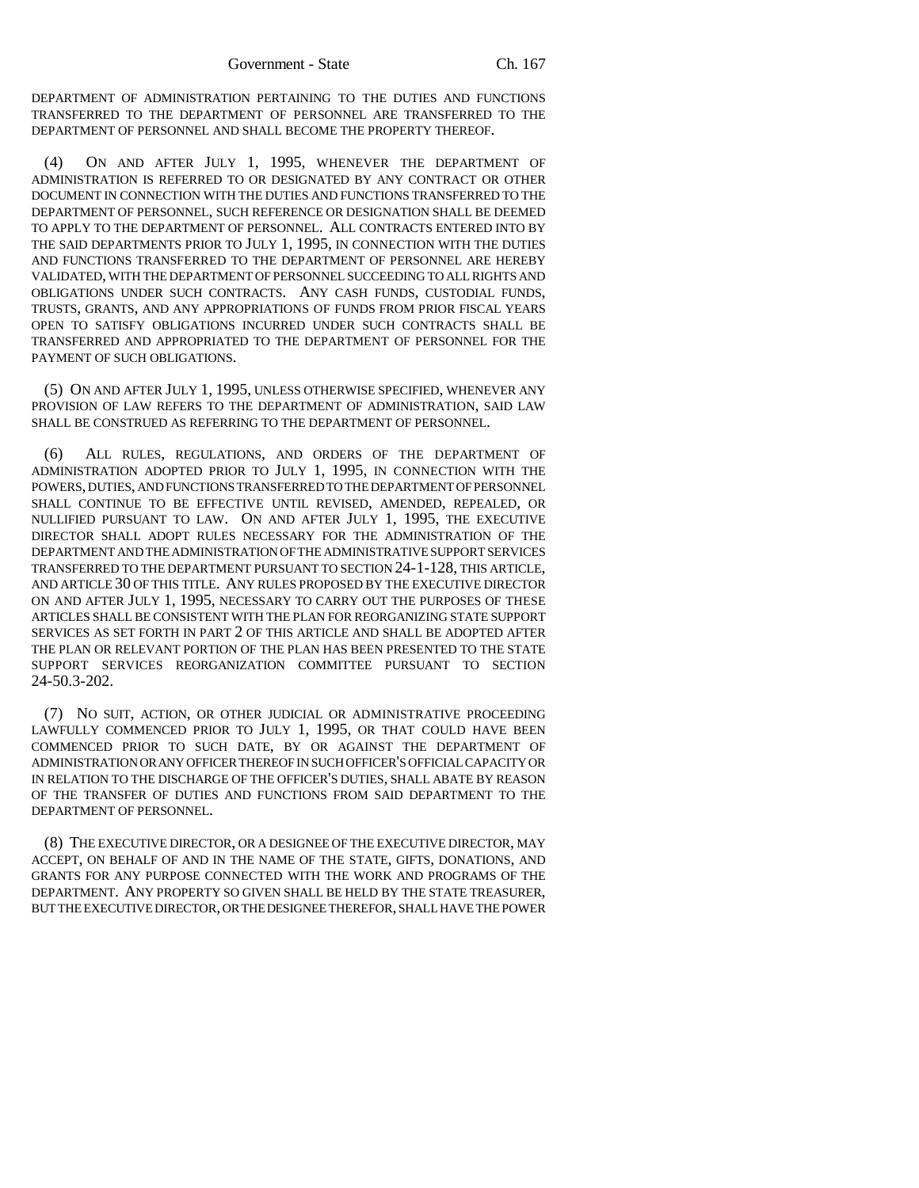DEPARTMENT OF ADMINISTRATION PERTAINING TO THE DUTIES AND FUNCTIONS TRANSFERRED TO THE DEPARTMENT OF PERSONNEL ARE TRANSFERRED TO THE DEPARTMENT OF PERSONNEL AND SHALL BECOME THE PROPERTY THEREOF.

(4) ON AND AFTER JULY 1, 1995, WHENEVER THE DEPARTMENT OF ADMINISTRATION IS REFERRED TO OR DESIGNATED BY ANY CONTRACT OR OTHER DOCUMENT IN CONNECTION WITH THE DUTIES AND FUNCTIONS TRANSFERRED TO THE DEPARTMENT OF PERSONNEL, SUCH REFERENCE OR DESIGNATION SHALL BE DEEMED TO APPLY TO THE DEPARTMENT OF PERSONNEL. ALL CONTRACTS ENTERED INTO BY THE SAID DEPARTMENTS PRIOR TO JULY 1, 1995, IN CONNECTION WITH THE DUTIES AND FUNCTIONS TRANSFERRED TO THE DEPARTMENT OF PERSONNEL ARE HEREBY VALIDATED, WITH THE DEPARTMENT OF PERSONNEL SUCCEEDING TO ALL RIGHTS AND OBLIGATIONS UNDER SUCH CONTRACTS. ANY CASH FUNDS, CUSTODIAL FUNDS, TRUSTS, GRANTS, AND ANY APPROPRIATIONS OF FUNDS FROM PRIOR FISCAL YEARS OPEN TO SATISFY OBLIGATIONS INCURRED UNDER SUCH CONTRACTS SHALL BE TRANSFERRED AND APPROPRIATED TO THE DEPARTMENT OF PERSONNEL FOR THE PAYMENT OF SUCH OBLIGATIONS.

(5) ON AND AFTER JULY 1, 1995, UNLESS OTHERWISE SPECIFIED, WHENEVER ANY PROVISION OF LAW REFERS TO THE DEPARTMENT OF ADMINISTRATION, SAID LAW SHALL BE CONSTRUED AS REFERRING TO THE DEPARTMENT OF PERSONNEL.

(6) ALL RULES, REGULATIONS, AND ORDERS OF THE DEPARTMENT OF ADMINISTRATION ADOPTED PRIOR TO JULY 1, 1995, IN CONNECTION WITH THE POWERS, DUTIES, AND FUNCTIONS TRANSFERRED TO THE DEPARTMENT OF PERSONNEL SHALL CONTINUE TO BE EFFECTIVE UNTIL REVISED, AMENDED, REPEALED, OR NULLIFIED PURSUANT TO LAW. ON AND AFTER JULY 1, 1995, THE EXECUTIVE DIRECTOR SHALL ADOPT RULES NECESSARY FOR THE ADMINISTRATION OF THE DEPARTMENT AND THE ADMINISTRATION OF THE ADMINISTRATIVE SUPPORT SERVICES TRANSFERRED TO THE DEPARTMENT PURSUANT TO SECTION 24-1-128, THIS ARTICLE, AND ARTICLE 30 OF THIS TITLE. ANY RULES PROPOSED BY THE EXECUTIVE DIRECTOR ON AND AFTER JULY 1, 1995, NECESSARY TO CARRY OUT THE PURPOSES OF THESE ARTICLES SHALL BE CONSISTENT WITH THE PLAN FOR REORGANIZING STATE SUPPORT SERVICES AS SET FORTH IN PART 2 OF THIS ARTICLE AND SHALL BE ADOPTED AFTER THE PLAN OR RELEVANT PORTION OF THE PLAN HAS BEEN PRESENTED TO THE STATE SUPPORT SERVICES REORGANIZATION COMMITTEE PURSUANT TO SECTION 24-50.3-202.

(7) NO SUIT, ACTION, OR OTHER JUDICIAL OR ADMINISTRATIVE PROCEEDING LAWFULLY COMMENCED PRIOR TO JULY 1, 1995, OR THAT COULD HAVE BEEN COMMENCED PRIOR TO SUCH DATE, BY OR AGAINST THE DEPARTMENT OF ADMINISTRATION OR ANY OFFICER THEREOF IN SUCH OFFICER'S OFFICIAL CAPACITY OR IN RELATION TO THE DISCHARGE OF THE OFFICER'S DUTIES, SHALL ABATE BY REASON OF THE TRANSFER OF DUTIES AND FUNCTIONS FROM SAID DEPARTMENT TO THE DEPARTMENT OF PERSONNEL.

(8) THE EXECUTIVE DIRECTOR, OR A DESIGNEE OF THE EXECUTIVE DIRECTOR, MAY ACCEPT, ON BEHALF OF AND IN THE NAME OF THE STATE, GIFTS, DONATIONS, AND GRANTS FOR ANY PURPOSE CONNECTED WITH THE WORK AND PROGRAMS OF THE DEPARTMENT. ANY PROPERTY SO GIVEN SHALL BE HELD BY THE STATE TREASURER, BUT THE EXECUTIVE DIRECTOR, OR THE DESIGNEE THEREFOR, SHALL HAVE THE POWER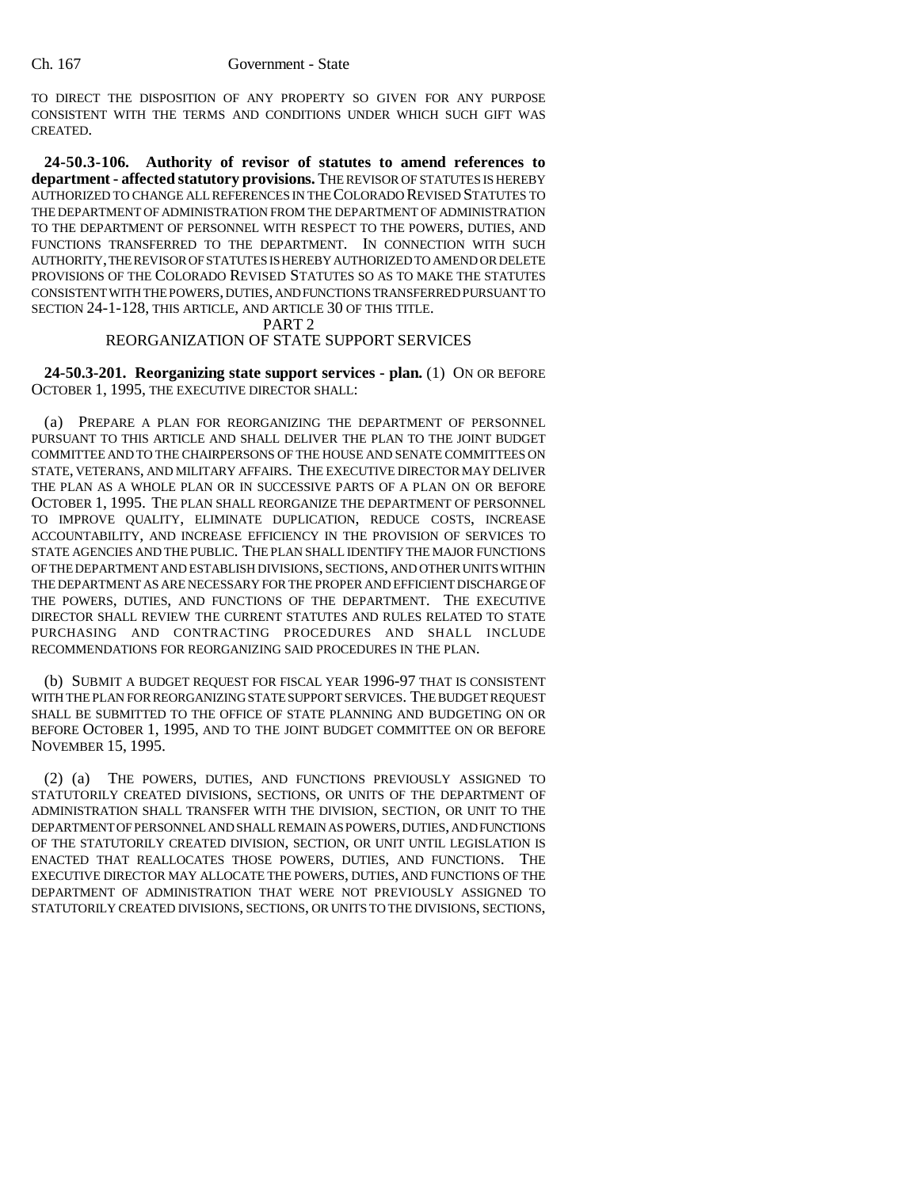TO DIRECT THE DISPOSITION OF ANY PROPERTY SO GIVEN FOR ANY PURPOSE CONSISTENT WITH THE TERMS AND CONDITIONS UNDER WHICH SUCH GIFT WAS CREATED.

**24-50.3-106. Authority of revisor of statutes to amend references to department - affected statutory provisions.** THE REVISOR OF STATUTES IS HEREBY AUTHORIZED TO CHANGE ALL REFERENCES IN THE COLORADO REVISED STATUTES TO THE DEPARTMENT OF ADMINISTRATION FROM THE DEPARTMENT OF ADMINISTRATION TO THE DEPARTMENT OF PERSONNEL WITH RESPECT TO THE POWERS, DUTIES, AND FUNCTIONS TRANSFERRED TO THE DEPARTMENT. IN CONNECTION WITH SUCH AUTHORITY, THE REVISOR OF STATUTES IS HEREBY AUTHORIZED TO AMEND OR DELETE PROVISIONS OF THE COLORADO REVISED STATUTES SO AS TO MAKE THE STATUTES CONSISTENT WITH THE POWERS, DUTIES, AND FUNCTIONS TRANSFERRED PURSUANT TO SECTION 24-1-128, THIS ARTICLE, AND ARTICLE 30 OF THIS TITLE.

### PART 2

# REORGANIZATION OF STATE SUPPORT SERVICES

**24-50.3-201. Reorganizing state support services - plan.** (1) ON OR BEFORE OCTOBER 1, 1995, THE EXECUTIVE DIRECTOR SHALL:

(a) PREPARE A PLAN FOR REORGANIZING THE DEPARTMENT OF PERSONNEL PURSUANT TO THIS ARTICLE AND SHALL DELIVER THE PLAN TO THE JOINT BUDGET COMMITTEE AND TO THE CHAIRPERSONS OF THE HOUSE AND SENATE COMMITTEES ON STATE, VETERANS, AND MILITARY AFFAIRS. THE EXECUTIVE DIRECTOR MAY DELIVER THE PLAN AS A WHOLE PLAN OR IN SUCCESSIVE PARTS OF A PLAN ON OR BEFORE OCTOBER 1, 1995. THE PLAN SHALL REORGANIZE THE DEPARTMENT OF PERSONNEL TO IMPROVE QUALITY, ELIMINATE DUPLICATION, REDUCE COSTS, INCREASE ACCOUNTABILITY, AND INCREASE EFFICIENCY IN THE PROVISION OF SERVICES TO STATE AGENCIES AND THE PUBLIC. THE PLAN SHALL IDENTIFY THE MAJOR FUNCTIONS OF THE DEPARTMENT AND ESTABLISH DIVISIONS, SECTIONS, AND OTHER UNITS WITHIN THE DEPARTMENT AS ARE NECESSARY FOR THE PROPER AND EFFICIENT DISCHARGE OF THE POWERS, DUTIES, AND FUNCTIONS OF THE DEPARTMENT. THE EXECUTIVE DIRECTOR SHALL REVIEW THE CURRENT STATUTES AND RULES RELATED TO STATE PURCHASING AND CONTRACTING PROCEDURES AND SHALL INCLUDE RECOMMENDATIONS FOR REORGANIZING SAID PROCEDURES IN THE PLAN.

(b) SUBMIT A BUDGET REQUEST FOR FISCAL YEAR 1996-97 THAT IS CONSISTENT WITH THE PLAN FOR REORGANIZING STATE SUPPORT SERVICES. THE BUDGET REQUEST SHALL BE SUBMITTED TO THE OFFICE OF STATE PLANNING AND BUDGETING ON OR BEFORE OCTOBER 1, 1995, AND TO THE JOINT BUDGET COMMITTEE ON OR BEFORE NOVEMBER 15, 1995.

(2) (a) THE POWERS, DUTIES, AND FUNCTIONS PREVIOUSLY ASSIGNED TO STATUTORILY CREATED DIVISIONS, SECTIONS, OR UNITS OF THE DEPARTMENT OF ADMINISTRATION SHALL TRANSFER WITH THE DIVISION, SECTION, OR UNIT TO THE DEPARTMENT OF PERSONNEL AND SHALL REMAIN AS POWERS, DUTIES, AND FUNCTIONS OF THE STATUTORILY CREATED DIVISION, SECTION, OR UNIT UNTIL LEGISLATION IS ENACTED THAT REALLOCATES THOSE POWERS, DUTIES, AND FUNCTIONS. THE EXECUTIVE DIRECTOR MAY ALLOCATE THE POWERS, DUTIES, AND FUNCTIONS OF THE DEPARTMENT OF ADMINISTRATION THAT WERE NOT PREVIOUSLY ASSIGNED TO STATUTORILY CREATED DIVISIONS, SECTIONS, OR UNITS TO THE DIVISIONS, SECTIONS,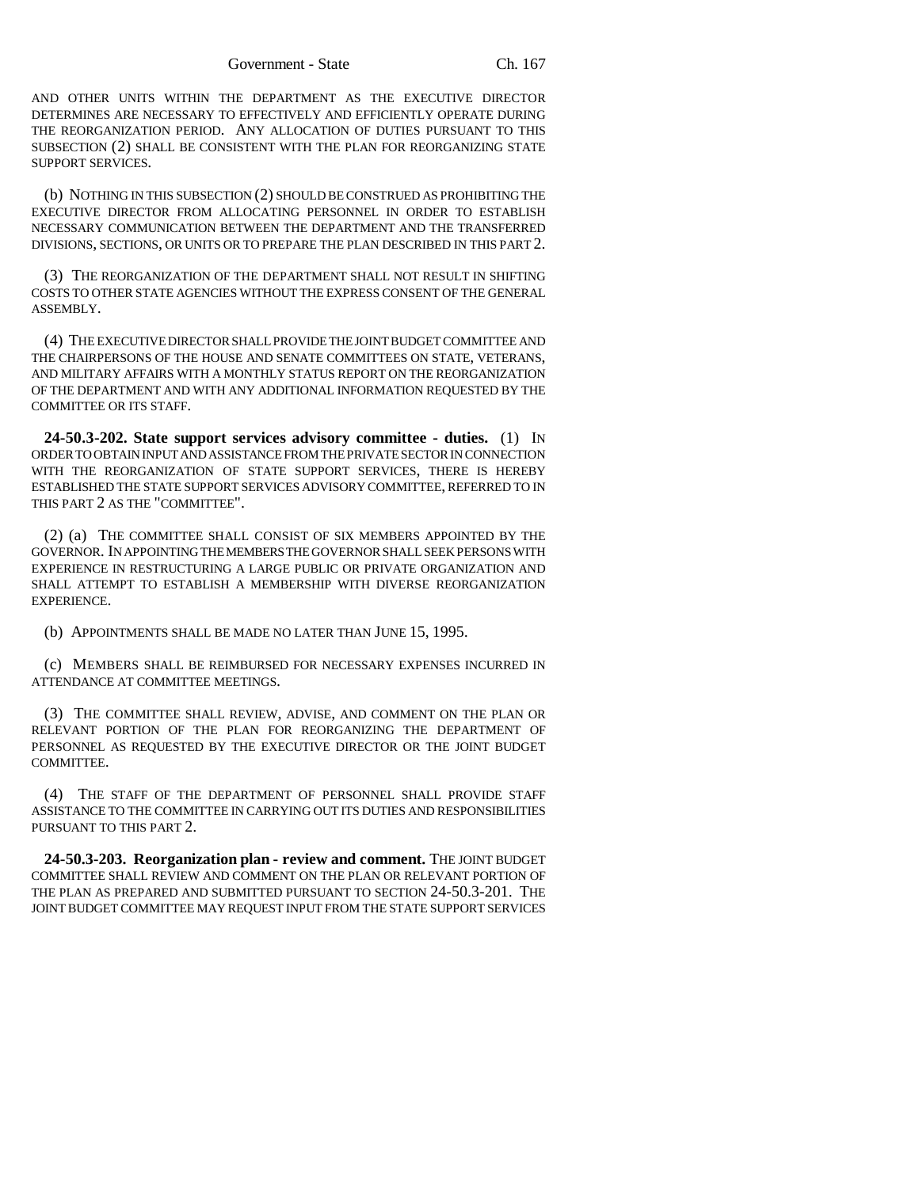AND OTHER UNITS WITHIN THE DEPARTMENT AS THE EXECUTIVE DIRECTOR DETERMINES ARE NECESSARY TO EFFECTIVELY AND EFFICIENTLY OPERATE DURING THE REORGANIZATION PERIOD. ANY ALLOCATION OF DUTIES PURSUANT TO THIS SUBSECTION (2) SHALL BE CONSISTENT WITH THE PLAN FOR REORGANIZING STATE SUPPORT SERVICES.

(b) NOTHING IN THIS SUBSECTION (2) SHOULD BE CONSTRUED AS PROHIBITING THE EXECUTIVE DIRECTOR FROM ALLOCATING PERSONNEL IN ORDER TO ESTABLISH NECESSARY COMMUNICATION BETWEEN THE DEPARTMENT AND THE TRANSFERRED DIVISIONS, SECTIONS, OR UNITS OR TO PREPARE THE PLAN DESCRIBED IN THIS PART 2.

(3) THE REORGANIZATION OF THE DEPARTMENT SHALL NOT RESULT IN SHIFTING COSTS TO OTHER STATE AGENCIES WITHOUT THE EXPRESS CONSENT OF THE GENERAL ASSEMBLY.

(4) THE EXECUTIVE DIRECTOR SHALL PROVIDE THE JOINT BUDGET COMMITTEE AND THE CHAIRPERSONS OF THE HOUSE AND SENATE COMMITTEES ON STATE, VETERANS, AND MILITARY AFFAIRS WITH A MONTHLY STATUS REPORT ON THE REORGANIZATION OF THE DEPARTMENT AND WITH ANY ADDITIONAL INFORMATION REQUESTED BY THE COMMITTEE OR ITS STAFF.

**24-50.3-202. State support services advisory committee - duties.** (1) IN ORDER TO OBTAIN INPUT AND ASSISTANCE FROM THE PRIVATE SECTOR IN CONNECTION WITH THE REORGANIZATION OF STATE SUPPORT SERVICES, THERE IS HEREBY ESTABLISHED THE STATE SUPPORT SERVICES ADVISORY COMMITTEE, REFERRED TO IN THIS PART 2 AS THE "COMMITTEE".

(2) (a) THE COMMITTEE SHALL CONSIST OF SIX MEMBERS APPOINTED BY THE GOVERNOR. IN APPOINTING THE MEMBERS THE GOVERNOR SHALL SEEK PERSONS WITH EXPERIENCE IN RESTRUCTURING A LARGE PUBLIC OR PRIVATE ORGANIZATION AND SHALL ATTEMPT TO ESTABLISH A MEMBERSHIP WITH DIVERSE REORGANIZATION EXPERIENCE.

(b) APPOINTMENTS SHALL BE MADE NO LATER THAN JUNE 15, 1995.

(c) MEMBERS SHALL BE REIMBURSED FOR NECESSARY EXPENSES INCURRED IN ATTENDANCE AT COMMITTEE MEETINGS.

(3) THE COMMITTEE SHALL REVIEW, ADVISE, AND COMMENT ON THE PLAN OR RELEVANT PORTION OF THE PLAN FOR REORGANIZING THE DEPARTMENT OF PERSONNEL AS REQUESTED BY THE EXECUTIVE DIRECTOR OR THE JOINT BUDGET COMMITTEE.

(4) THE STAFF OF THE DEPARTMENT OF PERSONNEL SHALL PROVIDE STAFF ASSISTANCE TO THE COMMITTEE IN CARRYING OUT ITS DUTIES AND RESPONSIBILITIES PURSUANT TO THIS PART 2.

**24-50.3-203. Reorganization plan - review and comment.** THE JOINT BUDGET COMMITTEE SHALL REVIEW AND COMMENT ON THE PLAN OR RELEVANT PORTION OF THE PLAN AS PREPARED AND SUBMITTED PURSUANT TO SECTION 24-50.3-201. THE JOINT BUDGET COMMITTEE MAY REQUEST INPUT FROM THE STATE SUPPORT SERVICES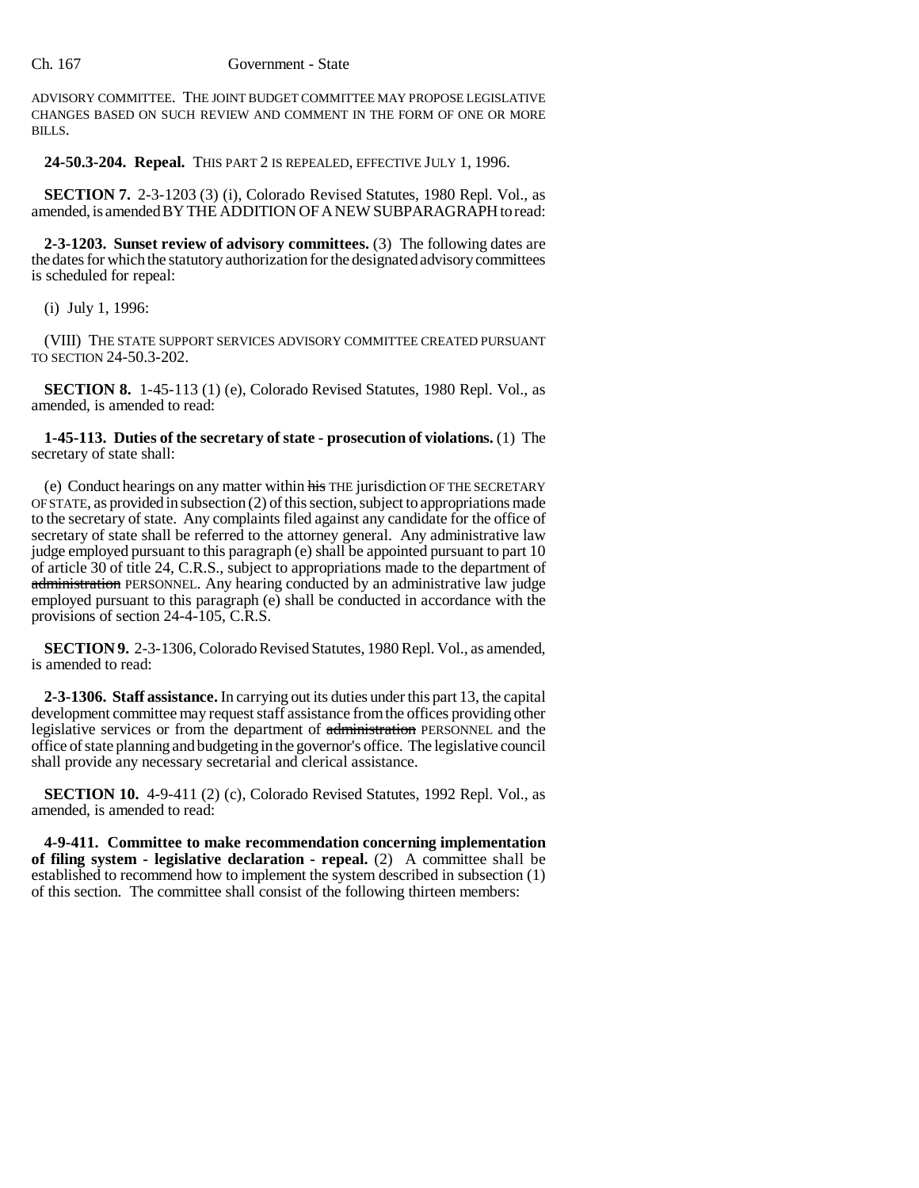ADVISORY COMMITTEE. THE JOINT BUDGET COMMITTEE MAY PROPOSE LEGISLATIVE CHANGES BASED ON SUCH REVIEW AND COMMENT IN THE FORM OF ONE OR MORE BILLS.

**24-50.3-204. Repeal.** THIS PART 2 IS REPEALED, EFFECTIVE JULY 1, 1996.

**SECTION 7.** 2-3-1203 (3) (i), Colorado Revised Statutes, 1980 Repl. Vol., as amended, is amended BY THE ADDITION OF A NEW SUBPARAGRAPH to read:

**2-3-1203. Sunset review of advisory committees.** (3) The following dates are the dates for which the statutory authorization for the designated advisory committees is scheduled for repeal:

(i) July 1, 1996:

(VIII) THE STATE SUPPORT SERVICES ADVISORY COMMITTEE CREATED PURSUANT TO SECTION 24-50.3-202.

**SECTION 8.** 1-45-113 (1) (e), Colorado Revised Statutes, 1980 Repl. Vol., as amended, is amended to read:

**1-45-113. Duties of the secretary of state - prosecution of violations.** (1) The secretary of state shall:

(e) Conduct hearings on any matter within his THE jurisdiction OF THE SECRETARY OF STATE, as provided in subsection (2) of this section, subject to appropriations made to the secretary of state. Any complaints filed against any candidate for the office of secretary of state shall be referred to the attorney general. Any administrative law judge employed pursuant to this paragraph (e) shall be appointed pursuant to part 10 of article 30 of title 24, C.R.S., subject to appropriations made to the department of administration PERSONNEL. Any hearing conducted by an administrative law judge employed pursuant to this paragraph (e) shall be conducted in accordance with the provisions of section 24-4-105, C.R.S.

**SECTION 9.** 2-3-1306, Colorado Revised Statutes, 1980 Repl. Vol., as amended, is amended to read:

**2-3-1306. Staff assistance.** In carrying out its duties under this part 13, the capital development committee may request staff assistance from the offices providing other legislative services or from the department of administration PERSONNEL and the office of state planning and budgeting in the governor's office. The legislative council shall provide any necessary secretarial and clerical assistance.

**SECTION 10.** 4-9-411 (2) (c), Colorado Revised Statutes, 1992 Repl. Vol., as amended, is amended to read:

**4-9-411. Committee to make recommendation concerning implementation of filing system - legislative declaration - repeal.** (2) A committee shall be established to recommend how to implement the system described in subsection (1) of this section. The committee shall consist of the following thirteen members: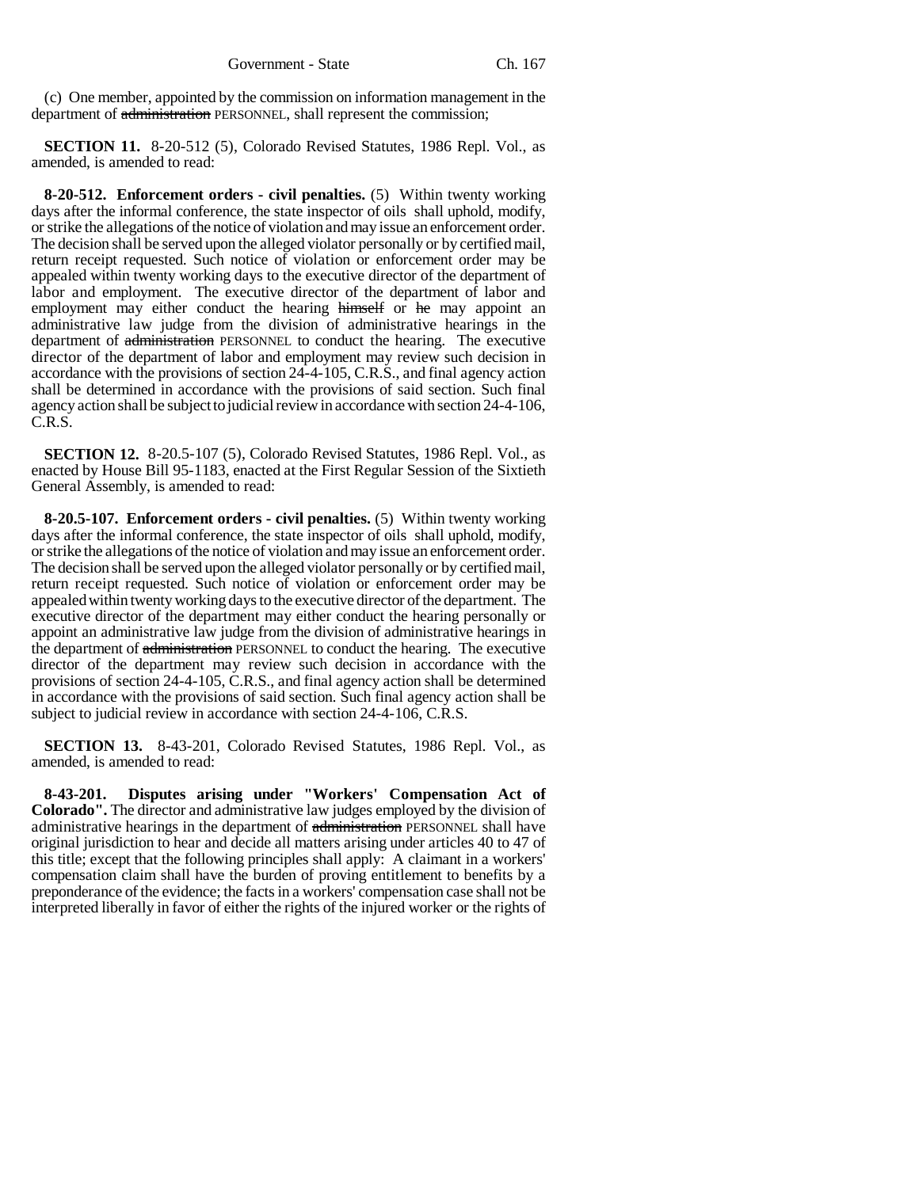(c) One member, appointed by the commission on information management in the department of administration PERSONNEL, shall represent the commission;

**SECTION 11.** 8-20-512 (5), Colorado Revised Statutes, 1986 Repl. Vol., as amended, is amended to read:

**8-20-512. Enforcement orders - civil penalties.** (5) Within twenty working days after the informal conference, the state inspector of oils shall uphold, modify, or strike the allegations of the notice of violation and may issue an enforcement order. The decision shall be served upon the alleged violator personally or by certified mail, return receipt requested. Such notice of violation or enforcement order may be appealed within twenty working days to the executive director of the department of labor and employment. The executive director of the department of labor and employment may either conduct the hearing himself or he may appoint an administrative law judge from the division of administrative hearings in the department of administration PERSONNEL to conduct the hearing. The executive director of the department of labor and employment may review such decision in accordance with the provisions of section 24-4-105, C.R.S., and final agency action shall be determined in accordance with the provisions of said section. Such final agency action shall be subject to judicial review in accordance with section 24-4-106, C.R.S.

**SECTION 12.** 8-20.5-107 (5), Colorado Revised Statutes, 1986 Repl. Vol., as enacted by House Bill 95-1183, enacted at the First Regular Session of the Sixtieth General Assembly, is amended to read:

**8-20.5-107. Enforcement orders - civil penalties.** (5) Within twenty working days after the informal conference, the state inspector of oils shall uphold, modify, or strike the allegations of the notice of violation and may issue an enforcement order. The decision shall be served upon the alleged violator personally or by certified mail, return receipt requested. Such notice of violation or enforcement order may be appealed within twenty working days to the executive director of the department. The executive director of the department may either conduct the hearing personally or appoint an administrative law judge from the division of administrative hearings in the department of administration PERSONNEL to conduct the hearing. The executive director of the department may review such decision in accordance with the provisions of section 24-4-105, C.R.S., and final agency action shall be determined in accordance with the provisions of said section. Such final agency action shall be subject to judicial review in accordance with section 24-4-106, C.R.S.

**SECTION 13.** 8-43-201, Colorado Revised Statutes, 1986 Repl. Vol., as amended, is amended to read:

**8-43-201. Disputes arising under "Workers' Compensation Act of Colorado".** The director and administrative law judges employed by the division of administrative hearings in the department of administration PERSONNEL shall have original jurisdiction to hear and decide all matters arising under articles 40 to 47 of this title; except that the following principles shall apply: A claimant in a workers' compensation claim shall have the burden of proving entitlement to benefits by a preponderance of the evidence; the facts in a workers' compensation case shall not be interpreted liberally in favor of either the rights of the injured worker or the rights of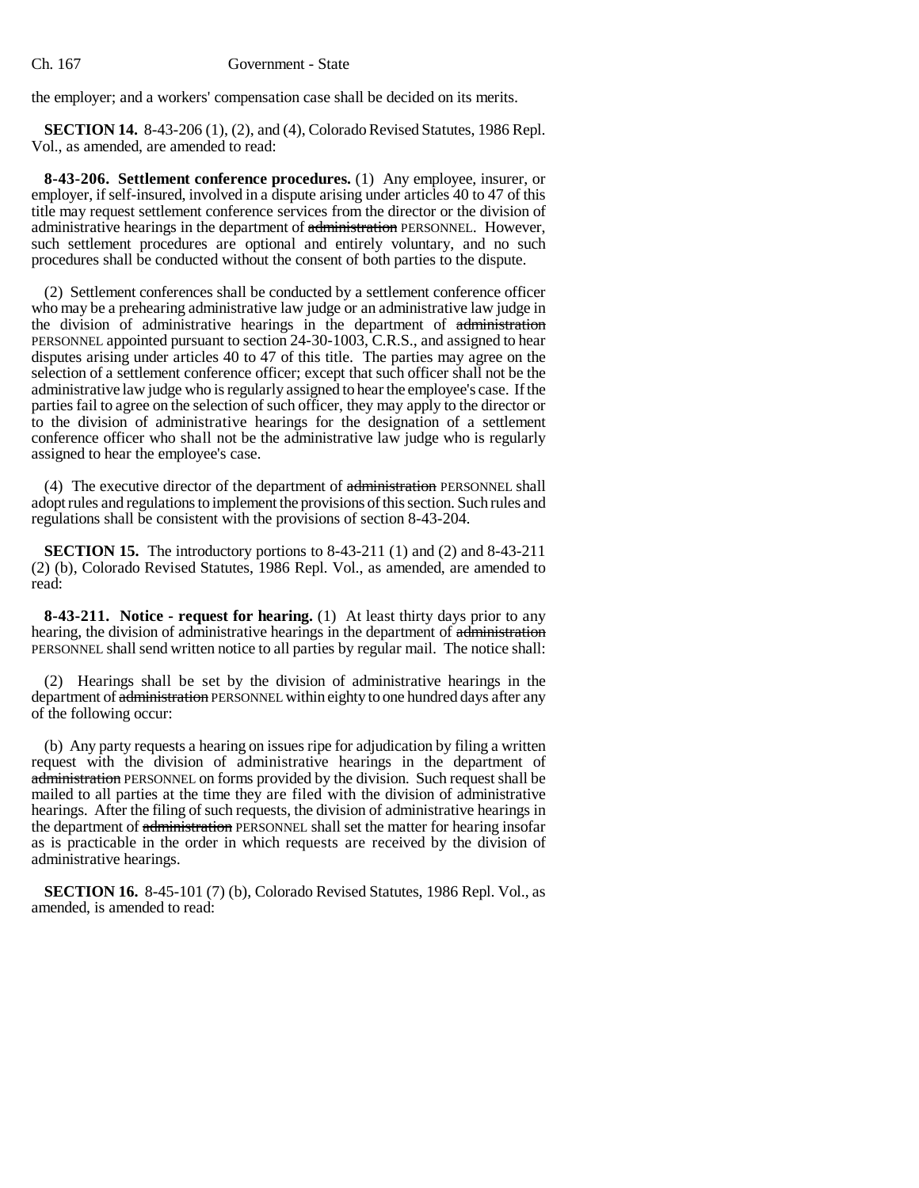the employer; and a workers' compensation case shall be decided on its merits.

**SECTION 14.** 8-43-206 (1), (2), and (4), Colorado Revised Statutes, 1986 Repl. Vol., as amended, are amended to read:

**8-43-206. Settlement conference procedures.** (1) Any employee, insurer, or employer, if self-insured, involved in a dispute arising under articles 40 to 47 of this title may request settlement conference services from the director or the division of administrative hearings in the department of administration PERSONNEL. However, such settlement procedures are optional and entirely voluntary, and no such procedures shall be conducted without the consent of both parties to the dispute.

(2) Settlement conferences shall be conducted by a settlement conference officer who may be a prehearing administrative law judge or an administrative law judge in the division of administrative hearings in the department of administration PERSONNEL appointed pursuant to section 24-30-1003, C.R.S., and assigned to hear disputes arising under articles 40 to 47 of this title. The parties may agree on the selection of a settlement conference officer; except that such officer shall not be the administrative law judge who is regularly assigned to hear the employee's case. If the parties fail to agree on the selection of such officer, they may apply to the director or to the division of administrative hearings for the designation of a settlement conference officer who shall not be the administrative law judge who is regularly assigned to hear the employee's case.

(4) The executive director of the department of administration PERSONNEL shall adopt rules and regulations to implement the provisions of this section. Such rules and regulations shall be consistent with the provisions of section 8-43-204.

**SECTION 15.** The introductory portions to 8-43-211 (1) and (2) and 8-43-211 (2) (b), Colorado Revised Statutes, 1986 Repl. Vol., as amended, are amended to read:

**8-43-211. Notice - request for hearing.** (1) At least thirty days prior to any hearing, the division of administrative hearings in the department of administration PERSONNEL shall send written notice to all parties by regular mail. The notice shall:

(2) Hearings shall be set by the division of administrative hearings in the department of administration PERSONNEL within eighty to one hundred days after any of the following occur:

(b) Any party requests a hearing on issues ripe for adjudication by filing a written request with the division of administrative hearings in the department of administration PERSONNEL on forms provided by the division. Such request shall be mailed to all parties at the time they are filed with the division of administrative hearings. After the filing of such requests, the division of administrative hearings in the department of administration PERSONNEL shall set the matter for hearing insofar as is practicable in the order in which requests are received by the division of administrative hearings.

**SECTION 16.** 8-45-101 (7) (b), Colorado Revised Statutes, 1986 Repl. Vol., as amended, is amended to read: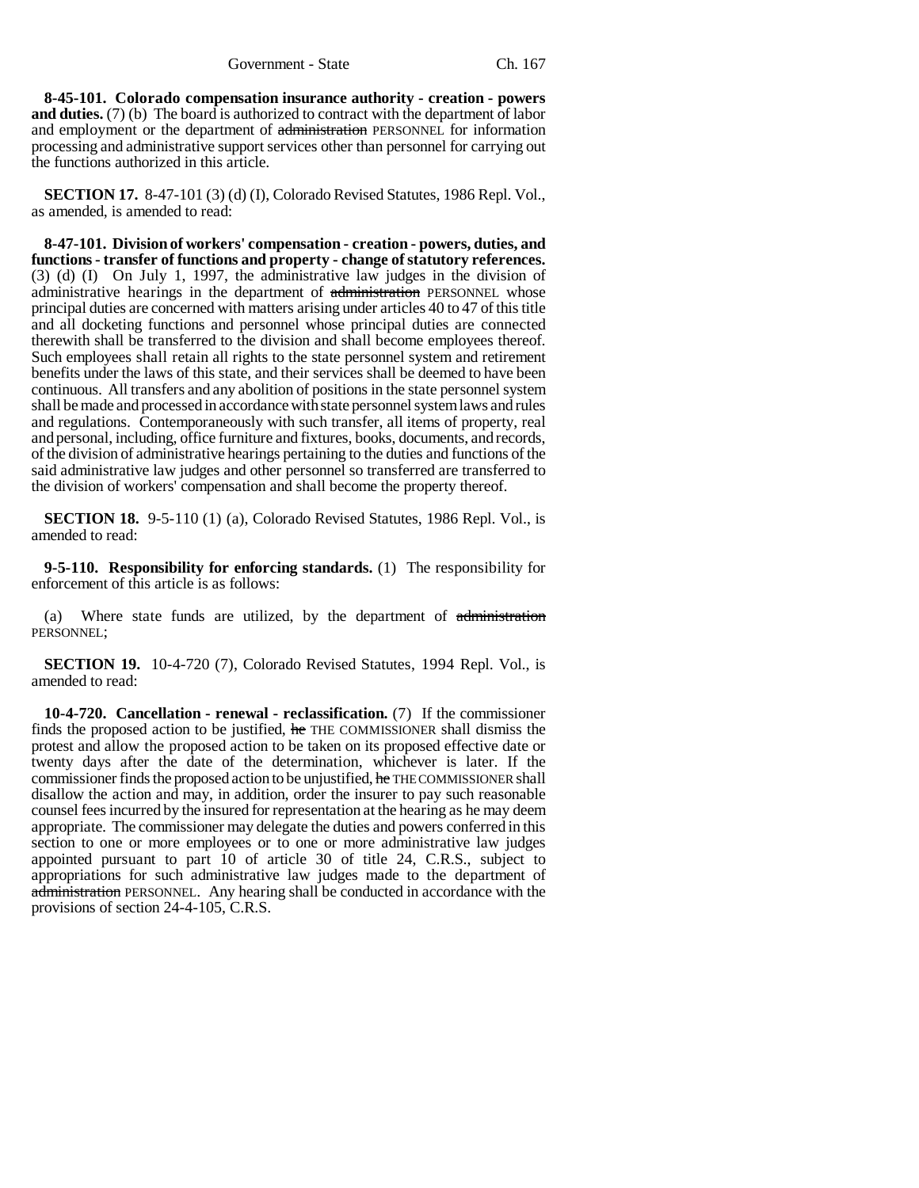**8-45-101. Colorado compensation insurance authority - creation - powers and duties.** (7) (b) The board is authorized to contract with the department of labor and employment or the department of administration PERSONNEL for information processing and administrative support services other than personnel for carrying out the functions authorized in this article.

**SECTION 17.** 8-47-101 (3) (d) (I), Colorado Revised Statutes, 1986 Repl. Vol., as amended, is amended to read:

**8-47-101. Division of workers' compensation - creation - powers, duties, and functions - transfer of functions and property - change of statutory references.** (3) (d) (I) On July 1, 1997, the administrative law judges in the division of administrative hearings in the department of administration PERSONNEL whose principal duties are concerned with matters arising under articles 40 to 47 of this title and all docketing functions and personnel whose principal duties are connected therewith shall be transferred to the division and shall become employees thereof. Such employees shall retain all rights to the state personnel system and retirement benefits under the laws of this state, and their services shall be deemed to have been continuous. All transfers and any abolition of positions in the state personnel system shall be made and processed in accordance with state personnel system laws and rules and regulations. Contemporaneously with such transfer, all items of property, real and personal, including, office furniture and fixtures, books, documents, and records, of the division of administrative hearings pertaining to the duties and functions of the said administrative law judges and other personnel so transferred are transferred to the division of workers' compensation and shall become the property thereof.

**SECTION 18.** 9-5-110 (1) (a), Colorado Revised Statutes, 1986 Repl. Vol., is amended to read:

**9-5-110. Responsibility for enforcing standards.** (1) The responsibility for enforcement of this article is as follows:

(a) Where state funds are utilized, by the department of administration PERSONNEL;

**SECTION 19.** 10-4-720 (7), Colorado Revised Statutes, 1994 Repl. Vol., is amended to read:

**10-4-720. Cancellation - renewal - reclassification.** (7) If the commissioner finds the proposed action to be justified, he THE COMMISSIONER shall dismiss the protest and allow the proposed action to be taken on its proposed effective date or twenty days after the date of the determination, whichever is later. If the commissioner finds the proposed action to be unjustified, he THE COMMISSIONER shall disallow the action and may, in addition, order the insurer to pay such reasonable counsel fees incurred by the insured for representation at the hearing as he may deem appropriate. The commissioner may delegate the duties and powers conferred in this section to one or more employees or to one or more administrative law judges appointed pursuant to part 10 of article 30 of title 24, C.R.S., subject to appropriations for such administrative law judges made to the department of administration PERSONNEL. Any hearing shall be conducted in accordance with the provisions of section 24-4-105, C.R.S.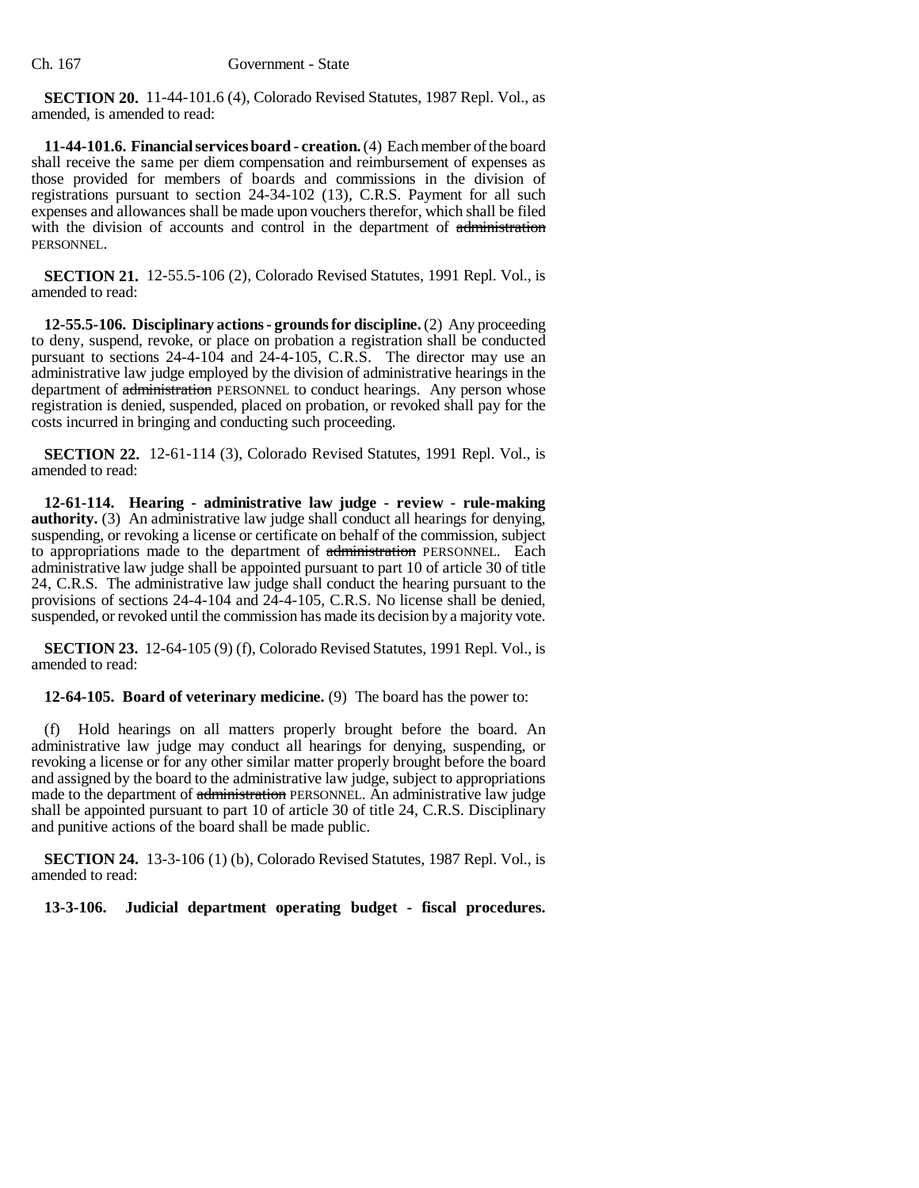**SECTION 20.** 11-44-101.6 (4), Colorado Revised Statutes, 1987 Repl. Vol., as amended, is amended to read:

**11-44-101.6. Financial services board - creation.** (4) Each member of the board shall receive the same per diem compensation and reimbursement of expenses as those provided for members of boards and commissions in the division of registrations pursuant to section 24-34-102 (13), C.R.S. Payment for all such expenses and allowances shall be made upon vouchers therefor, which shall be filed with the division of accounts and control in the department of administration PERSONNEL.

**SECTION 21.** 12-55.5-106 (2), Colorado Revised Statutes, 1991 Repl. Vol., is amended to read:

**12-55.5-106. Disciplinary actions - grounds for discipline.** (2) Any proceeding to deny, suspend, revoke, or place on probation a registration shall be conducted pursuant to sections 24-4-104 and 24-4-105, C.R.S. The director may use an administrative law judge employed by the division of administrative hearings in the department of administration PERSONNEL to conduct hearings. Any person whose registration is denied, suspended, placed on probation, or revoked shall pay for the costs incurred in bringing and conducting such proceeding.

**SECTION 22.** 12-61-114 (3), Colorado Revised Statutes, 1991 Repl. Vol., is amended to read:

**12-61-114. Hearing - administrative law judge - review - rule-making authority.** (3) An administrative law judge shall conduct all hearings for denying, suspending, or revoking a license or certificate on behalf of the commission, subject to appropriations made to the department of administration PERSONNEL. Each administrative law judge shall be appointed pursuant to part 10 of article 30 of title 24, C.R.S. The administrative law judge shall conduct the hearing pursuant to the provisions of sections 24-4-104 and 24-4-105, C.R.S. No license shall be denied, suspended, or revoked until the commission has made its decision by a majority vote.

**SECTION 23.** 12-64-105 (9) (f), Colorado Revised Statutes, 1991 Repl. Vol., is amended to read:

**12-64-105. Board of veterinary medicine.** (9) The board has the power to:

(f) Hold hearings on all matters properly brought before the board. An administrative law judge may conduct all hearings for denying, suspending, or revoking a license or for any other similar matter properly brought before the board and assigned by the board to the administrative law judge, subject to appropriations made to the department of administration PERSONNEL. An administrative law judge shall be appointed pursuant to part 10 of article 30 of title 24, C.R.S. Disciplinary and punitive actions of the board shall be made public.

**SECTION 24.** 13-3-106 (1) (b), Colorado Revised Statutes, 1987 Repl. Vol., is amended to read:

**13-3-106. Judicial department operating budget - fiscal procedures.**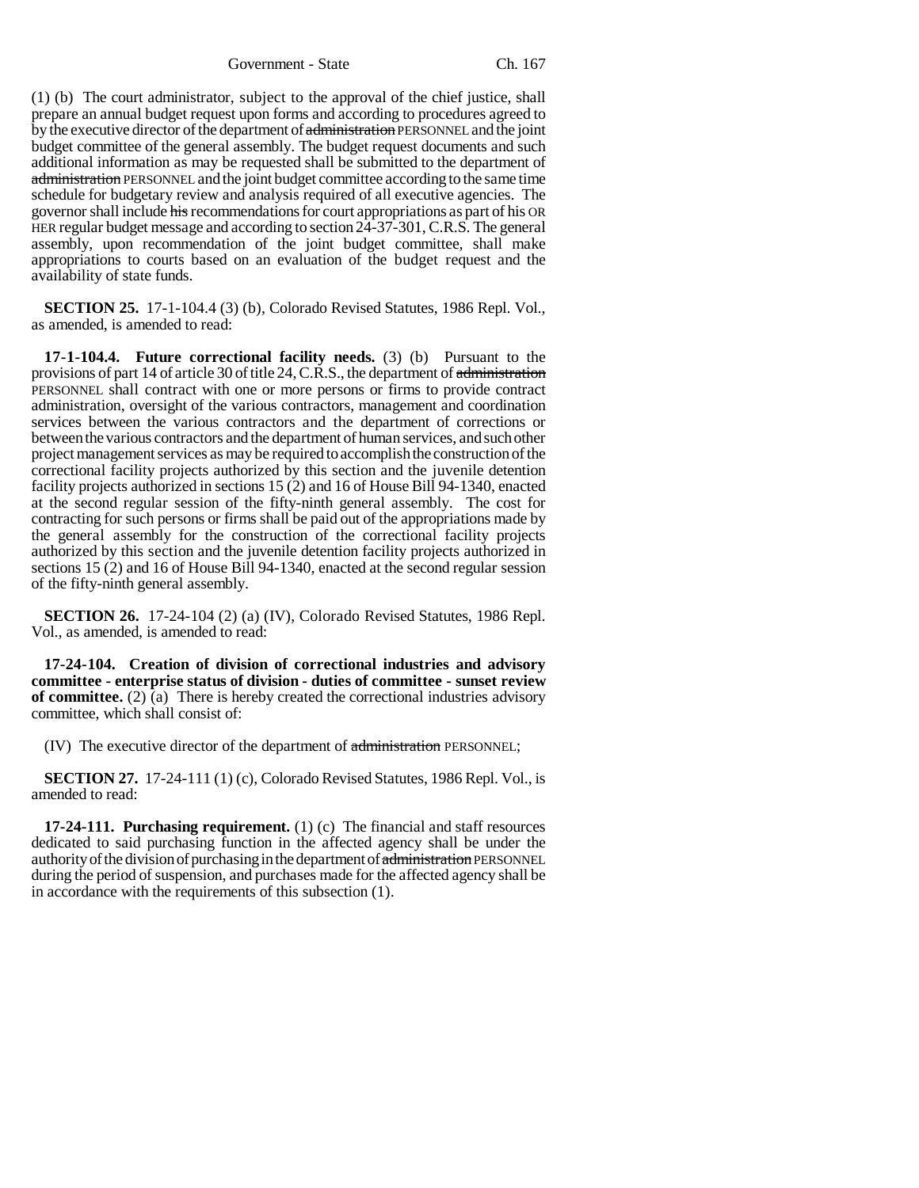Government - State Ch. 167

(1) (b) The court administrator, subject to the approval of the chief justice, shall prepare an annual budget request upon forms and according to procedures agreed to by the executive director of the department of administration PERSONNEL and the joint budget committee of the general assembly. The budget request documents and such additional information as may be requested shall be submitted to the department of administration PERSONNEL and the joint budget committee according to the same time schedule for budgetary review and analysis required of all executive agencies. The governor shall include his recommendations for court appropriations as part of his OR HER regular budget message and according to section 24-37-301, C.R.S. The general assembly, upon recommendation of the joint budget committee, shall make appropriations to courts based on an evaluation of the budget request and the availability of state funds.

**SECTION 25.** 17-1-104.4 (3) (b), Colorado Revised Statutes, 1986 Repl. Vol., as amended, is amended to read:

**17-1-104.4. Future correctional facility needs.** (3) (b) Pursuant to the provisions of part 14 of article 30 of title 24, C.R.S., the department of administration PERSONNEL shall contract with one or more persons or firms to provide contract administration, oversight of the various contractors, management and coordination services between the various contractors and the department of corrections or between the various contractors and the department of human services, and such other project management services as may be required to accomplish the construction of the correctional facility projects authorized by this section and the juvenile detention facility projects authorized in sections 15 (2) and 16 of House Bill 94-1340, enacted at the second regular session of the fifty-ninth general assembly. The cost for contracting for such persons or firms shall be paid out of the appropriations made by the general assembly for the construction of the correctional facility projects authorized by this section and the juvenile detention facility projects authorized in sections 15 (2) and 16 of House Bill 94-1340, enacted at the second regular session of the fifty-ninth general assembly.

**SECTION 26.** 17-24-104 (2) (a) (IV), Colorado Revised Statutes, 1986 Repl. Vol., as amended, is amended to read:

**17-24-104. Creation of division of correctional industries and advisory committee - enterprise status of division - duties of committee - sunset review of committee.** (2) (a) There is hereby created the correctional industries advisory committee, which shall consist of:

(IV) The executive director of the department of administration PERSONNEL;

**SECTION 27.** 17-24-111 (1) (c), Colorado Revised Statutes, 1986 Repl. Vol., is amended to read:

**17-24-111. Purchasing requirement.** (1) (c) The financial and staff resources dedicated to said purchasing function in the affected agency shall be under the authority of the division of purchasing in the department of administration PERSONNEL during the period of suspension, and purchases made for the affected agency shall be in accordance with the requirements of this subsection (1).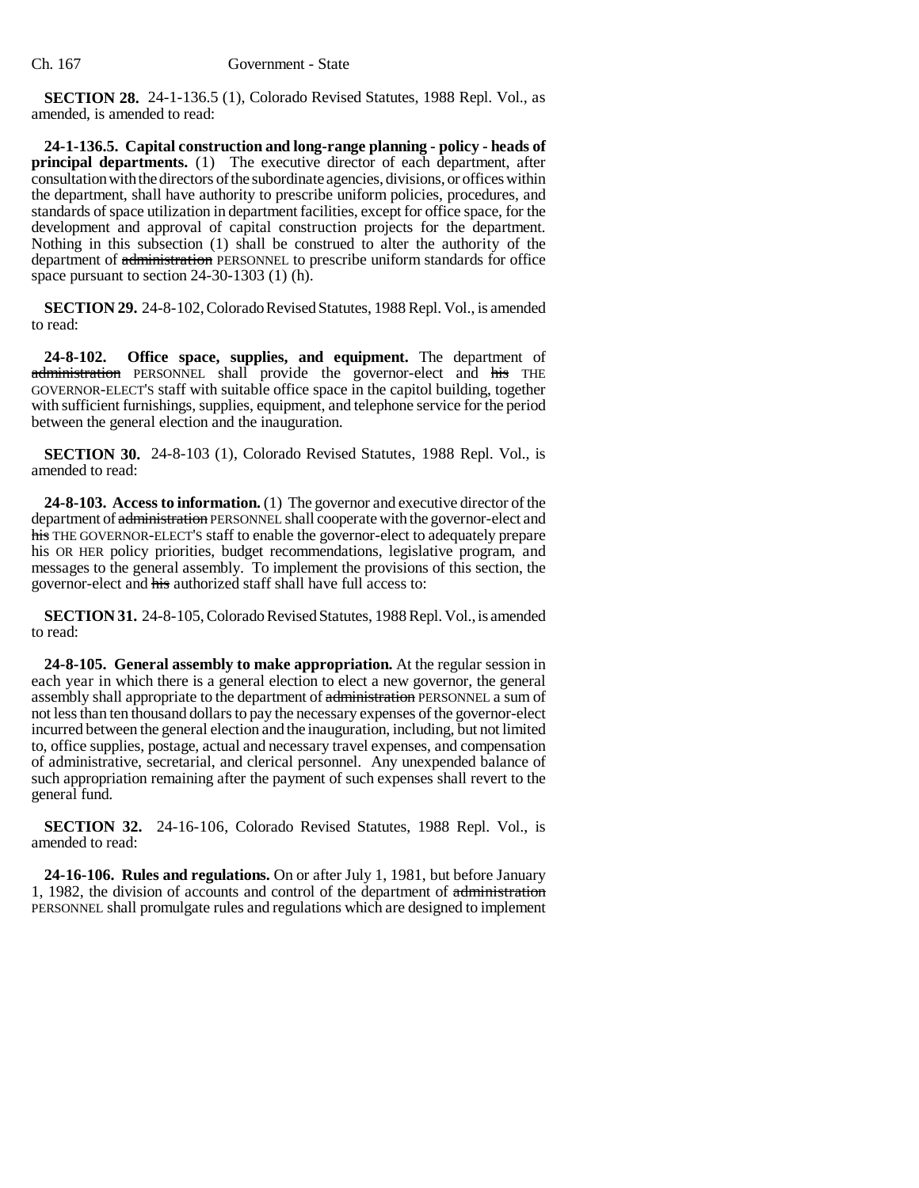**SECTION 28.** 24-1-136.5 (1), Colorado Revised Statutes, 1988 Repl. Vol., as amended, is amended to read:

**24-1-136.5. Capital construction and long-range planning - policy - heads of principal departments.** (1) The executive director of each department, after consultation with the directors of the subordinate agencies, divisions, or offices within the department, shall have authority to prescribe uniform policies, procedures, and standards of space utilization in department facilities, except for office space, for the development and approval of capital construction projects for the department. Nothing in this subsection (1) shall be construed to alter the authority of the department of administration PERSONNEL to prescribe uniform standards for office space pursuant to section 24-30-1303 (1) (h).

**SECTION 29.** 24-8-102, Colorado Revised Statutes, 1988 Repl. Vol., is amended to read:

**24-8-102. Office space, supplies, and equipment.** The department of administration PERSONNEL shall provide the governor-elect and his THE GOVERNOR-ELECT'S staff with suitable office space in the capitol building, together with sufficient furnishings, supplies, equipment, and telephone service for the period between the general election and the inauguration.

**SECTION 30.** 24-8-103 (1), Colorado Revised Statutes, 1988 Repl. Vol., is amended to read:

**24-8-103. Access to information.** (1) The governor and executive director of the department of administration PERSONNEL shall cooperate with the governor-elect and his THE GOVERNOR-ELECT'S staff to enable the governor-elect to adequately prepare his OR HER policy priorities, budget recommendations, legislative program, and messages to the general assembly. To implement the provisions of this section, the governor-elect and his authorized staff shall have full access to:

**SECTION 31.** 24-8-105, Colorado Revised Statutes, 1988 Repl. Vol., is amended to read:

**24-8-105. General assembly to make appropriation.** At the regular session in each year in which there is a general election to elect a new governor, the general assembly shall appropriate to the department of administration PERSONNEL a sum of not less than ten thousand dollars to pay the necessary expenses of the governor-elect incurred between the general election and the inauguration, including, but not limited to, office supplies, postage, actual and necessary travel expenses, and compensation of administrative, secretarial, and clerical personnel. Any unexpended balance of such appropriation remaining after the payment of such expenses shall revert to the general fund.

**SECTION 32.** 24-16-106, Colorado Revised Statutes, 1988 Repl. Vol., is amended to read:

**24-16-106. Rules and regulations.** On or after July 1, 1981, but before January 1, 1982, the division of accounts and control of the department of administration PERSONNEL shall promulgate rules and regulations which are designed to implement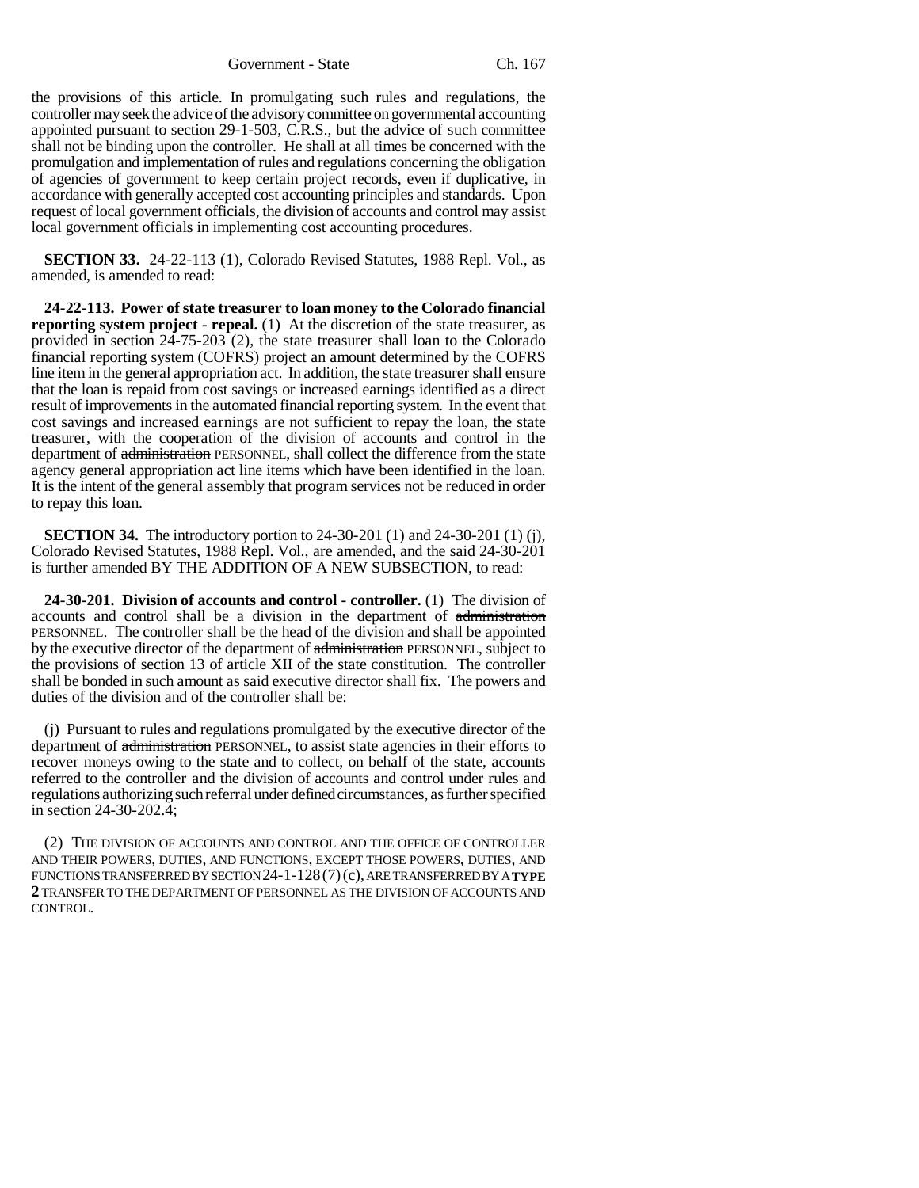Government - State Ch. 167

the provisions of this article. In promulgating such rules and regulations, the controller may seek the advice of the advisory committee on governmental accounting appointed pursuant to section 29-1-503, C.R.S., but the advice of such committee shall not be binding upon the controller. He shall at all times be concerned with the promulgation and implementation of rules and regulations concerning the obligation of agencies of government to keep certain project records, even if duplicative, in accordance with generally accepted cost accounting principles and standards. Upon request of local government officials, the division of accounts and control may assist local government officials in implementing cost accounting procedures.

**SECTION 33.** 24-22-113 (1), Colorado Revised Statutes, 1988 Repl. Vol., as amended, is amended to read:

**24-22-113. Power of state treasurer to loan money to the Colorado financial reporting system project - repeal.** (1) At the discretion of the state treasurer, as provided in section 24-75-203 (2), the state treasurer shall loan to the Colorado financial reporting system (COFRS) project an amount determined by the COFRS line item in the general appropriation act. In addition, the state treasurer shall ensure that the loan is repaid from cost savings or increased earnings identified as a direct result of improvements in the automated financial reporting system. In the event that cost savings and increased earnings are not sufficient to repay the loan, the state treasurer, with the cooperation of the division of accounts and control in the department of administration PERSONNEL, shall collect the difference from the state agency general appropriation act line items which have been identified in the loan. It is the intent of the general assembly that program services not be reduced in order to repay this loan.

**SECTION 34.** The introductory portion to 24-30-201 (1) and 24-30-201 (1) (j), Colorado Revised Statutes, 1988 Repl. Vol., are amended, and the said 24-30-201 is further amended BY THE ADDITION OF A NEW SUBSECTION, to read:

**24-30-201. Division of accounts and control - controller.** (1) The division of accounts and control shall be a division in the department of administration PERSONNEL. The controller shall be the head of the division and shall be appointed by the executive director of the department of administration PERSONNEL, subject to the provisions of section 13 of article XII of the state constitution. The controller shall be bonded in such amount as said executive director shall fix. The powers and duties of the division and of the controller shall be:

(j) Pursuant to rules and regulations promulgated by the executive director of the department of administration PERSONNEL, to assist state agencies in their efforts to recover moneys owing to the state and to collect, on behalf of the state, accounts referred to the controller and the division of accounts and control under rules and regulations authorizing such referral under defined circumstances, as further specified in section 24-30-202.4;

(2) THE DIVISION OF ACCOUNTS AND CONTROL AND THE OFFICE OF CONTROLLER AND THEIR POWERS, DUTIES, AND FUNCTIONS, EXCEPT THOSE POWERS, DUTIES, AND FUNCTIONS TRANSFERRED BY SECTION 24-1-128(7)(c), ARE TRANSFERRED BY A **TYPE 2** TRANSFER TO THE DEPARTMENT OF PERSONNEL AS THE DIVISION OF ACCOUNTS AND CONTROL.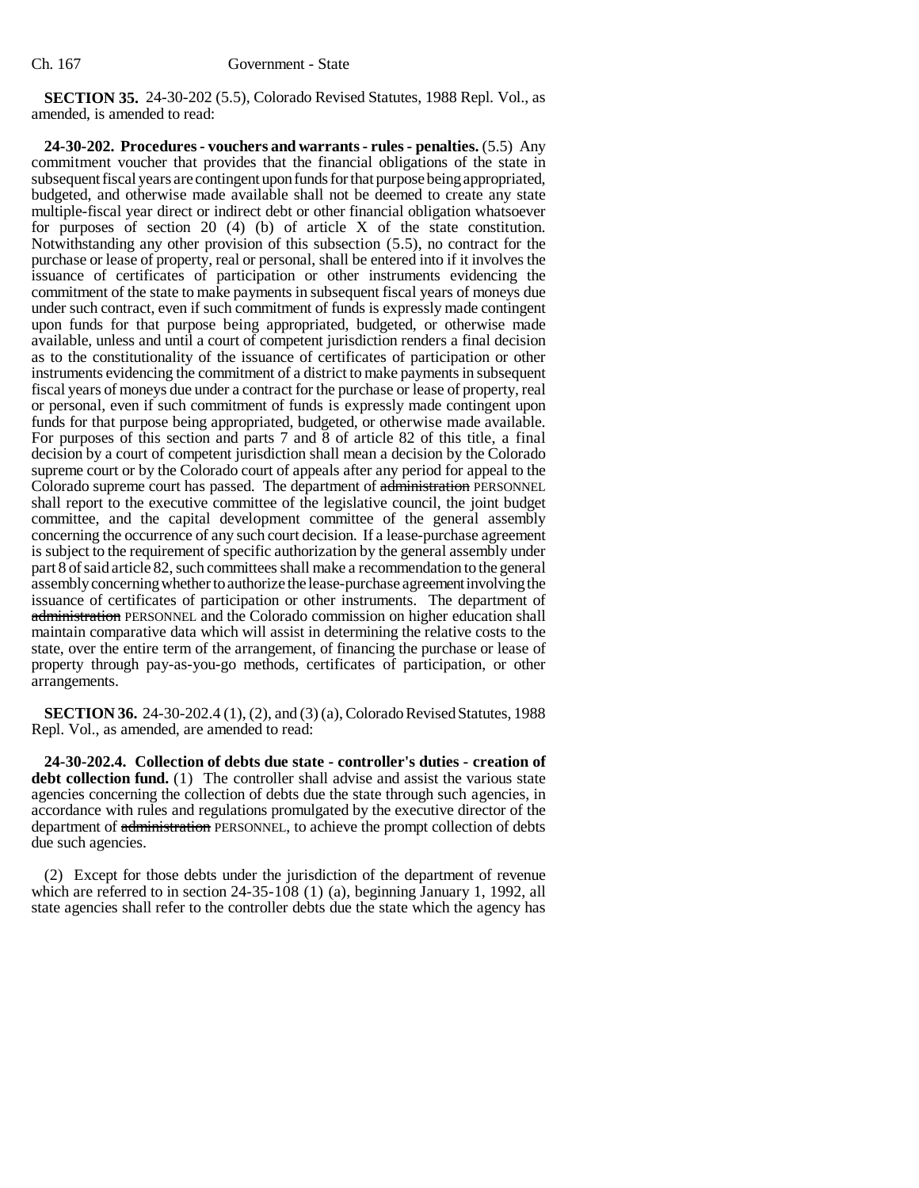**SECTION 35.** 24-30-202 (5.5), Colorado Revised Statutes, 1988 Repl. Vol., as amended, is amended to read:

**24-30-202. Procedures - vouchers and warrants - rules - penalties.** (5.5) Any commitment voucher that provides that the financial obligations of the state in subsequent fiscal years are contingent upon funds for that purpose being appropriated, budgeted, and otherwise made available shall not be deemed to create any state multiple-fiscal year direct or indirect debt or other financial obligation whatsoever for purposes of section 20 (4) (b) of article X of the state constitution. Notwithstanding any other provision of this subsection (5.5), no contract for the purchase or lease of property, real or personal, shall be entered into if it involves the issuance of certificates of participation or other instruments evidencing the commitment of the state to make payments in subsequent fiscal years of moneys due under such contract, even if such commitment of funds is expressly made contingent upon funds for that purpose being appropriated, budgeted, or otherwise made available, unless and until a court of competent jurisdiction renders a final decision as to the constitutionality of the issuance of certificates of participation or other instruments evidencing the commitment of a district to make payments in subsequent fiscal years of moneys due under a contract for the purchase or lease of property, real or personal, even if such commitment of funds is expressly made contingent upon funds for that purpose being appropriated, budgeted, or otherwise made available. For purposes of this section and parts 7 and 8 of article 82 of this title, a final decision by a court of competent jurisdiction shall mean a decision by the Colorado supreme court or by the Colorado court of appeals after any period for appeal to the Colorado supreme court has passed. The department of administration PERSONNEL shall report to the executive committee of the legislative council, the joint budget committee, and the capital development committee of the general assembly concerning the occurrence of any such court decision. If a lease-purchase agreement is subject to the requirement of specific authorization by the general assembly under part 8 of said article 82, such committees shall make a recommendation to the general assembly concerning whether to authorize the lease-purchase agreement involving the issuance of certificates of participation or other instruments. The department of administration PERSONNEL and the Colorado commission on higher education shall maintain comparative data which will assist in determining the relative costs to the state, over the entire term of the arrangement, of financing the purchase or lease of property through pay-as-you-go methods, certificates of participation, or other arrangements.

**SECTION 36.** 24-30-202.4 (1), (2), and (3) (a), Colorado Revised Statutes, 1988 Repl. Vol., as amended, are amended to read:

**24-30-202.4. Collection of debts due state - controller's duties - creation of debt collection fund.** (1) The controller shall advise and assist the various state agencies concerning the collection of debts due the state through such agencies, in accordance with rules and regulations promulgated by the executive director of the department of administration PERSONNEL, to achieve the prompt collection of debts due such agencies.

(2) Except for those debts under the jurisdiction of the department of revenue which are referred to in section 24-35-108 (1) (a), beginning January 1, 1992, all state agencies shall refer to the controller debts due the state which the agency has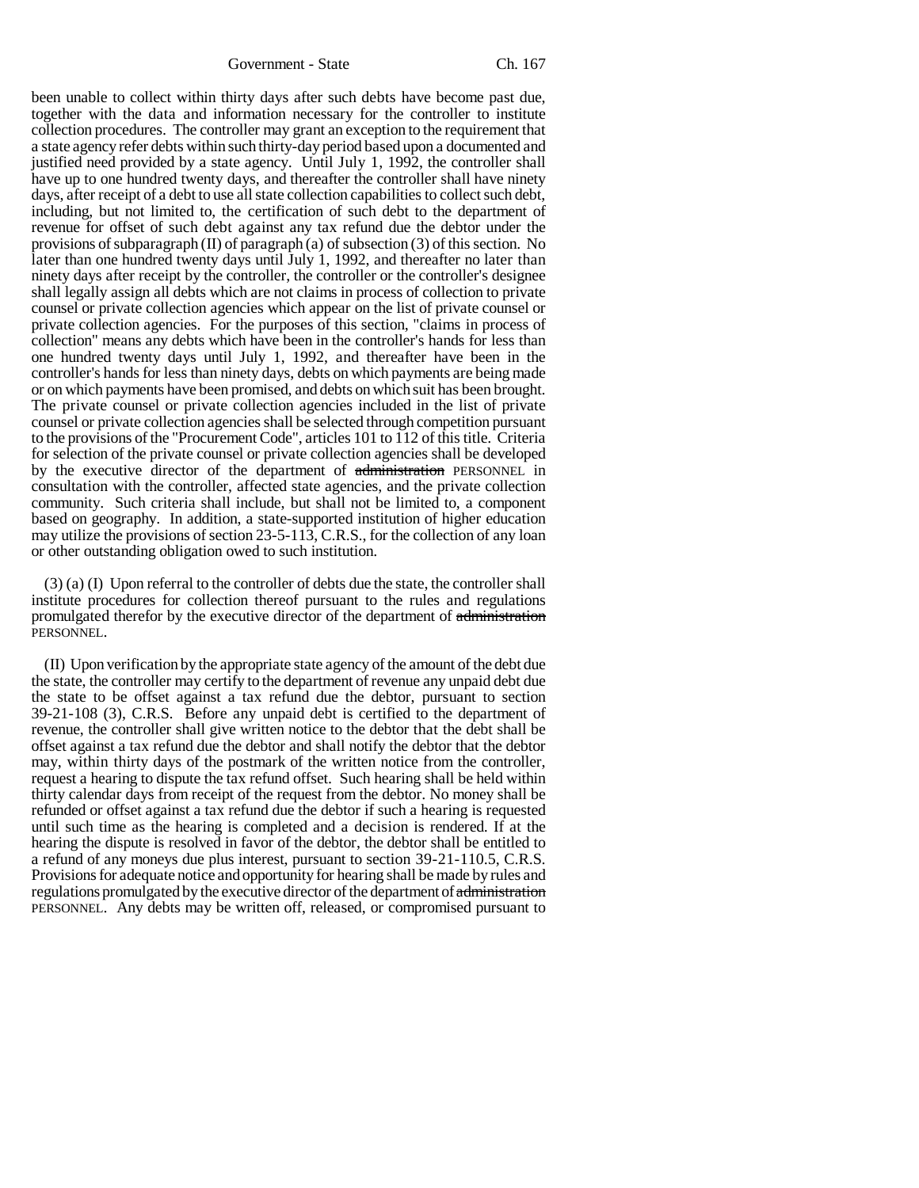been unable to collect within thirty days after such debts have become past due, together with the data and information necessary for the controller to institute collection procedures. The controller may grant an exception to the requirement that a state agency refer debts within such thirty-day period based upon a documented and justified need provided by a state agency. Until July 1, 1992, the controller shall have up to one hundred twenty days, and thereafter the controller shall have ninety days, after receipt of a debt to use all state collection capabilities to collect such debt, including, but not limited to, the certification of such debt to the department of revenue for offset of such debt against any tax refund due the debtor under the provisions of subparagraph (II) of paragraph (a) of subsection (3) of this section. No later than one hundred twenty days until July 1, 1992, and thereafter no later than ninety days after receipt by the controller, the controller or the controller's designee shall legally assign all debts which are not claims in process of collection to private counsel or private collection agencies which appear on the list of private counsel or private collection agencies. For the purposes of this section, "claims in process of collection" means any debts which have been in the controller's hands for less than one hundred twenty days until July 1, 1992, and thereafter have been in the controller's hands for less than ninety days, debts on which payments are being made or on which payments have been promised, and debts on which suit has been brought. The private counsel or private collection agencies included in the list of private counsel or private collection agencies shall be selected through competition pursuant to the provisions of the "Procurement Code", articles 101 to 112 of this title. Criteria for selection of the private counsel or private collection agencies shall be developed by the executive director of the department of administration PERSONNEL in consultation with the controller, affected state agencies, and the private collection community. Such criteria shall include, but shall not be limited to, a component based on geography. In addition, a state-supported institution of higher education may utilize the provisions of section 23-5-113, C.R.S., for the collection of any loan or other outstanding obligation owed to such institution.

(3) (a) (I) Upon referral to the controller of debts due the state, the controller shall institute procedures for collection thereof pursuant to the rules and regulations promulgated therefor by the executive director of the department of administration PERSONNEL.

(II) Upon verification by the appropriate state agency of the amount of the debt due the state, the controller may certify to the department of revenue any unpaid debt due the state to be offset against a tax refund due the debtor, pursuant to section 39-21-108 (3), C.R.S. Before any unpaid debt is certified to the department of revenue, the controller shall give written notice to the debtor that the debt shall be offset against a tax refund due the debtor and shall notify the debtor that the debtor may, within thirty days of the postmark of the written notice from the controller, request a hearing to dispute the tax refund offset. Such hearing shall be held within thirty calendar days from receipt of the request from the debtor. No money shall be refunded or offset against a tax refund due the debtor if such a hearing is requested until such time as the hearing is completed and a decision is rendered. If at the hearing the dispute is resolved in favor of the debtor, the debtor shall be entitled to a refund of any moneys due plus interest, pursuant to section 39-21-110.5, C.R.S. Provisions for adequate notice and opportunity for hearing shall be made by rules and regulations promulgated by the executive director of the department of administration PERSONNEL. Any debts may be written off, released, or compromised pursuant to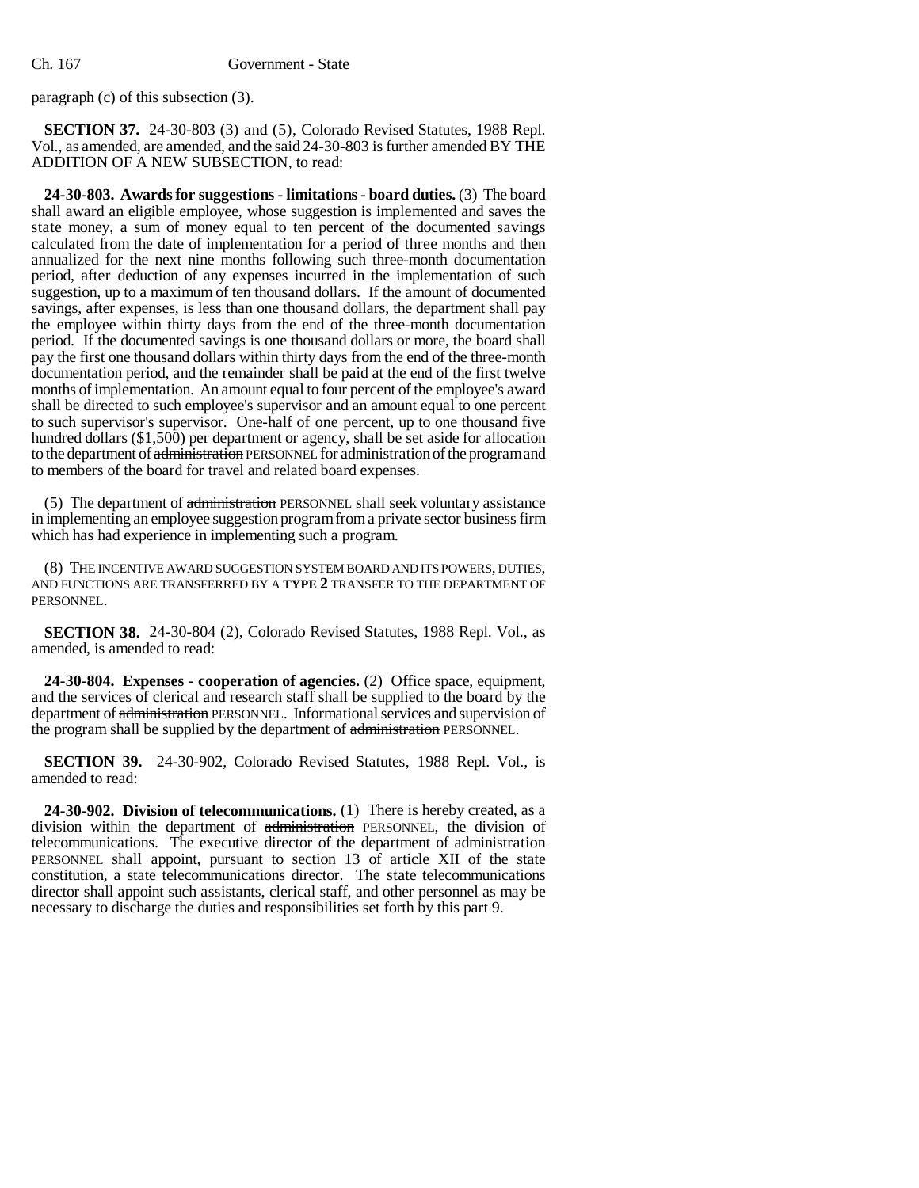paragraph (c) of this subsection (3).

**SECTION 37.** 24-30-803 (3) and (5), Colorado Revised Statutes, 1988 Repl. Vol., as amended, are amended, and the said 24-30-803 is further amended BY THE ADDITION OF A NEW SUBSECTION, to read:

**24-30-803. Awards for suggestions - limitations - board duties.** (3) The board shall award an eligible employee, whose suggestion is implemented and saves the state money, a sum of money equal to ten percent of the documented savings calculated from the date of implementation for a period of three months and then annualized for the next nine months following such three-month documentation period, after deduction of any expenses incurred in the implementation of such suggestion, up to a maximum of ten thousand dollars. If the amount of documented savings, after expenses, is less than one thousand dollars, the department shall pay the employee within thirty days from the end of the three-month documentation period. If the documented savings is one thousand dollars or more, the board shall pay the first one thousand dollars within thirty days from the end of the three-month documentation period, and the remainder shall be paid at the end of the first twelve months of implementation. An amount equal to four percent of the employee's award shall be directed to such employee's supervisor and an amount equal to one percent to such supervisor's supervisor. One-half of one percent, up to one thousand five hundred dollars (\$1,500) per department or agency, shall be set aside for allocation to the department of administration PERSONNEL for administration of the program and to members of the board for travel and related board expenses.

(5) The department of administration PERSONNEL shall seek voluntary assistance in implementing an employee suggestion program from a private sector business firm which has had experience in implementing such a program.

(8) THE INCENTIVE AWARD SUGGESTION SYSTEM BOARD AND ITS POWERS, DUTIES, AND FUNCTIONS ARE TRANSFERRED BY A **TYPE 2** TRANSFER TO THE DEPARTMENT OF PERSONNEL.

**SECTION 38.** 24-30-804 (2), Colorado Revised Statutes, 1988 Repl. Vol., as amended, is amended to read:

**24-30-804. Expenses - cooperation of agencies.** (2) Office space, equipment, and the services of clerical and research staff shall be supplied to the board by the department of administration PERSONNEL. Informational services and supervision of the program shall be supplied by the department of administration PERSONNEL.

**SECTION 39.** 24-30-902, Colorado Revised Statutes, 1988 Repl. Vol., is amended to read:

**24-30-902. Division of telecommunications.** (1) There is hereby created, as a division within the department of administration PERSONNEL, the division of telecommunications. The executive director of the department of administration PERSONNEL shall appoint, pursuant to section 13 of article XII of the state constitution, a state telecommunications director. The state telecommunications director shall appoint such assistants, clerical staff, and other personnel as may be necessary to discharge the duties and responsibilities set forth by this part 9.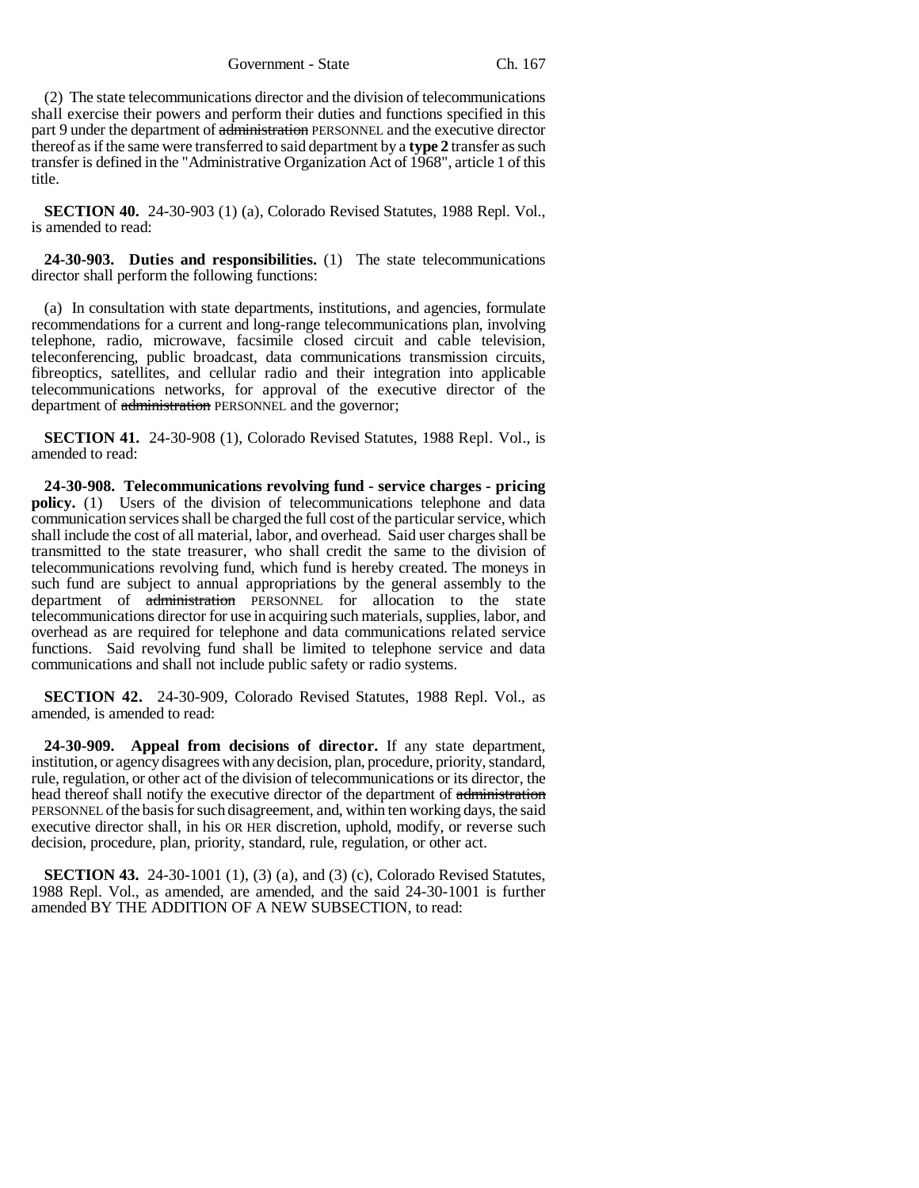Government - State Ch. 167

(2) The state telecommunications director and the division of telecommunications shall exercise their powers and perform their duties and functions specified in this part 9 under the department of administration PERSONNEL and the executive director thereof as if the same were transferred to said department by a **type 2** transfer as such transfer is defined in the "Administrative Organization Act of 1968", article 1 of this title.

**SECTION 40.** 24-30-903 (1) (a), Colorado Revised Statutes, 1988 Repl. Vol., is amended to read:

**24-30-903. Duties and responsibilities.** (1) The state telecommunications director shall perform the following functions:

(a) In consultation with state departments, institutions, and agencies, formulate recommendations for a current and long-range telecommunications plan, involving telephone, radio, microwave, facsimile closed circuit and cable television, teleconferencing, public broadcast, data communications transmission circuits, fibreoptics, satellites, and cellular radio and their integration into applicable telecommunications networks, for approval of the executive director of the department of administration PERSONNEL and the governor;

**SECTION 41.** 24-30-908 (1), Colorado Revised Statutes, 1988 Repl. Vol., is amended to read:

**24-30-908. Telecommunications revolving fund - service charges - pricing policy.** (1) Users of the division of telecommunications telephone and data communication services shall be charged the full cost of the particular service, which shall include the cost of all material, labor, and overhead. Said user charges shall be transmitted to the state treasurer, who shall credit the same to the division of telecommunications revolving fund, which fund is hereby created. The moneys in such fund are subject to annual appropriations by the general assembly to the department of administration PERSONNEL for allocation to the state telecommunications director for use in acquiring such materials, supplies, labor, and overhead as are required for telephone and data communications related service functions. Said revolving fund shall be limited to telephone service and data communications and shall not include public safety or radio systems.

**SECTION 42.** 24-30-909, Colorado Revised Statutes, 1988 Repl. Vol., as amended, is amended to read:

**24-30-909. Appeal from decisions of director.** If any state department, institution, or agency disagrees with any decision, plan, procedure, priority, standard, rule, regulation, or other act of the division of telecommunications or its director, the head thereof shall notify the executive director of the department of administration PERSONNEL of the basis for such disagreement, and, within ten working days, the said executive director shall, in his OR HER discretion, uphold, modify, or reverse such decision, procedure, plan, priority, standard, rule, regulation, or other act.

**SECTION 43.** 24-30-1001 (1), (3) (a), and (3) (c), Colorado Revised Statutes, 1988 Repl. Vol., as amended, are amended, and the said 24-30-1001 is further amended BY THE ADDITION OF A NEW SUBSECTION, to read: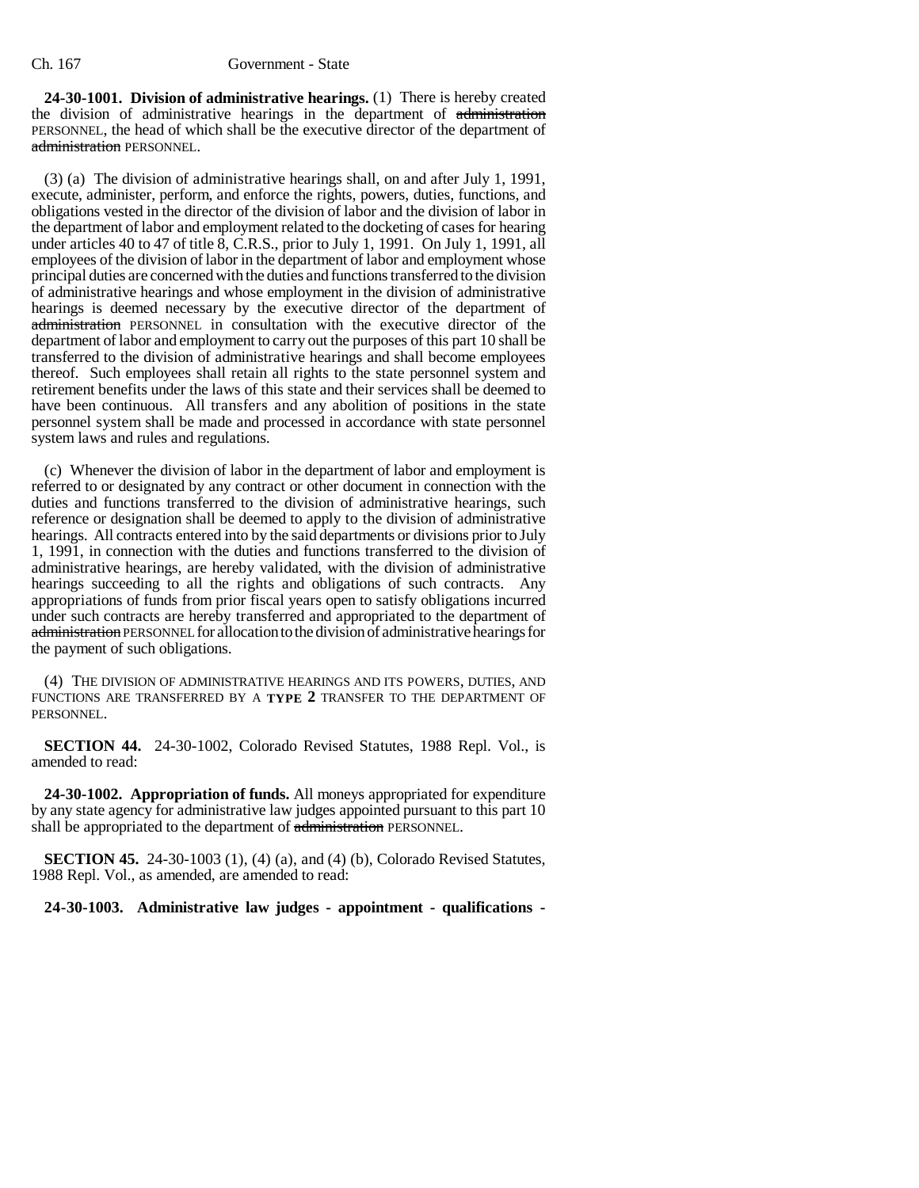**24-30-1001. Division of administrative hearings.** (1) There is hereby created the division of administrative hearings in the department of administration PERSONNEL, the head of which shall be the executive director of the department of administration PERSONNEL.

(3) (a) The division of administrative hearings shall, on and after July 1, 1991, execute, administer, perform, and enforce the rights, powers, duties, functions, and obligations vested in the director of the division of labor and the division of labor in the department of labor and employment related to the docketing of cases for hearing under articles 40 to 47 of title  $\overline{8}$ , C.R.S., prior to July 1, 1991. On July 1, 1991, all employees of the division of labor in the department of labor and employment whose principal duties are concerned with the duties and functions transferred to the division of administrative hearings and whose employment in the division of administrative hearings is deemed necessary by the executive director of the department of administration PERSONNEL in consultation with the executive director of the department of labor and employment to carry out the purposes of this part 10 shall be transferred to the division of administrative hearings and shall become employees thereof. Such employees shall retain all rights to the state personnel system and retirement benefits under the laws of this state and their services shall be deemed to have been continuous. All transfers and any abolition of positions in the state personnel system shall be made and processed in accordance with state personnel system laws and rules and regulations.

(c) Whenever the division of labor in the department of labor and employment is referred to or designated by any contract or other document in connection with the duties and functions transferred to the division of administrative hearings, such reference or designation shall be deemed to apply to the division of administrative hearings. All contracts entered into by the said departments or divisions prior to July 1, 1991, in connection with the duties and functions transferred to the division of administrative hearings, are hereby validated, with the division of administrative hearings succeeding to all the rights and obligations of such contracts. Any appropriations of funds from prior fiscal years open to satisfy obligations incurred under such contracts are hereby transferred and appropriated to the department of administration PERSONNEL for allocation to the division of administrative hearings for the payment of such obligations.

(4) THE DIVISION OF ADMINISTRATIVE HEARINGS AND ITS POWERS, DUTIES, AND FUNCTIONS ARE TRANSFERRED BY A **TYPE 2** TRANSFER TO THE DEPARTMENT OF PERSONNEL.

**SECTION 44.** 24-30-1002, Colorado Revised Statutes, 1988 Repl. Vol., is amended to read:

**24-30-1002. Appropriation of funds.** All moneys appropriated for expenditure by any state agency for administrative law judges appointed pursuant to this part 10 shall be appropriated to the department of administration PERSONNEL.

**SECTION 45.** 24-30-1003 (1), (4) (a), and (4) (b), Colorado Revised Statutes, 1988 Repl. Vol., as amended, are amended to read:

**24-30-1003. Administrative law judges - appointment - qualifications -**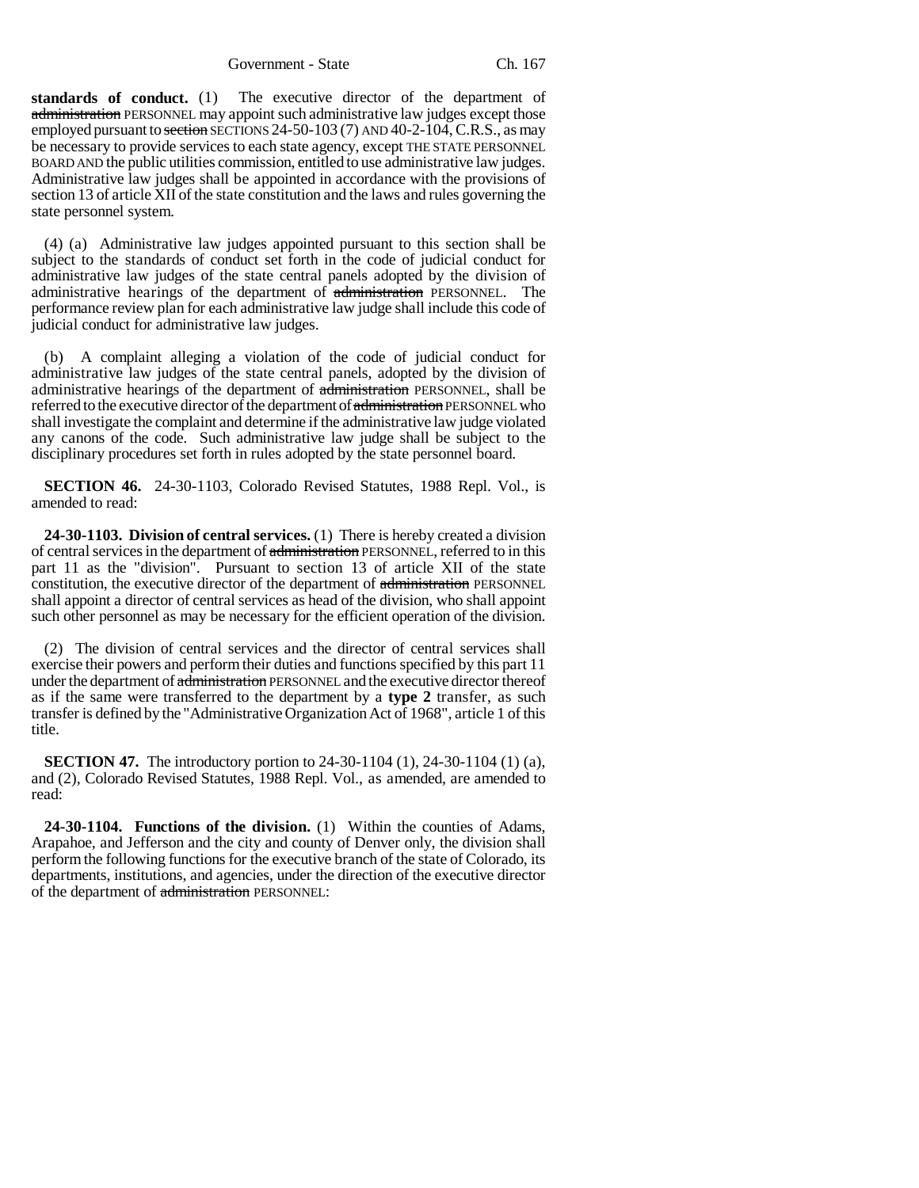Government - State Ch. 167

**standards of conduct.** (1) The executive director of the department of administration PERSONNEL may appoint such administrative law judges except those employed pursuant to section SECTIONS 24-50-103 (7) AND 40-2-104, C.R.S., as may be necessary to provide services to each state agency, except THE STATE PERSONNEL BOARD AND the public utilities commission, entitled to use administrative law judges. Administrative law judges shall be appointed in accordance with the provisions of section 13 of article XII of the state constitution and the laws and rules governing the state personnel system.

(4) (a) Administrative law judges appointed pursuant to this section shall be subject to the standards of conduct set forth in the code of judicial conduct for administrative law judges of the state central panels adopted by the division of administrative hearings of the department of administration PERSONNEL. The performance review plan for each administrative law judge shall include this code of judicial conduct for administrative law judges.

(b) A complaint alleging a violation of the code of judicial conduct for administrative law judges of the state central panels, adopted by the division of administrative hearings of the department of administration PERSONNEL, shall be referred to the executive director of the department of administration PERSONNEL who shall investigate the complaint and determine if the administrative law judge violated any canons of the code. Such administrative law judge shall be subject to the disciplinary procedures set forth in rules adopted by the state personnel board.

**SECTION 46.** 24-30-1103, Colorado Revised Statutes, 1988 Repl. Vol., is amended to read:

**24-30-1103. Division of central services.** (1) There is hereby created a division of central services in the department of administration PERSONNEL, referred to in this part 11 as the "division". Pursuant to section 13 of article XII of the state constitution, the executive director of the department of administration PERSONNEL shall appoint a director of central services as head of the division, who shall appoint such other personnel as may be necessary for the efficient operation of the division.

(2) The division of central services and the director of central services shall exercise their powers and perform their duties and functions specified by this part 11 under the department of administration PERSONNEL and the executive director thereof as if the same were transferred to the department by a **type 2** transfer, as such transfer is defined by the "Administrative Organization Act of 1968", article 1 of this title.

**SECTION 47.** The introductory portion to 24-30-1104 (1), 24-30-1104 (1) (a), and (2), Colorado Revised Statutes, 1988 Repl. Vol., as amended, are amended to read:

**24-30-1104. Functions of the division.** (1) Within the counties of Adams, Arapahoe, and Jefferson and the city and county of Denver only, the division shall perform the following functions for the executive branch of the state of Colorado, its departments, institutions, and agencies, under the direction of the executive director of the department of administration PERSONNEL: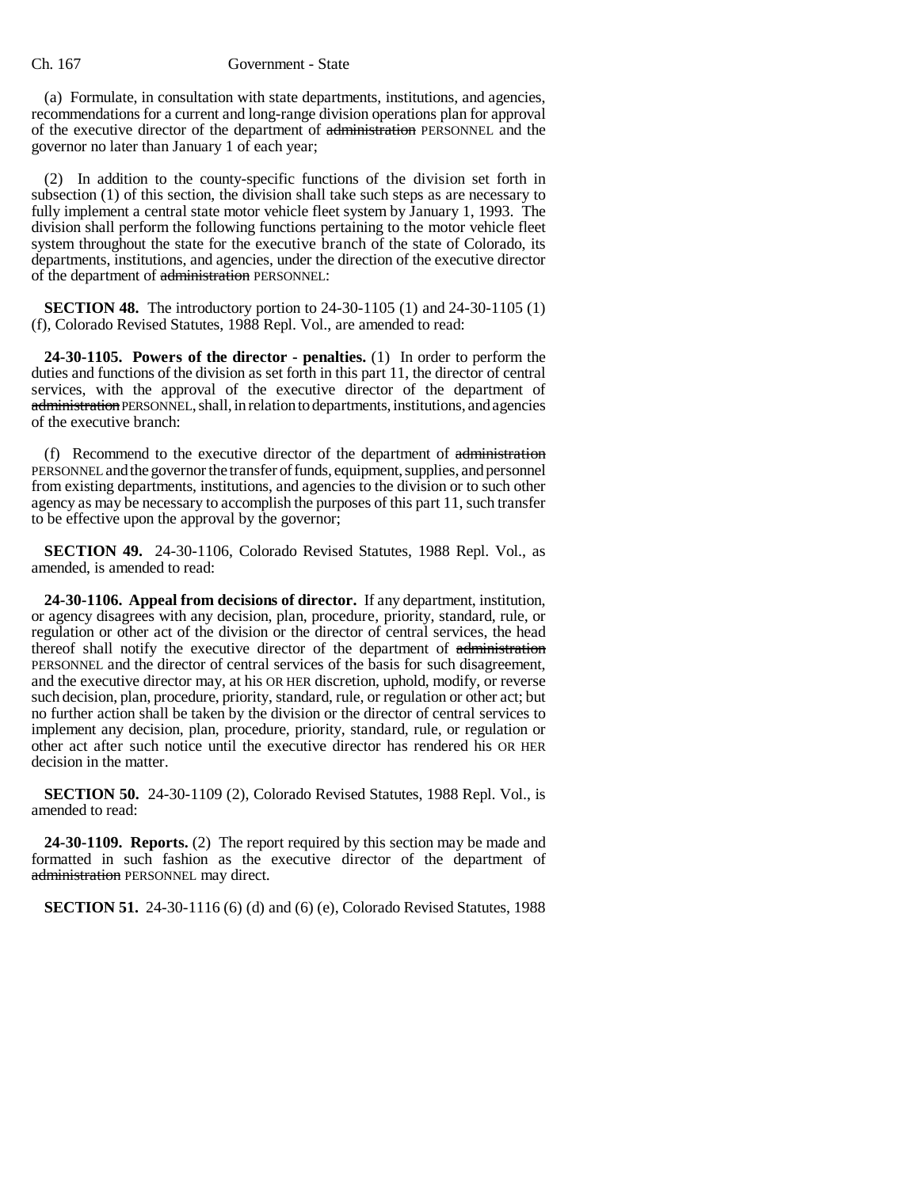(a) Formulate, in consultation with state departments, institutions, and agencies, recommendations for a current and long-range division operations plan for approval of the executive director of the department of administration PERSONNEL and the governor no later than January 1 of each year;

(2) In addition to the county-specific functions of the division set forth in subsection (1) of this section, the division shall take such steps as are necessary to fully implement a central state motor vehicle fleet system by January 1, 1993. The division shall perform the following functions pertaining to the motor vehicle fleet system throughout the state for the executive branch of the state of Colorado, its departments, institutions, and agencies, under the direction of the executive director of the department of administration PERSONNEL:

**SECTION 48.** The introductory portion to 24-30-1105 (1) and 24-30-1105 (1) (f), Colorado Revised Statutes, 1988 Repl. Vol., are amended to read:

**24-30-1105. Powers of the director - penalties.** (1) In order to perform the duties and functions of the division as set forth in this part 11, the director of central services, with the approval of the executive director of the department of administration PERSONNEL, shall, in relation to departments, institutions, and agencies of the executive branch:

(f) Recommend to the executive director of the department of administration PERSONNEL and the governor the transfer of funds, equipment, supplies, and personnel from existing departments, institutions, and agencies to the division or to such other agency as may be necessary to accomplish the purposes of this part 11, such transfer to be effective upon the approval by the governor;

**SECTION 49.** 24-30-1106, Colorado Revised Statutes, 1988 Repl. Vol., as amended, is amended to read:

**24-30-1106. Appeal from decisions of director.** If any department, institution, or agency disagrees with any decision, plan, procedure, priority, standard, rule, or regulation or other act of the division or the director of central services, the head thereof shall notify the executive director of the department of administration PERSONNEL and the director of central services of the basis for such disagreement, and the executive director may, at his OR HER discretion, uphold, modify, or reverse such decision, plan, procedure, priority, standard, rule, or regulation or other act; but no further action shall be taken by the division or the director of central services to implement any decision, plan, procedure, priority, standard, rule, or regulation or other act after such notice until the executive director has rendered his OR HER decision in the matter.

**SECTION 50.** 24-30-1109 (2), Colorado Revised Statutes, 1988 Repl. Vol., is amended to read:

**24-30-1109. Reports.** (2) The report required by this section may be made and formatted in such fashion as the executive director of the department of administration PERSONNEL may direct.

**SECTION 51.** 24-30-1116 (6) (d) and (6) (e), Colorado Revised Statutes, 1988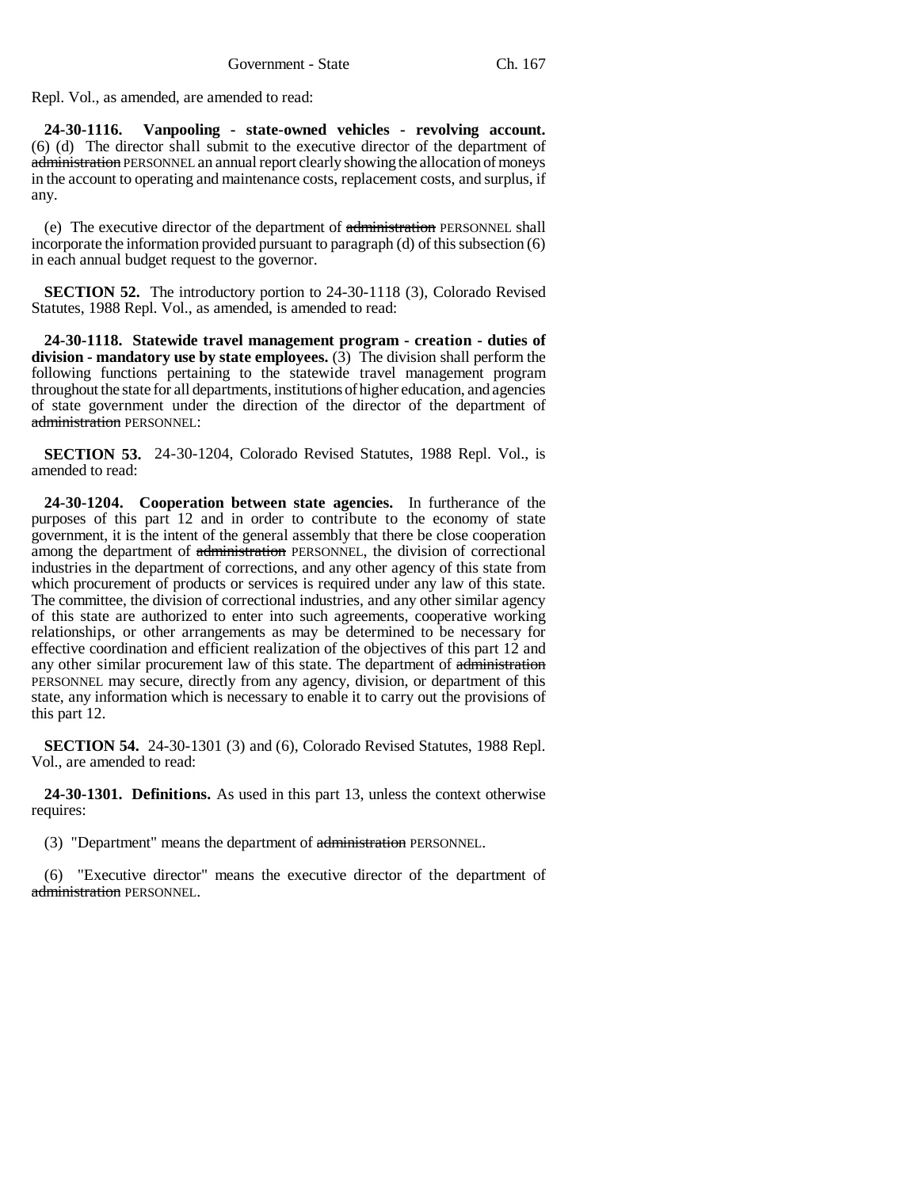Repl. Vol., as amended, are amended to read:

**24-30-1116. Vanpooling - state-owned vehicles - revolving account.** (6) (d) The director shall submit to the executive director of the department of administration PERSONNEL an annual report clearly showing the allocation of moneys in the account to operating and maintenance costs, replacement costs, and surplus, if any.

(e) The executive director of the department of administration PERSONNEL shall incorporate the information provided pursuant to paragraph (d) of this subsection (6) in each annual budget request to the governor.

**SECTION 52.** The introductory portion to 24-30-1118 (3), Colorado Revised Statutes, 1988 Repl. Vol., as amended, is amended to read:

**24-30-1118. Statewide travel management program - creation - duties of division - mandatory use by state employees.** (3) The division shall perform the following functions pertaining to the statewide travel management program throughout the state for all departments, institutions of higher education, and agencies of state government under the direction of the director of the department of administration PERSONNEL:

**SECTION 53.** 24-30-1204, Colorado Revised Statutes, 1988 Repl. Vol., is amended to read:

**24-30-1204. Cooperation between state agencies.** In furtherance of the purposes of this part 12 and in order to contribute to the economy of state government, it is the intent of the general assembly that there be close cooperation among the department of administration PERSONNEL, the division of correctional industries in the department of corrections, and any other agency of this state from which procurement of products or services is required under any law of this state. The committee, the division of correctional industries, and any other similar agency of this state are authorized to enter into such agreements, cooperative working relationships, or other arrangements as may be determined to be necessary for effective coordination and efficient realization of the objectives of this part 12 and any other similar procurement law of this state. The department of administration PERSONNEL may secure, directly from any agency, division, or department of this state, any information which is necessary to enable it to carry out the provisions of this part 12.

**SECTION 54.** 24-30-1301 (3) and (6), Colorado Revised Statutes, 1988 Repl. Vol., are amended to read:

**24-30-1301. Definitions.** As used in this part 13, unless the context otherwise requires:

(3) "Department" means the department of administration PERSONNEL.

(6) "Executive director" means the executive director of the department of administration PERSONNEL.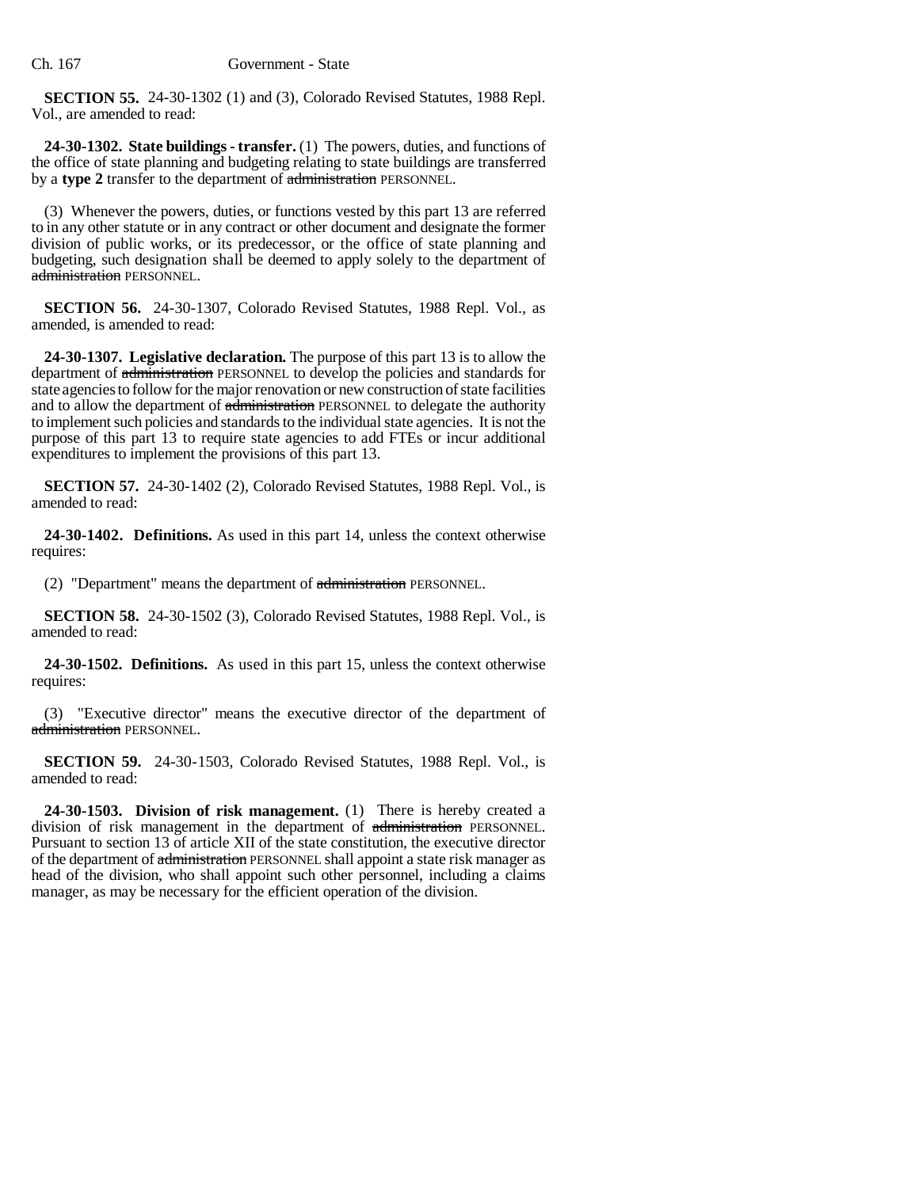**SECTION 55.** 24-30-1302 (1) and (3), Colorado Revised Statutes, 1988 Repl. Vol., are amended to read:

**24-30-1302. State buildings - transfer.** (1) The powers, duties, and functions of the office of state planning and budgeting relating to state buildings are transferred by a **type 2** transfer to the department of administration PERSONNEL.

(3) Whenever the powers, duties, or functions vested by this part 13 are referred to in any other statute or in any contract or other document and designate the former division of public works, or its predecessor, or the office of state planning and budgeting, such designation shall be deemed to apply solely to the department of administration PERSONNEL.

**SECTION 56.** 24-30-1307, Colorado Revised Statutes, 1988 Repl. Vol., as amended, is amended to read:

**24-30-1307. Legislative declaration.** The purpose of this part 13 is to allow the department of administration PERSONNEL to develop the policies and standards for state agencies to follow for the major renovation or new construction of state facilities and to allow the department of administration PERSONNEL to delegate the authority to implement such policies and standards to the individual state agencies. It is not the purpose of this part 13 to require state agencies to add FTEs or incur additional expenditures to implement the provisions of this part 13.

**SECTION 57.** 24-30-1402 (2), Colorado Revised Statutes, 1988 Repl. Vol., is amended to read:

**24-30-1402. Definitions.** As used in this part 14, unless the context otherwise requires:

(2) "Department" means the department of administration PERSONNEL.

**SECTION 58.** 24-30-1502 (3), Colorado Revised Statutes, 1988 Repl. Vol., is amended to read:

**24-30-1502. Definitions.** As used in this part 15, unless the context otherwise requires:

(3) "Executive director" means the executive director of the department of administration PERSONNEL.

**SECTION 59.** 24-30-1503, Colorado Revised Statutes, 1988 Repl. Vol., is amended to read:

**24-30-1503. Division of risk management.** (1) There is hereby created a division of risk management in the department of administration PERSONNEL. Pursuant to section 13 of article XII of the state constitution, the executive director of the department of administration PERSONNEL shall appoint a state risk manager as head of the division, who shall appoint such other personnel, including a claims manager, as may be necessary for the efficient operation of the division.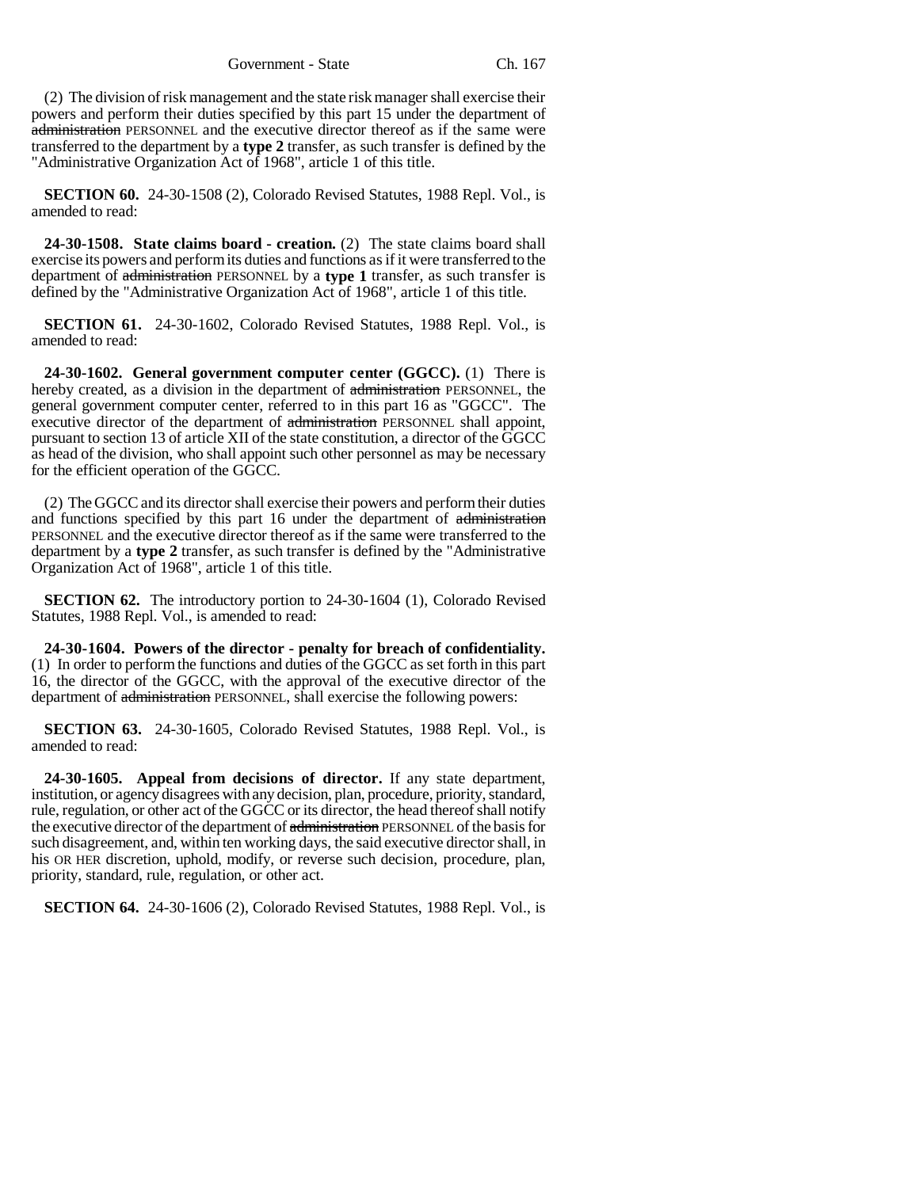(2) The division of risk management and the state risk manager shall exercise their powers and perform their duties specified by this part 15 under the department of administration PERSONNEL and the executive director thereof as if the same were transferred to the department by a **type 2** transfer, as such transfer is defined by the "Administrative Organization Act of 1968", article 1 of this title.

**SECTION 60.** 24-30-1508 (2), Colorado Revised Statutes, 1988 Repl. Vol., is amended to read:

**24-30-1508. State claims board - creation.** (2) The state claims board shall exercise its powers and perform its duties and functions as if it were transferred to the department of administration PERSONNEL by a **type 1** transfer, as such transfer is defined by the "Administrative Organization Act of 1968", article 1 of this title.

**SECTION 61.** 24-30-1602, Colorado Revised Statutes, 1988 Repl. Vol., is amended to read:

**24-30-1602. General government computer center (GGCC).** (1) There is hereby created, as a division in the department of administration PERSONNEL, the general government computer center, referred to in this part 16 as "GGCC". The executive director of the department of administration PERSONNEL shall appoint, pursuant to section 13 of article XII of the state constitution, a director of the GGCC as head of the division, who shall appoint such other personnel as may be necessary for the efficient operation of the GGCC.

(2) The GGCC and its director shall exercise their powers and perform their duties and functions specified by this part 16 under the department of administration PERSONNEL and the executive director thereof as if the same were transferred to the department by a **type 2** transfer, as such transfer is defined by the "Administrative Organization Act of 1968", article 1 of this title.

**SECTION 62.** The introductory portion to 24-30-1604 (1), Colorado Revised Statutes, 1988 Repl. Vol., is amended to read:

**24-30-1604. Powers of the director - penalty for breach of confidentiality.** (1) In order to perform the functions and duties of the GGCC as set forth in this part 16, the director of the GGCC, with the approval of the executive director of the department of administration PERSONNEL, shall exercise the following powers:

**SECTION 63.** 24-30-1605, Colorado Revised Statutes, 1988 Repl. Vol., is amended to read:

**24-30-1605. Appeal from decisions of director.** If any state department, institution, or agency disagrees with any decision, plan, procedure, priority, standard, rule, regulation, or other act of the GGCC or its director, the head thereof shall notify the executive director of the department of administration PERSONNEL of the basis for such disagreement, and, within ten working days, the said executive director shall, in his OR HER discretion, uphold, modify, or reverse such decision, procedure, plan, priority, standard, rule, regulation, or other act.

**SECTION 64.** 24-30-1606 (2), Colorado Revised Statutes, 1988 Repl. Vol., is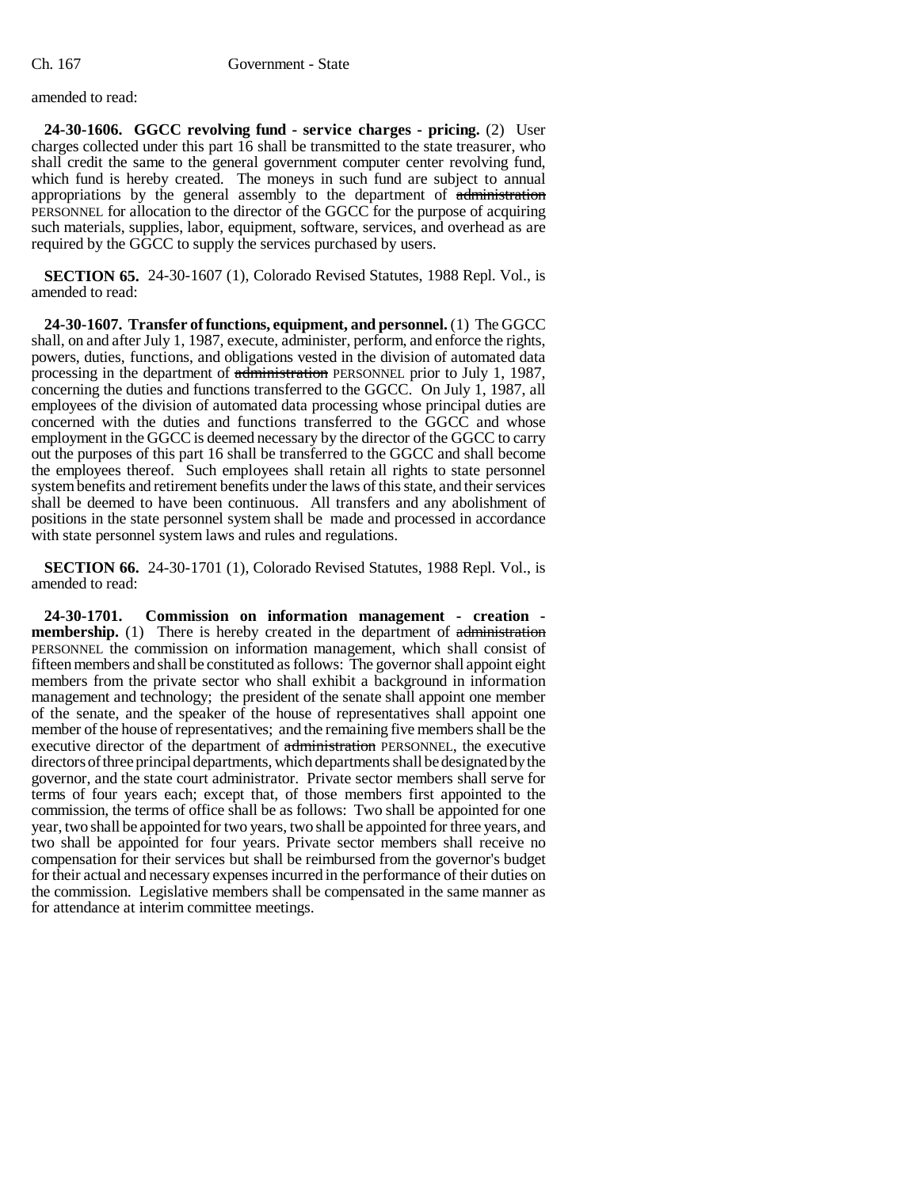### amended to read:

**24-30-1606. GGCC revolving fund - service charges - pricing.** (2) User charges collected under this part 16 shall be transmitted to the state treasurer, who shall credit the same to the general government computer center revolving fund, which fund is hereby created. The moneys in such fund are subject to annual appropriations by the general assembly to the department of administration PERSONNEL for allocation to the director of the GGCC for the purpose of acquiring such materials, supplies, labor, equipment, software, services, and overhead as are required by the GGCC to supply the services purchased by users.

**SECTION 65.** 24-30-1607 (1), Colorado Revised Statutes, 1988 Repl. Vol., is amended to read:

**24-30-1607. Transfer of functions, equipment, and personnel.** (1) The GGCC shall, on and after July 1, 1987, execute, administer, perform, and enforce the rights, powers, duties, functions, and obligations vested in the division of automated data processing in the department of administration PERSONNEL prior to July 1, 1987, concerning the duties and functions transferred to the GGCC. On July 1, 1987, all employees of the division of automated data processing whose principal duties are concerned with the duties and functions transferred to the GGCC and whose employment in the GGCC is deemed necessary by the director of the GGCC to carry out the purposes of this part 16 shall be transferred to the GGCC and shall become the employees thereof. Such employees shall retain all rights to state personnel system benefits and retirement benefits under the laws of this state, and their services shall be deemed to have been continuous. All transfers and any abolishment of positions in the state personnel system shall be made and processed in accordance with state personnel system laws and rules and regulations.

**SECTION 66.** 24-30-1701 (1), Colorado Revised Statutes, 1988 Repl. Vol., is amended to read:

**24-30-1701. Commission on information management - creation membership.** (1) There is hereby created in the department of administration PERSONNEL the commission on information management, which shall consist of fifteen members and shall be constituted as follows: The governor shall appoint eight members from the private sector who shall exhibit a background in information management and technology; the president of the senate shall appoint one member of the senate, and the speaker of the house of representatives shall appoint one member of the house of representatives; and the remaining five members shall be the executive director of the department of administration PERSONNEL, the executive directors of three principal departments, which departments shall be designated by the governor, and the state court administrator. Private sector members shall serve for terms of four years each; except that, of those members first appointed to the commission, the terms of office shall be as follows: Two shall be appointed for one year, two shall be appointed for two years, two shall be appointed for three years, and two shall be appointed for four years. Private sector members shall receive no compensation for their services but shall be reimbursed from the governor's budget for their actual and necessary expenses incurred in the performance of their duties on the commission. Legislative members shall be compensated in the same manner as for attendance at interim committee meetings.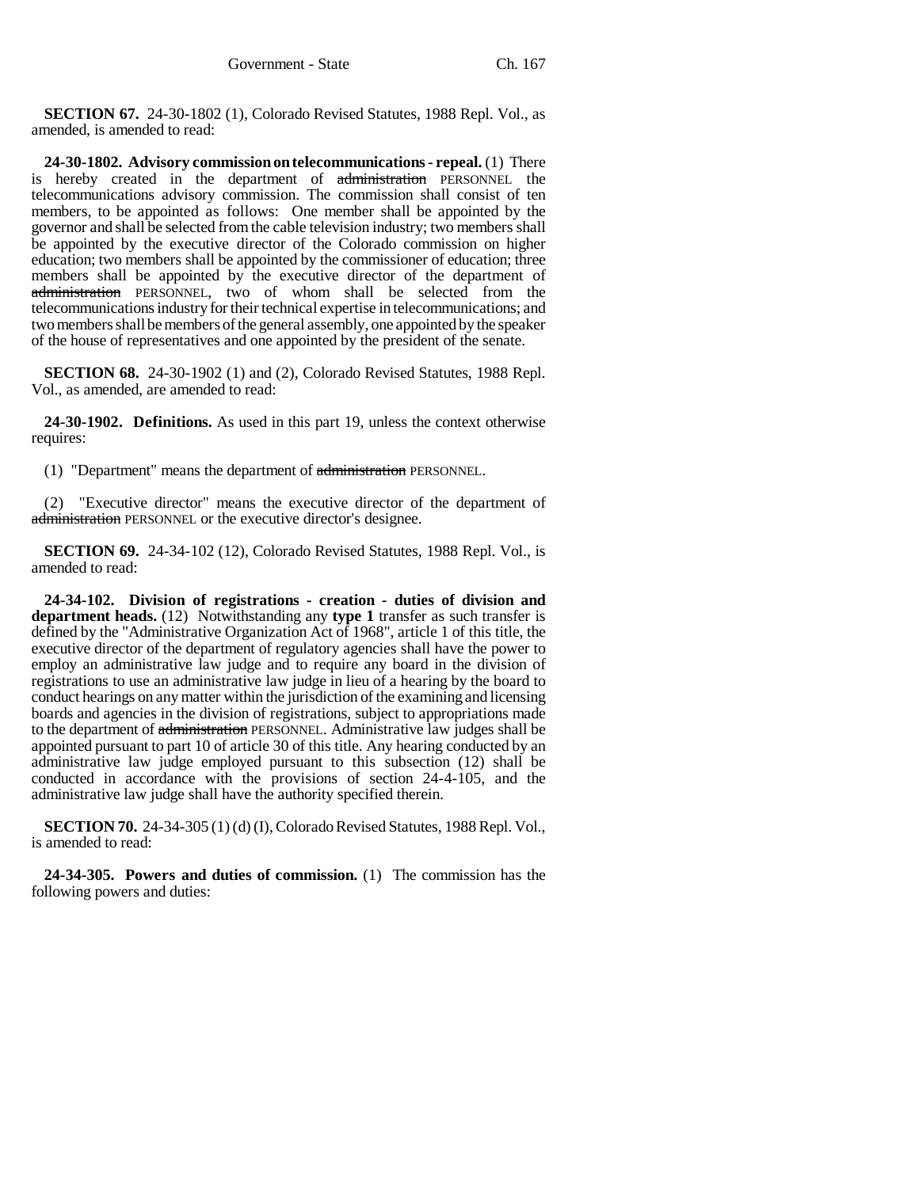**SECTION 67.** 24-30-1802 (1), Colorado Revised Statutes, 1988 Repl. Vol., as amended, is amended to read:

**24-30-1802. Advisory commission on telecommunications - repeal.** (1) There is hereby created in the department of administration PERSONNEL the telecommunications advisory commission. The commission shall consist of ten members, to be appointed as follows: One member shall be appointed by the governor and shall be selected from the cable television industry; two members shall be appointed by the executive director of the Colorado commission on higher education; two members shall be appointed by the commissioner of education; three members shall be appointed by the executive director of the department of administration PERSONNEL, two of whom shall be selected from the telecommunications industry for their technical expertise in telecommunications; and two members shall be members of the general assembly, one appointed by the speaker of the house of representatives and one appointed by the president of the senate.

**SECTION 68.** 24-30-1902 (1) and (2), Colorado Revised Statutes, 1988 Repl. Vol., as amended, are amended to read:

**24-30-1902. Definitions.** As used in this part 19, unless the context otherwise requires:

(1) "Department" means the department of administration PERSONNEL.

(2) "Executive director" means the executive director of the department of administration PERSONNEL or the executive director's designee.

**SECTION 69.** 24-34-102 (12), Colorado Revised Statutes, 1988 Repl. Vol., is amended to read:

**24-34-102. Division of registrations - creation - duties of division and department heads.** (12) Notwithstanding any **type 1** transfer as such transfer is defined by the "Administrative Organization Act of 1968", article 1 of this title, the executive director of the department of regulatory agencies shall have the power to employ an administrative law judge and to require any board in the division of registrations to use an administrative law judge in lieu of a hearing by the board to conduct hearings on any matter within the jurisdiction of the examining and licensing boards and agencies in the division of registrations, subject to appropriations made to the department of administration PERSONNEL. Administrative law judges shall be appointed pursuant to part 10 of article 30 of this title. Any hearing conducted by an administrative law judge employed pursuant to this subsection (12) shall be conducted in accordance with the provisions of section 24-4-105, and the administrative law judge shall have the authority specified therein.

**SECTION 70.** 24-34-305 (1) (d) (I), Colorado Revised Statutes, 1988 Repl. Vol., is amended to read:

**24-34-305. Powers and duties of commission.** (1) The commission has the following powers and duties: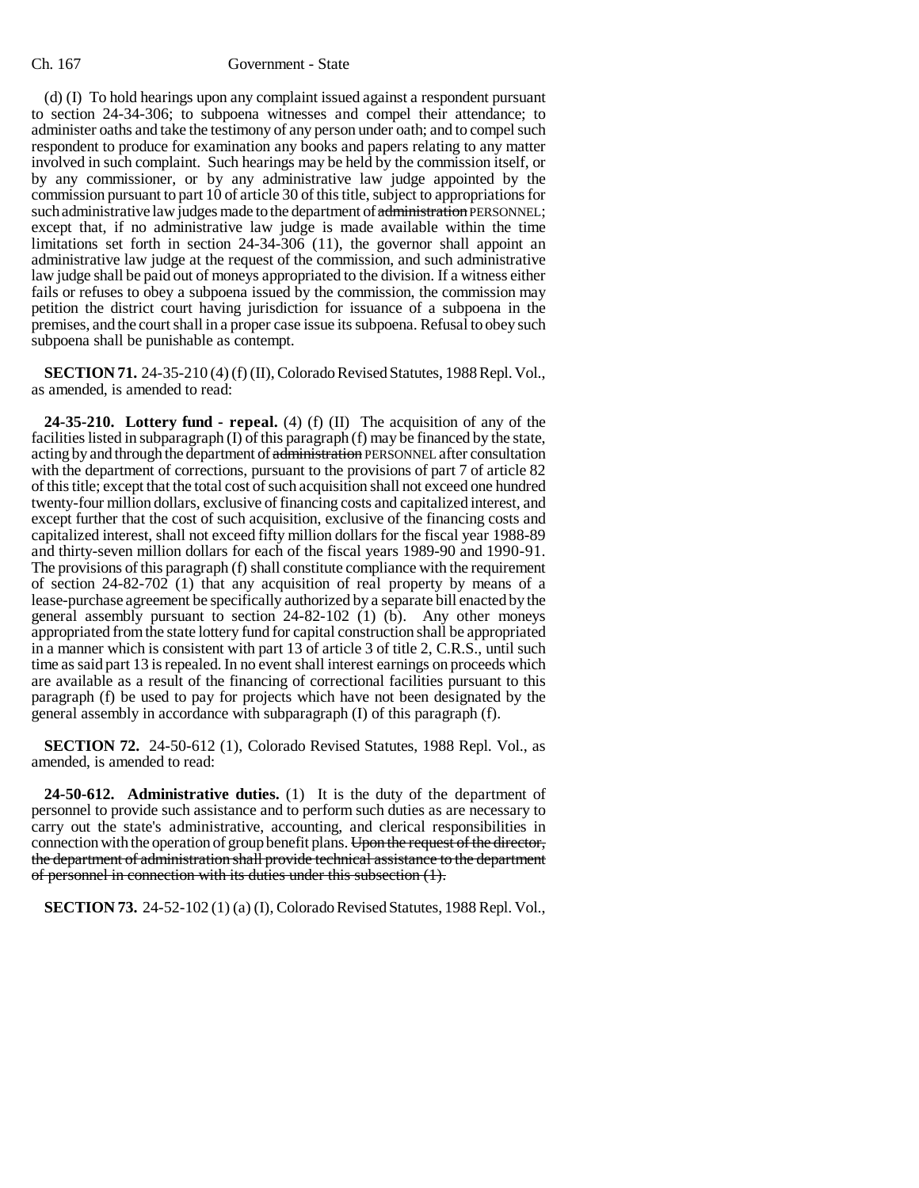(d) (I) To hold hearings upon any complaint issued against a respondent pursuant to section 24-34-306; to subpoena witnesses and compel their attendance; to administer oaths and take the testimony of any person under oath; and to compel such respondent to produce for examination any books and papers relating to any matter involved in such complaint. Such hearings may be held by the commission itself, or by any commissioner, or by any administrative law judge appointed by the commission pursuant to part 10 of article 30 of this title, subject to appropriations for such administrative law judges made to the department of administration PERSONNEL; except that, if no administrative law judge is made available within the time limitations set forth in section 24-34-306 (11), the governor shall appoint an administrative law judge at the request of the commission, and such administrative law judge shall be paid out of moneys appropriated to the division. If a witness either fails or refuses to obey a subpoena issued by the commission, the commission may petition the district court having jurisdiction for issuance of a subpoena in the premises, and the court shall in a proper case issue its subpoena. Refusal to obey such subpoena shall be punishable as contempt.

**SECTION 71.** 24-35-210 (4) (f) (II), Colorado Revised Statutes, 1988 Repl. Vol., as amended, is amended to read:

**24-35-210. Lottery fund - repeal.** (4) (f) (II) The acquisition of any of the facilities listed in subparagraph (I) of this paragraph (f) may be financed by the state, acting by and through the department of administration PERSONNEL after consultation with the department of corrections, pursuant to the provisions of part 7 of article 82 of this title; except that the total cost of such acquisition shall not exceed one hundred twenty-four million dollars, exclusive of financing costs and capitalized interest, and except further that the cost of such acquisition, exclusive of the financing costs and capitalized interest, shall not exceed fifty million dollars for the fiscal year 1988-89 and thirty-seven million dollars for each of the fiscal years 1989-90 and 1990-91. The provisions of this paragraph (f) shall constitute compliance with the requirement of section 24-82-702 (1) that any acquisition of real property by means of a lease-purchase agreement be specifically authorized by a separate bill enacted by the general assembly pursuant to section 24-82-102 (1) (b). Any other moneys appropriated from the state lottery fund for capital construction shall be appropriated in a manner which is consistent with part 13 of article 3 of title 2, C.R.S., until such time as said part 13 is repealed. In no event shall interest earnings on proceeds which are available as a result of the financing of correctional facilities pursuant to this paragraph (f) be used to pay for projects which have not been designated by the general assembly in accordance with subparagraph (I) of this paragraph (f).

**SECTION 72.** 24-50-612 (1), Colorado Revised Statutes, 1988 Repl. Vol., as amended, is amended to read:

**24-50-612. Administrative duties.** (1) It is the duty of the department of personnel to provide such assistance and to perform such duties as are necessary to carry out the state's administrative, accounting, and clerical responsibilities in connection with the operation of group benefit plans. Upon the request of the director, the department of administration shall provide technical assistance to the department of personnel in connection with its duties under this subsection (1).

**SECTION 73.** 24-52-102 (1) (a) (I), Colorado Revised Statutes, 1988 Repl. Vol.,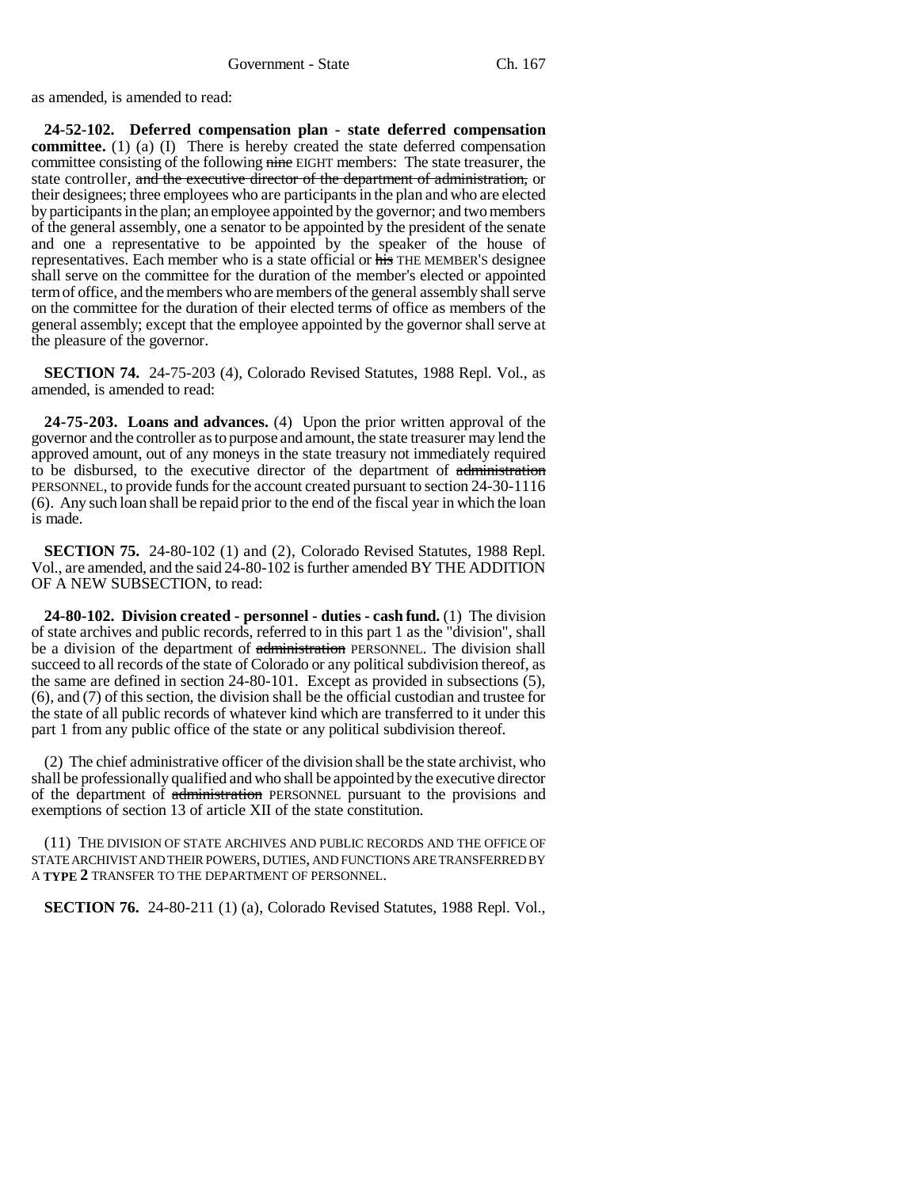as amended, is amended to read:

**24-52-102. Deferred compensation plan - state deferred compensation committee.** (1) (a) (I) There is hereby created the state deferred compensation committee consisting of the following nine EIGHT members: The state treasurer, the state controller, and the executive director of the department of administration, or their designees; three employees who are participants in the plan and who are elected by participants in the plan; an employee appointed by the governor; and two members of the general assembly, one a senator to be appointed by the president of the senate and one a representative to be appointed by the speaker of the house of representatives. Each member who is a state official or his THE MEMBER'S designee shall serve on the committee for the duration of the member's elected or appointed term of office, and the members who are members of the general assembly shall serve on the committee for the duration of their elected terms of office as members of the general assembly; except that the employee appointed by the governor shall serve at the pleasure of the governor.

**SECTION 74.** 24-75-203 (4), Colorado Revised Statutes, 1988 Repl. Vol., as amended, is amended to read:

**24-75-203. Loans and advances.** (4) Upon the prior written approval of the governor and the controller as to purpose and amount, the state treasurer may lend the approved amount, out of any moneys in the state treasury not immediately required to be disbursed, to the executive director of the department of administration PERSONNEL, to provide funds for the account created pursuant to section 24-30-1116 (6). Any such loan shall be repaid prior to the end of the fiscal year in which the loan is made.

**SECTION 75.** 24-80-102 (1) and (2), Colorado Revised Statutes, 1988 Repl. Vol., are amended, and the said 24-80-102 is further amended BY THE ADDITION OF A NEW SUBSECTION, to read:

**24-80-102. Division created - personnel - duties - cash fund.** (1) The division of state archives and public records, referred to in this part 1 as the "division", shall be a division of the department of administration PERSONNEL. The division shall succeed to all records of the state of Colorado or any political subdivision thereof, as the same are defined in section 24-80-101. Except as provided in subsections (5), (6), and (7) of this section, the division shall be the official custodian and trustee for the state of all public records of whatever kind which are transferred to it under this part 1 from any public office of the state or any political subdivision thereof.

(2) The chief administrative officer of the division shall be the state archivist, who shall be professionally qualified and who shall be appointed by the executive director of the department of administration PERSONNEL pursuant to the provisions and exemptions of section 13 of article XII of the state constitution.

(11) THE DIVISION OF STATE ARCHIVES AND PUBLIC RECORDS AND THE OFFICE OF STATE ARCHIVIST AND THEIR POWERS, DUTIES, AND FUNCTIONS ARE TRANSFERRED BY A **TYPE 2** TRANSFER TO THE DEPARTMENT OF PERSONNEL.

**SECTION 76.** 24-80-211 (1) (a), Colorado Revised Statutes, 1988 Repl. Vol.,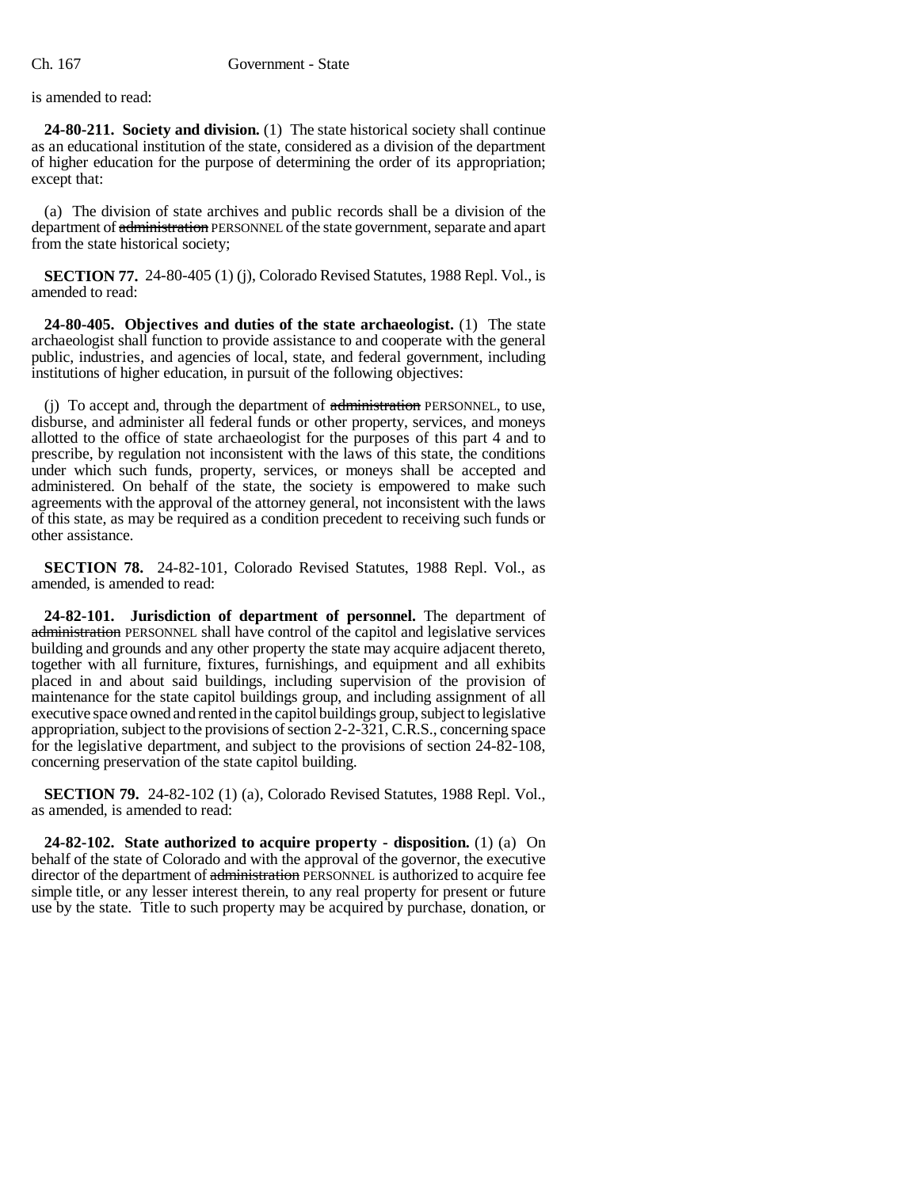is amended to read:

**24-80-211. Society and division.** (1) The state historical society shall continue as an educational institution of the state, considered as a division of the department of higher education for the purpose of determining the order of its appropriation; except that:

(a) The division of state archives and public records shall be a division of the department of administration PERSONNEL of the state government, separate and apart from the state historical society;

**SECTION 77.** 24-80-405 (1) (j), Colorado Revised Statutes, 1988 Repl. Vol., is amended to read:

**24-80-405. Objectives and duties of the state archaeologist.** (1) The state archaeologist shall function to provide assistance to and cooperate with the general public, industries, and agencies of local, state, and federal government, including institutions of higher education, in pursuit of the following objectives:

(j) To accept and, through the department of administration PERSONNEL, to use, disburse, and administer all federal funds or other property, services, and moneys allotted to the office of state archaeologist for the purposes of this part 4 and to prescribe, by regulation not inconsistent with the laws of this state, the conditions under which such funds, property, services, or moneys shall be accepted and administered. On behalf of the state, the society is empowered to make such agreements with the approval of the attorney general, not inconsistent with the laws of this state, as may be required as a condition precedent to receiving such funds or other assistance.

**SECTION 78.** 24-82-101, Colorado Revised Statutes, 1988 Repl. Vol., as amended, is amended to read:

**24-82-101. Jurisdiction of department of personnel.** The department of administration PERSONNEL shall have control of the capitol and legislative services building and grounds and any other property the state may acquire adjacent thereto, together with all furniture, fixtures, furnishings, and equipment and all exhibits placed in and about said buildings, including supervision of the provision of maintenance for the state capitol buildings group, and including assignment of all executive space owned and rented in the capitol buildings group, subject to legislative appropriation, subject to the provisions of section 2-2-321, C.R.S., concerning space for the legislative department, and subject to the provisions of section 24-82-108, concerning preservation of the state capitol building.

**SECTION 79.** 24-82-102 (1) (a), Colorado Revised Statutes, 1988 Repl. Vol., as amended, is amended to read:

**24-82-102. State authorized to acquire property - disposition.** (1) (a) On behalf of the state of Colorado and with the approval of the governor, the executive director of the department of administration PERSONNEL is authorized to acquire fee simple title, or any lesser interest therein, to any real property for present or future use by the state. Title to such property may be acquired by purchase, donation, or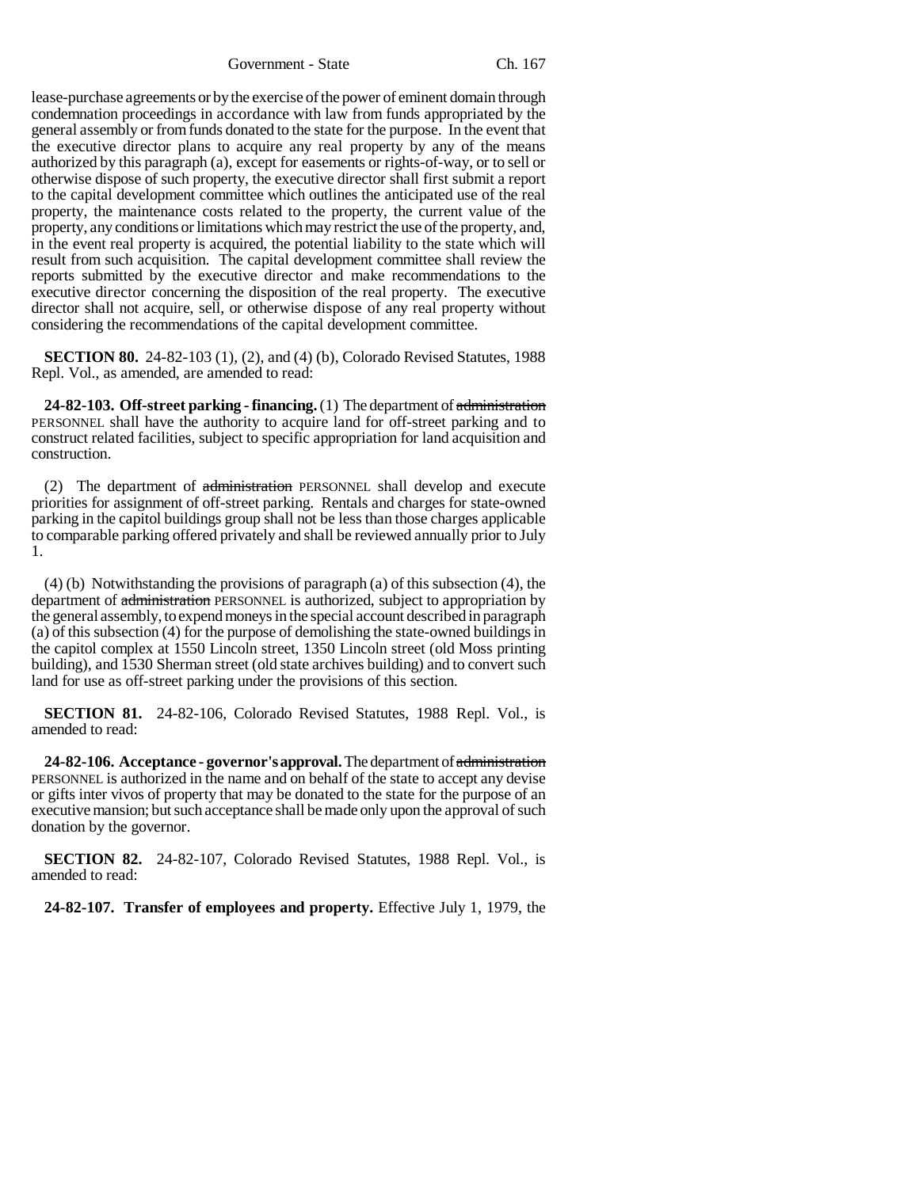Government - State Ch. 167

lease-purchase agreements or by the exercise of the power of eminent domain through condemnation proceedings in accordance with law from funds appropriated by the general assembly or from funds donated to the state for the purpose. In the event that the executive director plans to acquire any real property by any of the means authorized by this paragraph (a), except for easements or rights-of-way, or to sell or otherwise dispose of such property, the executive director shall first submit a report to the capital development committee which outlines the anticipated use of the real property, the maintenance costs related to the property, the current value of the property, any conditions or limitations which may restrict the use of the property, and, in the event real property is acquired, the potential liability to the state which will result from such acquisition. The capital development committee shall review the reports submitted by the executive director and make recommendations to the executive director concerning the disposition of the real property. The executive director shall not acquire, sell, or otherwise dispose of any real property without considering the recommendations of the capital development committee.

**SECTION 80.** 24-82-103 (1), (2), and (4) (b), Colorado Revised Statutes, 1988 Repl. Vol., as amended, are amended to read:

**24-82-103. Off-street parking - financing.** (1) The department of administration PERSONNEL shall have the authority to acquire land for off-street parking and to construct related facilities, subject to specific appropriation for land acquisition and construction.

(2) The department of administration PERSONNEL shall develop and execute priorities for assignment of off-street parking. Rentals and charges for state-owned parking in the capitol buildings group shall not be less than those charges applicable to comparable parking offered privately and shall be reviewed annually prior to July 1.

(4) (b) Notwithstanding the provisions of paragraph (a) of this subsection (4), the department of administration PERSONNEL is authorized, subject to appropriation by the general assembly, to expend moneys in the special account described in paragraph (a) of this subsection (4) for the purpose of demolishing the state-owned buildings in the capitol complex at 1550 Lincoln street, 1350 Lincoln street (old Moss printing building), and 1530 Sherman street (old state archives building) and to convert such land for use as off-street parking under the provisions of this section.

**SECTION 81.** 24-82-106, Colorado Revised Statutes, 1988 Repl. Vol., is amended to read:

**24-82-106. Acceptance - governor's approval.** The department of administration PERSONNEL is authorized in the name and on behalf of the state to accept any devise or gifts inter vivos of property that may be donated to the state for the purpose of an executive mansion; but such acceptance shall be made only upon the approval of such donation by the governor.

**SECTION 82.** 24-82-107, Colorado Revised Statutes, 1988 Repl. Vol., is amended to read:

**24-82-107. Transfer of employees and property.** Effective July 1, 1979, the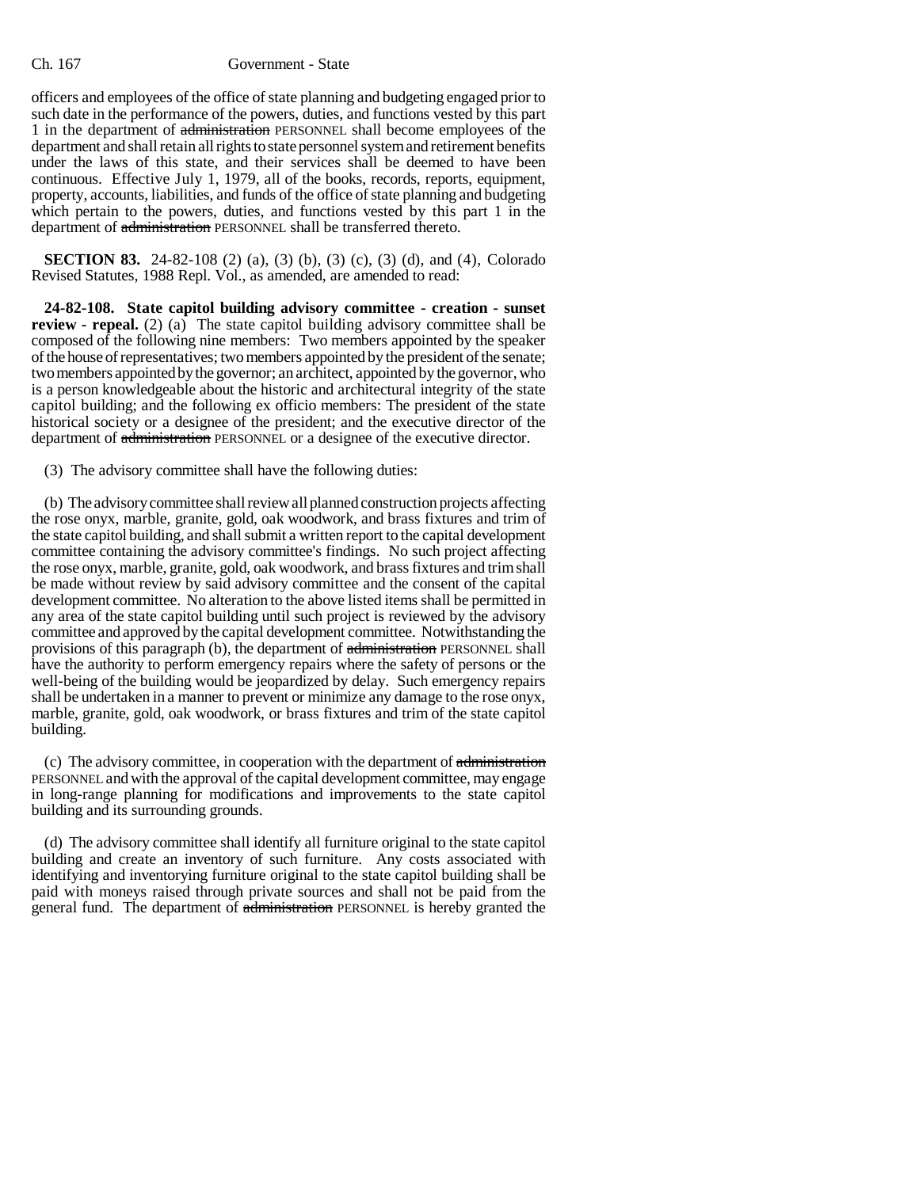officers and employees of the office of state planning and budgeting engaged prior to such date in the performance of the powers, duties, and functions vested by this part 1 in the department of administration PERSONNEL shall become employees of the department and shall retain all rights to state personnel system and retirement benefits under the laws of this state, and their services shall be deemed to have been continuous. Effective July 1, 1979, all of the books, records, reports, equipment, property, accounts, liabilities, and funds of the office of state planning and budgeting which pertain to the powers, duties, and functions vested by this part 1 in the department of administration PERSONNEL shall be transferred thereto.

**SECTION 83.** 24-82-108 (2) (a), (3) (b), (3) (c), (3) (d), and (4), Colorado Revised Statutes, 1988 Repl. Vol., as amended, are amended to read:

**24-82-108. State capitol building advisory committee - creation - sunset review - repeal.** (2) (a) The state capitol building advisory committee shall be composed of the following nine members: Two members appointed by the speaker of the house of representatives; two members appointed by the president of the senate; two members appointed by the governor; an architect, appointed by the governor, who is a person knowledgeable about the historic and architectural integrity of the state capitol building; and the following ex officio members: The president of the state historical society or a designee of the president; and the executive director of the department of administration PERSONNEL or a designee of the executive director.

(3) The advisory committee shall have the following duties:

(b) The advisory committee shall review all planned construction projects affecting the rose onyx, marble, granite, gold, oak woodwork, and brass fixtures and trim of the state capitol building, and shall submit a written report to the capital development committee containing the advisory committee's findings. No such project affecting the rose onyx, marble, granite, gold, oak woodwork, and brass fixtures and trim shall be made without review by said advisory committee and the consent of the capital development committee. No alteration to the above listed items shall be permitted in any area of the state capitol building until such project is reviewed by the advisory committee and approved by the capital development committee. Notwithstanding the provisions of this paragraph (b), the department of administration PERSONNEL shall have the authority to perform emergency repairs where the safety of persons or the well-being of the building would be jeopardized by delay. Such emergency repairs shall be undertaken in a manner to prevent or minimize any damage to the rose onyx, marble, granite, gold, oak woodwork, or brass fixtures and trim of the state capitol building.

(c) The advisory committee, in cooperation with the department of administration PERSONNEL and with the approval of the capital development committee, may engage in long-range planning for modifications and improvements to the state capitol building and its surrounding grounds.

(d) The advisory committee shall identify all furniture original to the state capitol building and create an inventory of such furniture. Any costs associated with identifying and inventorying furniture original to the state capitol building shall be paid with moneys raised through private sources and shall not be paid from the general fund. The department of administration PERSONNEL is hereby granted the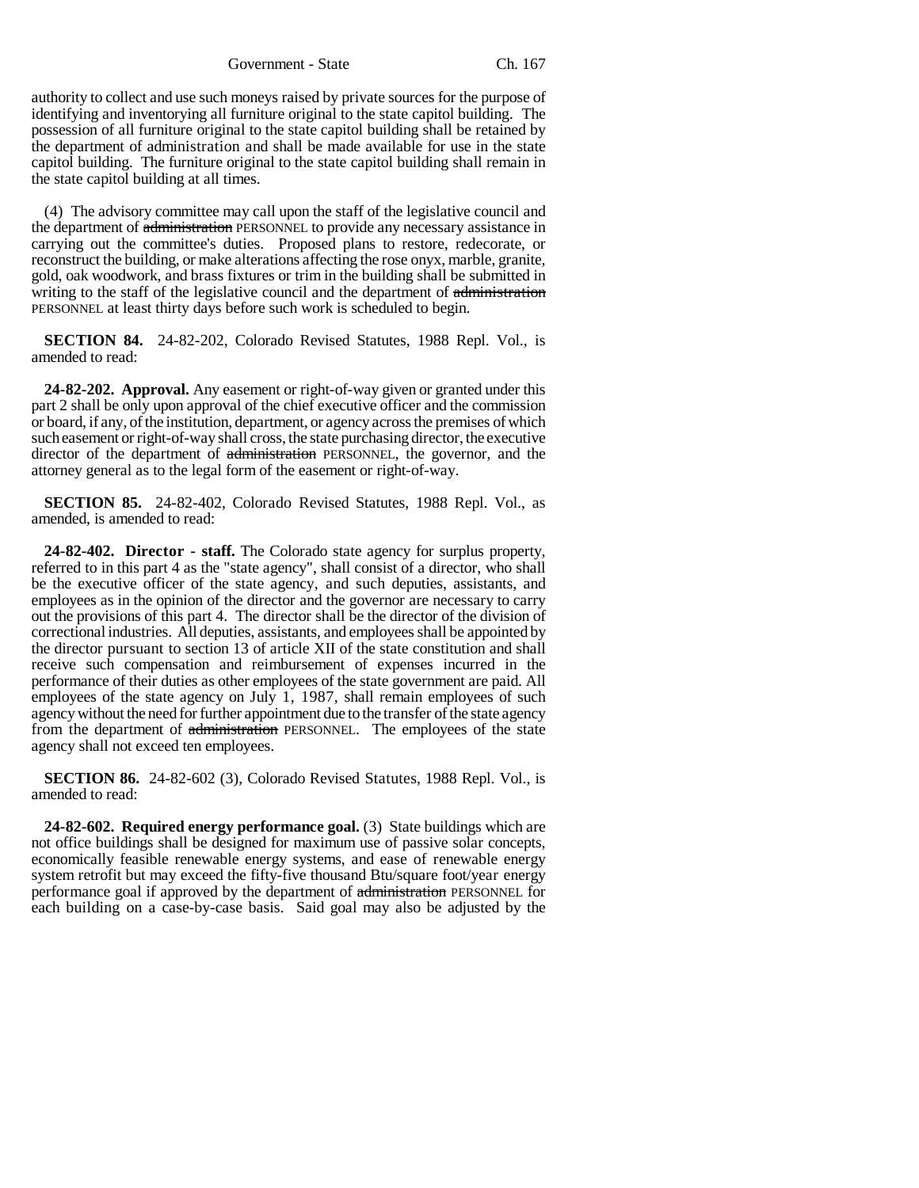Government - State Ch. 167

authority to collect and use such moneys raised by private sources for the purpose of identifying and inventorying all furniture original to the state capitol building. The possession of all furniture original to the state capitol building shall be retained by the department of administration and shall be made available for use in the state capitol building. The furniture original to the state capitol building shall remain in the state capitol building at all times.

(4) The advisory committee may call upon the staff of the legislative council and the department of administration PERSONNEL to provide any necessary assistance in carrying out the committee's duties. Proposed plans to restore, redecorate, or reconstruct the building, or make alterations affecting the rose onyx, marble, granite, gold, oak woodwork, and brass fixtures or trim in the building shall be submitted in writing to the staff of the legislative council and the department of administration PERSONNEL at least thirty days before such work is scheduled to begin.

**SECTION 84.** 24-82-202, Colorado Revised Statutes, 1988 Repl. Vol., is amended to read:

**24-82-202. Approval.** Any easement or right-of-way given or granted under this part 2 shall be only upon approval of the chief executive officer and the commission or board, if any, of the institution, department, or agency across the premises of which such easement or right-of-way shall cross, the state purchasing director, the executive director of the department of administration PERSONNEL, the governor, and the attorney general as to the legal form of the easement or right-of-way.

**SECTION 85.** 24-82-402, Colorado Revised Statutes, 1988 Repl. Vol., as amended, is amended to read:

**24-82-402. Director - staff.** The Colorado state agency for surplus property, referred to in this part 4 as the "state agency", shall consist of a director, who shall be the executive officer of the state agency, and such deputies, assistants, and employees as in the opinion of the director and the governor are necessary to carry out the provisions of this part 4. The director shall be the director of the division of correctional industries. All deputies, assistants, and employees shall be appointed by the director pursuant to section 13 of article XII of the state constitution and shall receive such compensation and reimbursement of expenses incurred in the performance of their duties as other employees of the state government are paid. All employees of the state agency on July 1, 1987, shall remain employees of such agency without the need for further appointment due to the transfer of the state agency from the department of administration PERSONNEL. The employees of the state agency shall not exceed ten employees.

**SECTION 86.** 24-82-602 (3), Colorado Revised Statutes, 1988 Repl. Vol., is amended to read:

**24-82-602. Required energy performance goal.** (3) State buildings which are not office buildings shall be designed for maximum use of passive solar concepts, economically feasible renewable energy systems, and ease of renewable energy system retrofit but may exceed the fifty-five thousand Btu/square foot/year energy performance goal if approved by the department of administration PERSONNEL for each building on a case-by-case basis. Said goal may also be adjusted by the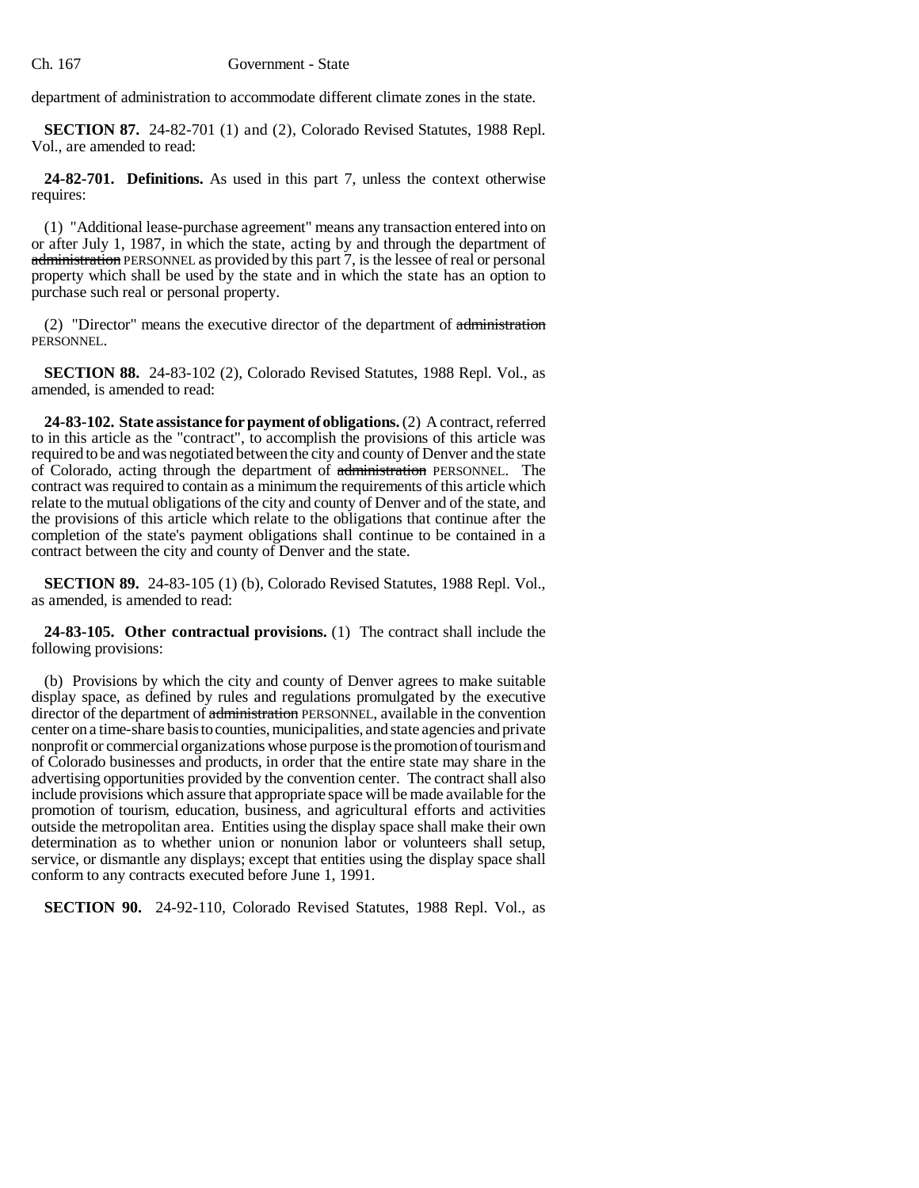department of administration to accommodate different climate zones in the state.

**SECTION 87.** 24-82-701 (1) and (2), Colorado Revised Statutes, 1988 Repl. Vol., are amended to read:

**24-82-701. Definitions.** As used in this part 7, unless the context otherwise requires:

(1) "Additional lease-purchase agreement" means any transaction entered into on or after July 1, 1987, in which the state, acting by and through the department of administration PERSONNEL as provided by this part 7, is the lessee of real or personal property which shall be used by the state and in which the state has an option to purchase such real or personal property.

(2) "Director" means the executive director of the department of administration PERSONNEL.

**SECTION 88.** 24-83-102 (2), Colorado Revised Statutes, 1988 Repl. Vol., as amended, is amended to read:

**24-83-102. State assistance for payment of obligations.** (2) A contract, referred to in this article as the "contract", to accomplish the provisions of this article was required to be and was negotiated between the city and county of Denver and the state of Colorado, acting through the department of administration PERSONNEL. The contract was required to contain as a minimum the requirements of this article which relate to the mutual obligations of the city and county of Denver and of the state, and the provisions of this article which relate to the obligations that continue after the completion of the state's payment obligations shall continue to be contained in a contract between the city and county of Denver and the state.

**SECTION 89.** 24-83-105 (1) (b), Colorado Revised Statutes, 1988 Repl. Vol., as amended, is amended to read:

**24-83-105. Other contractual provisions.** (1) The contract shall include the following provisions:

(b) Provisions by which the city and county of Denver agrees to make suitable display space, as defined by rules and regulations promulgated by the executive director of the department of administration PERSONNEL, available in the convention center on a time-share basis to counties, municipalities, and state agencies and private nonprofit or commercial organizations whose purpose is the promotion of tourism and of Colorado businesses and products, in order that the entire state may share in the advertising opportunities provided by the convention center. The contract shall also include provisions which assure that appropriate space will be made available for the promotion of tourism, education, business, and agricultural efforts and activities outside the metropolitan area. Entities using the display space shall make their own determination as to whether union or nonunion labor or volunteers shall setup, service, or dismantle any displays; except that entities using the display space shall conform to any contracts executed before June 1, 1991.

**SECTION 90.** 24-92-110, Colorado Revised Statutes, 1988 Repl. Vol., as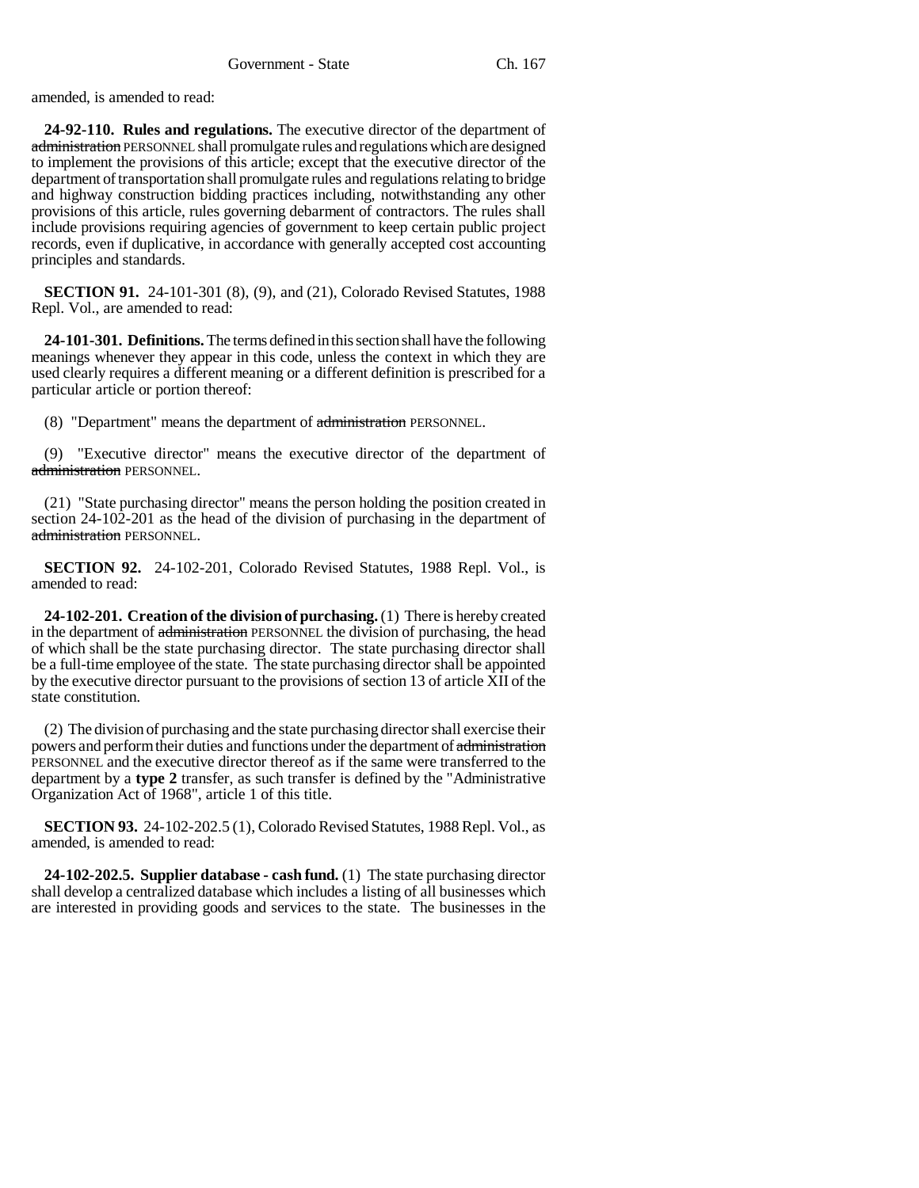amended, is amended to read:

**24-92-110. Rules and regulations.** The executive director of the department of administration PERSONNEL shall promulgate rules and regulations which are designed to implement the provisions of this article; except that the executive director of the department of transportation shall promulgate rules and regulations relating to bridge and highway construction bidding practices including, notwithstanding any other provisions of this article, rules governing debarment of contractors. The rules shall include provisions requiring agencies of government to keep certain public project records, even if duplicative, in accordance with generally accepted cost accounting principles and standards.

**SECTION 91.** 24-101-301 (8), (9), and (21), Colorado Revised Statutes, 1988 Repl. Vol., are amended to read:

**24-101-301. Definitions.** The terms defined in this section shall have the following meanings whenever they appear in this code, unless the context in which they are used clearly requires a different meaning or a different definition is prescribed for a particular article or portion thereof:

(8) "Department" means the department of administration PERSONNEL.

(9) "Executive director" means the executive director of the department of administration PERSONNEL.

(21) "State purchasing director" means the person holding the position created in section 24-102-201 as the head of the division of purchasing in the department of administration PERSONNEL.

**SECTION 92.** 24-102-201, Colorado Revised Statutes, 1988 Repl. Vol., is amended to read:

**24-102-201. Creation of the division of purchasing.** (1) There is hereby created in the department of administration PERSONNEL the division of purchasing, the head of which shall be the state purchasing director. The state purchasing director shall be a full-time employee of the state. The state purchasing director shall be appointed by the executive director pursuant to the provisions of section 13 of article XII of the state constitution.

(2) The division of purchasing and the state purchasing director shall exercise their powers and perform their duties and functions under the department of administration PERSONNEL and the executive director thereof as if the same were transferred to the department by a **type 2** transfer, as such transfer is defined by the "Administrative Organization Act of 1968", article 1 of this title.

**SECTION 93.** 24-102-202.5 (1), Colorado Revised Statutes, 1988 Repl. Vol., as amended, is amended to read:

**24-102-202.5. Supplier database - cash fund.** (1) The state purchasing director shall develop a centralized database which includes a listing of all businesses which are interested in providing goods and services to the state. The businesses in the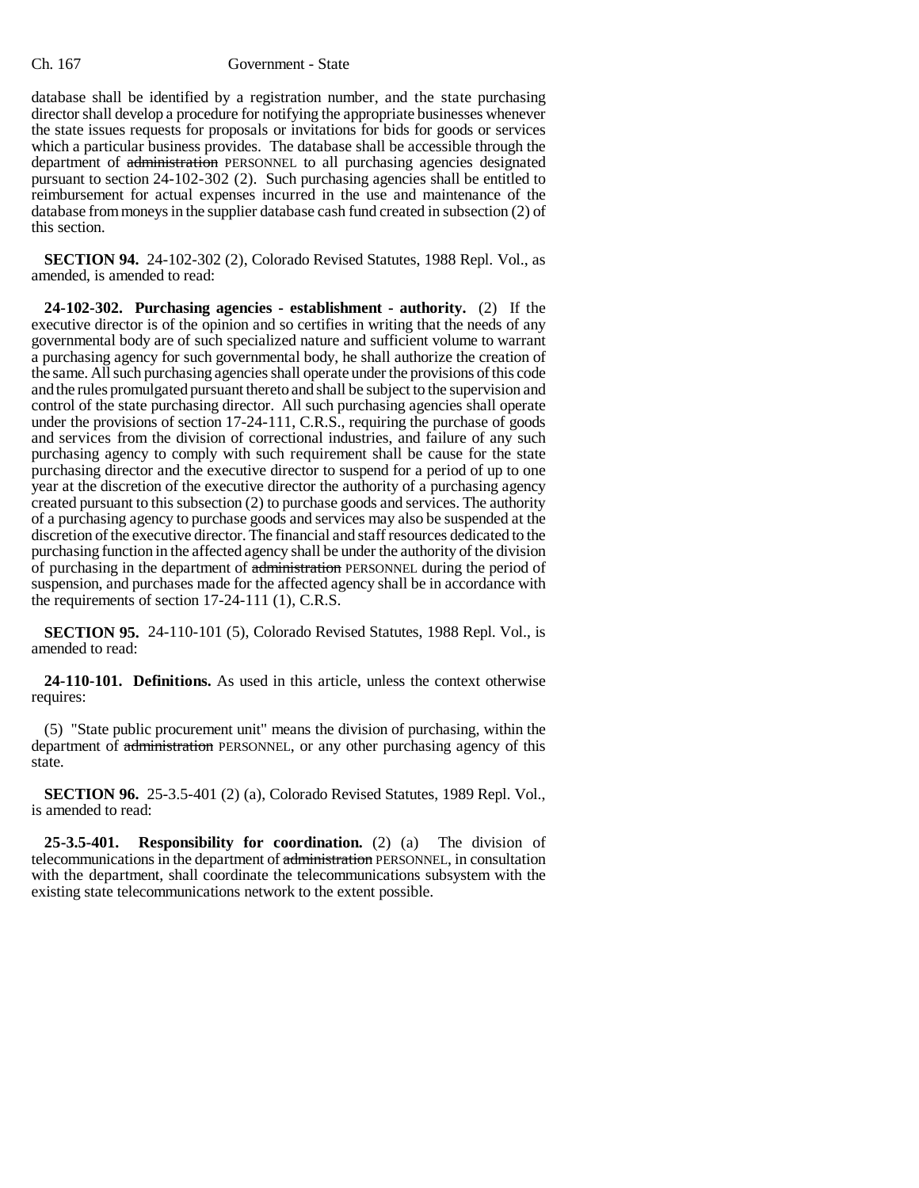database shall be identified by a registration number, and the state purchasing director shall develop a procedure for notifying the appropriate businesses whenever the state issues requests for proposals or invitations for bids for goods or services which a particular business provides. The database shall be accessible through the department of administration PERSONNEL to all purchasing agencies designated pursuant to section 24-102-302 (2). Such purchasing agencies shall be entitled to reimbursement for actual expenses incurred in the use and maintenance of the database from moneys in the supplier database cash fund created in subsection (2) of this section.

**SECTION 94.** 24-102-302 (2), Colorado Revised Statutes, 1988 Repl. Vol., as amended, is amended to read:

**24-102-302. Purchasing agencies - establishment - authority.** (2) If the executive director is of the opinion and so certifies in writing that the needs of any governmental body are of such specialized nature and sufficient volume to warrant a purchasing agency for such governmental body, he shall authorize the creation of the same. All such purchasing agencies shall operate under the provisions of this code and the rules promulgated pursuant thereto and shall be subject to the supervision and control of the state purchasing director. All such purchasing agencies shall operate under the provisions of section 17-24-111, C.R.S., requiring the purchase of goods and services from the division of correctional industries, and failure of any such purchasing agency to comply with such requirement shall be cause for the state purchasing director and the executive director to suspend for a period of up to one year at the discretion of the executive director the authority of a purchasing agency created pursuant to this subsection (2) to purchase goods and services. The authority of a purchasing agency to purchase goods and services may also be suspended at the discretion of the executive director. The financial and staff resources dedicated to the purchasing function in the affected agency shall be under the authority of the division of purchasing in the department of administration PERSONNEL during the period of suspension, and purchases made for the affected agency shall be in accordance with the requirements of section 17-24-111 (1), C.R.S.

**SECTION 95.** 24-110-101 (5), Colorado Revised Statutes, 1988 Repl. Vol., is amended to read:

**24-110-101. Definitions.** As used in this article, unless the context otherwise requires:

(5) "State public procurement unit" means the division of purchasing, within the department of administration PERSONNEL, or any other purchasing agency of this state.

**SECTION 96.** 25-3.5-401 (2) (a), Colorado Revised Statutes, 1989 Repl. Vol., is amended to read:

**25-3.5-401. Responsibility for coordination.** (2) (a) The division of telecommunications in the department of administration PERSONNEL, in consultation with the department, shall coordinate the telecommunications subsystem with the existing state telecommunications network to the extent possible.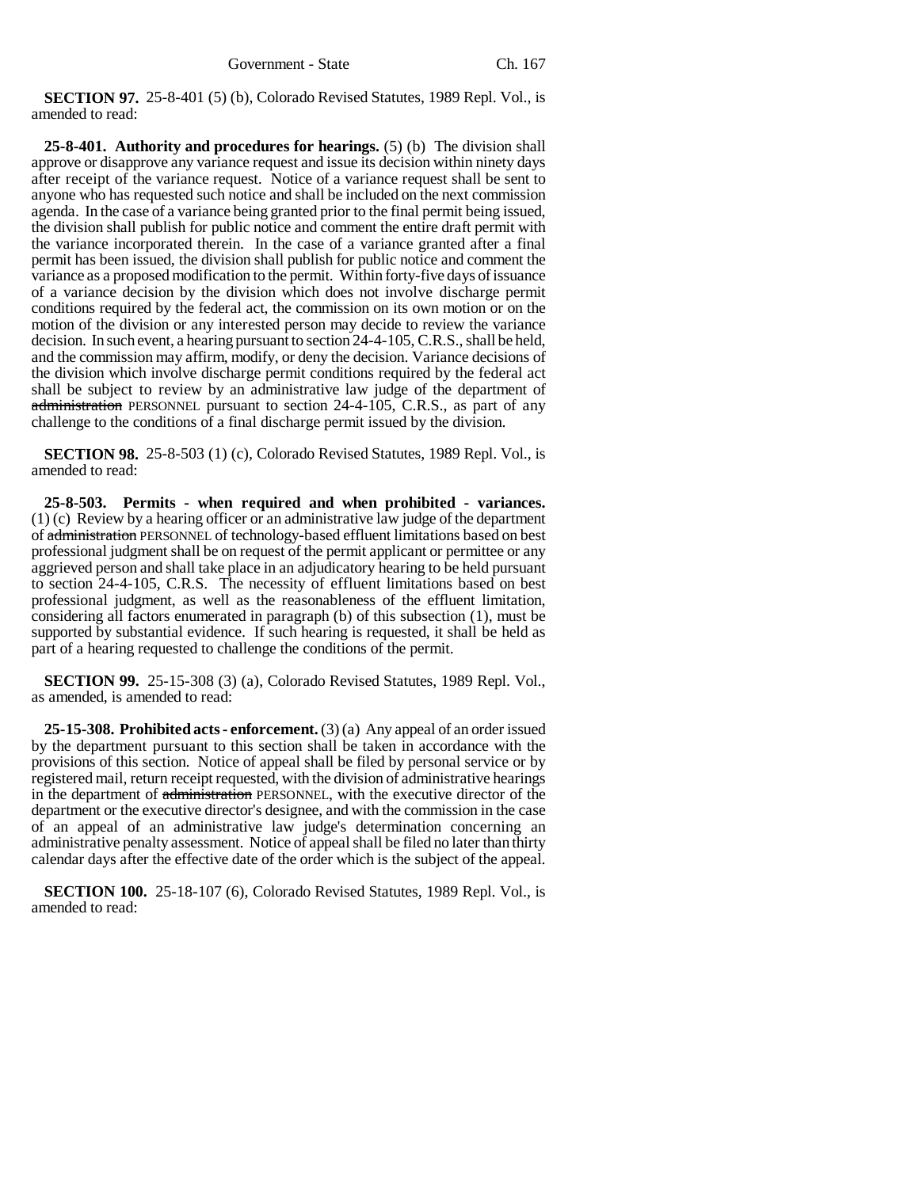**SECTION 97.** 25-8-401 (5) (b), Colorado Revised Statutes, 1989 Repl. Vol., is amended to read:

**25-8-401. Authority and procedures for hearings.** (5) (b) The division shall approve or disapprove any variance request and issue its decision within ninety days after receipt of the variance request. Notice of a variance request shall be sent to anyone who has requested such notice and shall be included on the next commission agenda. In the case of a variance being granted prior to the final permit being issued, the division shall publish for public notice and comment the entire draft permit with the variance incorporated therein. In the case of a variance granted after a final permit has been issued, the division shall publish for public notice and comment the variance as a proposed modification to the permit. Within forty-five days of issuance of a variance decision by the division which does not involve discharge permit conditions required by the federal act, the commission on its own motion or on the motion of the division or any interested person may decide to review the variance decision. In such event, a hearing pursuant to section 24-4-105, C.R.S., shall be held, and the commission may affirm, modify, or deny the decision. Variance decisions of the division which involve discharge permit conditions required by the federal act shall be subject to review by an administrative law judge of the department of administration PERSONNEL pursuant to section 24-4-105, C.R.S., as part of any challenge to the conditions of a final discharge permit issued by the division.

**SECTION 98.** 25-8-503 (1) (c), Colorado Revised Statutes, 1989 Repl. Vol., is amended to read:

**25-8-503. Permits - when required and when prohibited - variances.** (1) (c) Review by a hearing officer or an administrative law judge of the department of administration PERSONNEL of technology-based effluent limitations based on best professional judgment shall be on request of the permit applicant or permittee or any aggrieved person and shall take place in an adjudicatory hearing to be held pursuant to section 24-4-105, C.R.S. The necessity of effluent limitations based on best professional judgment, as well as the reasonableness of the effluent limitation, considering all factors enumerated in paragraph (b) of this subsection (1), must be supported by substantial evidence. If such hearing is requested, it shall be held as part of a hearing requested to challenge the conditions of the permit.

**SECTION 99.** 25-15-308 (3) (a), Colorado Revised Statutes, 1989 Repl. Vol., as amended, is amended to read:

**25-15-308. Prohibited acts - enforcement.** (3) (a) Any appeal of an order issued by the department pursuant to this section shall be taken in accordance with the provisions of this section. Notice of appeal shall be filed by personal service or by registered mail, return receipt requested, with the division of administrative hearings in the department of administration PERSONNEL, with the executive director of the department or the executive director's designee, and with the commission in the case of an appeal of an administrative law judge's determination concerning an administrative penalty assessment. Notice of appeal shall be filed no later than thirty calendar days after the effective date of the order which is the subject of the appeal.

**SECTION 100.** 25-18-107 (6), Colorado Revised Statutes, 1989 Repl. Vol., is amended to read: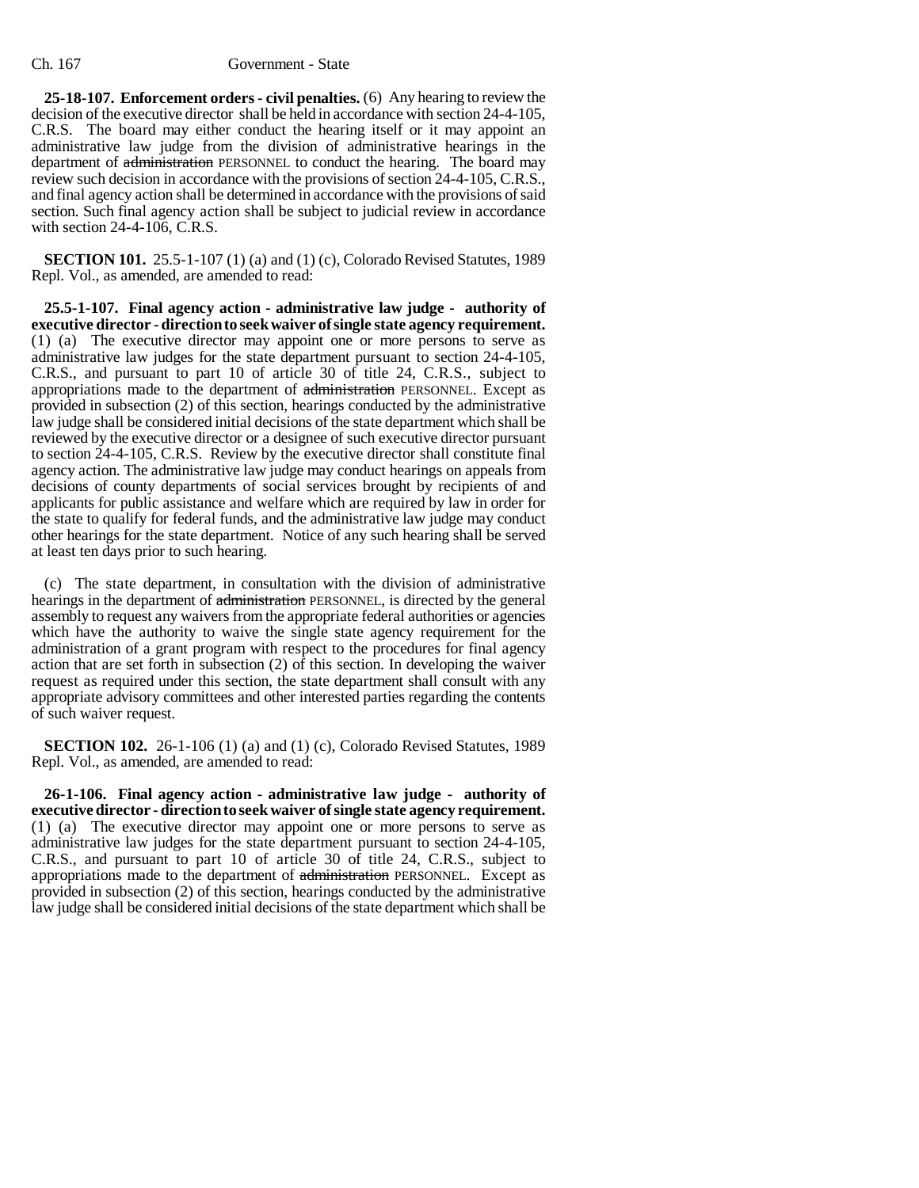**25-18-107. Enforcement orders - civil penalties.** (6) Any hearing to review the decision of the executive director shall be held in accordance with section 24-4-105, C.R.S. The board may either conduct the hearing itself or it may appoint an administrative law judge from the division of administrative hearings in the department of administration PERSONNEL to conduct the hearing. The board may review such decision in accordance with the provisions of section 24-4-105, C.R.S., and final agency action shall be determined in accordance with the provisions of said section. Such final agency action shall be subject to judicial review in accordance with section 24-4-106, C.R.S.

**SECTION 101.** 25.5-1-107 (1) (a) and (1) (c), Colorado Revised Statutes, 1989 Repl. Vol., as amended, are amended to read:

**25.5-1-107. Final agency action - administrative law judge - authority of executive director - direction to seek waiver of single state agency requirement.** (1) (a) The executive director may appoint one or more persons to serve as administrative law judges for the state department pursuant to section 24-4-105, C.R.S., and pursuant to part 10 of article 30 of title 24, C.R.S., subject to appropriations made to the department of administration PERSONNEL. Except as provided in subsection (2) of this section, hearings conducted by the administrative law judge shall be considered initial decisions of the state department which shall be reviewed by the executive director or a designee of such executive director pursuant to section 24-4-105, C.R.S. Review by the executive director shall constitute final agency action. The administrative law judge may conduct hearings on appeals from decisions of county departments of social services brought by recipients of and applicants for public assistance and welfare which are required by law in order for the state to qualify for federal funds, and the administrative law judge may conduct other hearings for the state department. Notice of any such hearing shall be served at least ten days prior to such hearing.

(c) The state department, in consultation with the division of administrative hearings in the department of administration PERSONNEL, is directed by the general assembly to request any waivers from the appropriate federal authorities or agencies which have the authority to waive the single state agency requirement for the administration of a grant program with respect to the procedures for final agency action that are set forth in subsection (2) of this section. In developing the waiver request as required under this section, the state department shall consult with any appropriate advisory committees and other interested parties regarding the contents of such waiver request.

**SECTION 102.** 26-1-106 (1) (a) and (1) (c), Colorado Revised Statutes, 1989 Repl. Vol., as amended, are amended to read:

**26-1-106. Final agency action - administrative law judge - authority of executive director - direction to seek waiver of single state agency requirement.** (1) (a) The executive director may appoint one or more persons to serve as administrative law judges for the state department pursuant to section 24-4-105, C.R.S., and pursuant to part 10 of article 30 of title 24, C.R.S., subject to appropriations made to the department of administration PERSONNEL. Except as provided in subsection (2) of this section, hearings conducted by the administrative law judge shall be considered initial decisions of the state department which shall be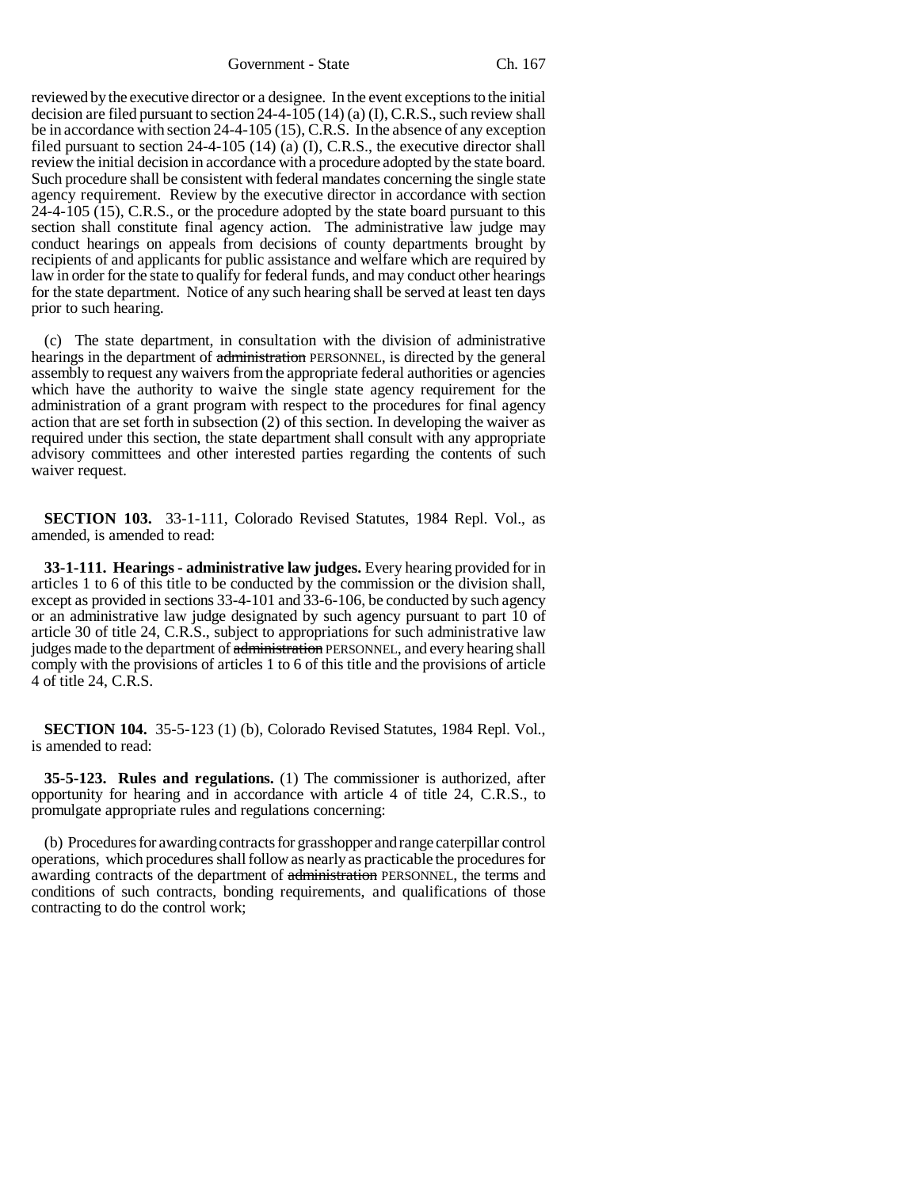Government - State Ch. 167

reviewed by the executive director or a designee. In the event exceptions to the initial decision are filed pursuant to section 24-4-105 (14) (a) (I), C.R.S., such review shall be in accordance with section 24-4-105 (15), C.R.S. In the absence of any exception filed pursuant to section 24-4-105 (14) (a) (I), C.R.S., the executive director shall review the initial decision in accordance with a procedure adopted by the state board. Such procedure shall be consistent with federal mandates concerning the single state agency requirement. Review by the executive director in accordance with section 24-4-105 (15), C.R.S., or the procedure adopted by the state board pursuant to this section shall constitute final agency action. The administrative law judge may conduct hearings on appeals from decisions of county departments brought by recipients of and applicants for public assistance and welfare which are required by law in order for the state to qualify for federal funds, and may conduct other hearings for the state department. Notice of any such hearing shall be served at least ten days prior to such hearing.

(c) The state department, in consultation with the division of administrative hearings in the department of administration PERSONNEL, is directed by the general assembly to request any waivers from the appropriate federal authorities or agencies which have the authority to waive the single state agency requirement for the administration of a grant program with respect to the procedures for final agency action that are set forth in subsection (2) of this section. In developing the waiver as required under this section, the state department shall consult with any appropriate advisory committees and other interested parties regarding the contents of such waiver request.

**SECTION 103.** 33-1-111, Colorado Revised Statutes, 1984 Repl. Vol., as amended, is amended to read:

**33-1-111. Hearings - administrative law judges.** Every hearing provided for in articles 1 to 6 of this title to be conducted by the commission or the division shall, except as provided in sections 33-4-101 and 33-6-106, be conducted by such agency or an administrative law judge designated by such agency pursuant to part 10 of article 30 of title 24, C.R.S., subject to appropriations for such administrative law judges made to the department of administration PERSONNEL, and every hearing shall comply with the provisions of articles 1 to 6 of this title and the provisions of article 4 of title 24, C.R.S.

**SECTION 104.** 35-5-123 (1) (b), Colorado Revised Statutes, 1984 Repl. Vol., is amended to read:

**35-5-123. Rules and regulations.** (1) The commissioner is authorized, after opportunity for hearing and in accordance with article 4 of title 24, C.R.S., to promulgate appropriate rules and regulations concerning:

(b) Procedures for awarding contracts for grasshopper and range caterpillar control operations, which procedures shall follow as nearly as practicable the procedures for awarding contracts of the department of administration PERSONNEL, the terms and conditions of such contracts, bonding requirements, and qualifications of those contracting to do the control work;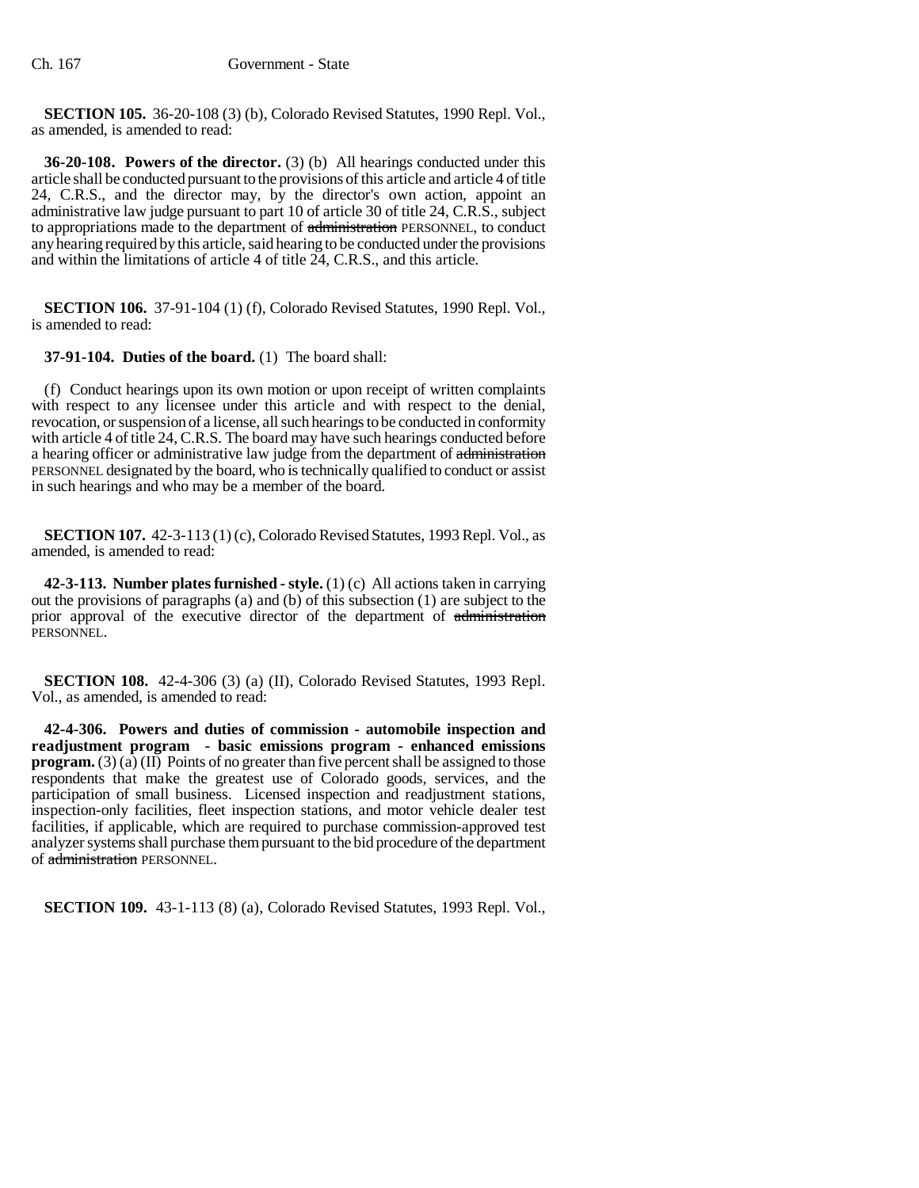**SECTION 105.** 36-20-108 (3) (b), Colorado Revised Statutes, 1990 Repl. Vol., as amended, is amended to read:

**36-20-108. Powers of the director.** (3) (b) All hearings conducted under this article shall be conducted pursuant to the provisions of this article and article 4 of title 24, C.R.S., and the director may, by the director's own action, appoint an administrative law judge pursuant to part 10 of article 30 of title 24, C.R.S., subject to appropriations made to the department of administration PERSONNEL, to conduct any hearing required by this article, said hearing to be conducted under the provisions and within the limitations of article 4 of title 24, C.R.S., and this article.

**SECTION 106.** 37-91-104 (1) (f), Colorado Revised Statutes, 1990 Repl. Vol., is amended to read:

# **37-91-104. Duties of the board.** (1) The board shall:

(f) Conduct hearings upon its own motion or upon receipt of written complaints with respect to any licensee under this article and with respect to the denial, revocation, or suspension of a license, all such hearings to be conducted in conformity with article 4 of title 24, C.R.S. The board may have such hearings conducted before a hearing officer or administrative law judge from the department of administration PERSONNEL designated by the board, who is technically qualified to conduct or assist in such hearings and who may be a member of the board.

**SECTION 107.** 42-3-113 (1) (c), Colorado Revised Statutes, 1993 Repl. Vol., as amended, is amended to read:

**42-3-113. Number plates furnished - style.** (1) (c) All actions taken in carrying out the provisions of paragraphs (a) and (b) of this subsection (1) are subject to the prior approval of the executive director of the department of administration PERSONNEL.

**SECTION 108.** 42-4-306 (3) (a) (II), Colorado Revised Statutes, 1993 Repl. Vol., as amended, is amended to read:

**42-4-306. Powers and duties of commission - automobile inspection and readjustment program - basic emissions program - enhanced emissions program.** (3) (a) (II) Points of no greater than five percent shall be assigned to those respondents that make the greatest use of Colorado goods, services, and the participation of small business. Licensed inspection and readjustment stations, inspection-only facilities, fleet inspection stations, and motor vehicle dealer test facilities, if applicable, which are required to purchase commission-approved test analyzer systems shall purchase them pursuant to the bid procedure of the department of administration PERSONNEL.

**SECTION 109.** 43-1-113 (8) (a), Colorado Revised Statutes, 1993 Repl. Vol.,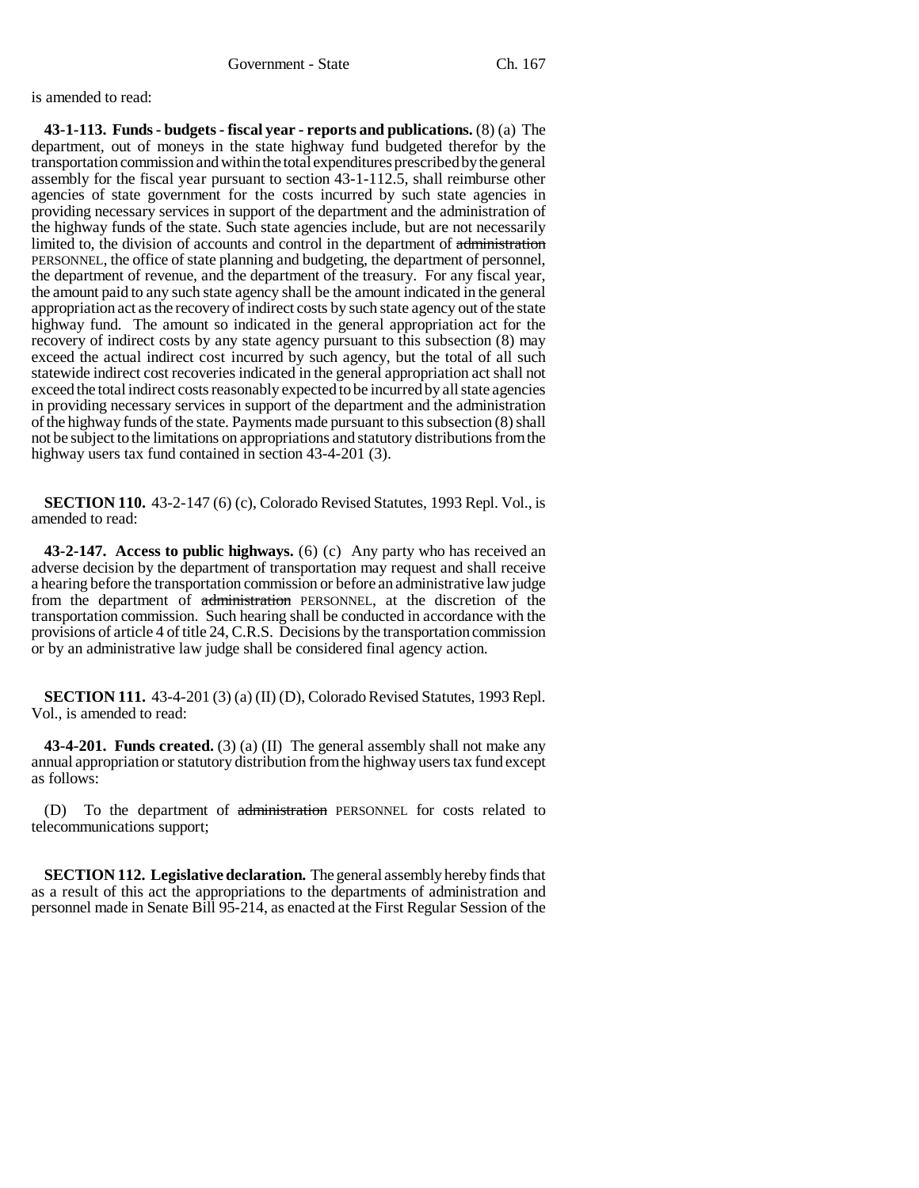is amended to read:

**43-1-113. Funds - budgets - fiscal year - reports and publications.** (8) (a) The department, out of moneys in the state highway fund budgeted therefor by the transportation commission and within the total expenditures prescribed by the general assembly for the fiscal year pursuant to section 43-1-112.5, shall reimburse other agencies of state government for the costs incurred by such state agencies in providing necessary services in support of the department and the administration of the highway funds of the state. Such state agencies include, but are not necessarily limited to, the division of accounts and control in the department of administration PERSONNEL, the office of state planning and budgeting, the department of personnel, the department of revenue, and the department of the treasury. For any fiscal year, the amount paid to any such state agency shall be the amount indicated in the general appropriation act as the recovery of indirect costs by such state agency out of the state highway fund. The amount so indicated in the general appropriation act for the recovery of indirect costs by any state agency pursuant to this subsection (8) may exceed the actual indirect cost incurred by such agency, but the total of all such statewide indirect cost recoveries indicated in the general appropriation act shall not exceed the total indirect costs reasonably expected to be incurred by all state agencies in providing necessary services in support of the department and the administration of the highway funds of the state. Payments made pursuant to this subsection (8) shall not be subject to the limitations on appropriations and statutory distributions from the highway users tax fund contained in section 43-4-201 (3).

**SECTION 110.** 43-2-147 (6) (c), Colorado Revised Statutes, 1993 Repl. Vol., is amended to read:

**43-2-147. Access to public highways.** (6) (c) Any party who has received an adverse decision by the department of transportation may request and shall receive a hearing before the transportation commission or before an administrative law judge from the department of administration PERSONNEL, at the discretion of the transportation commission. Such hearing shall be conducted in accordance with the provisions of article 4 of title 24, C.R.S. Decisions by the transportation commission or by an administrative law judge shall be considered final agency action.

**SECTION 111.** 43-4-201 (3) (a) (II) (D), Colorado Revised Statutes, 1993 Repl. Vol., is amended to read:

**43-4-201. Funds created.** (3) (a) (II) The general assembly shall not make any annual appropriation or statutory distribution from the highway users tax fund except as follows:

(D) To the department of administration PERSONNEL for costs related to telecommunications support;

**SECTION 112. Legislative declaration.** The general assembly hereby finds that as a result of this act the appropriations to the departments of administration and personnel made in Senate Bill 95-214, as enacted at the First Regular Session of the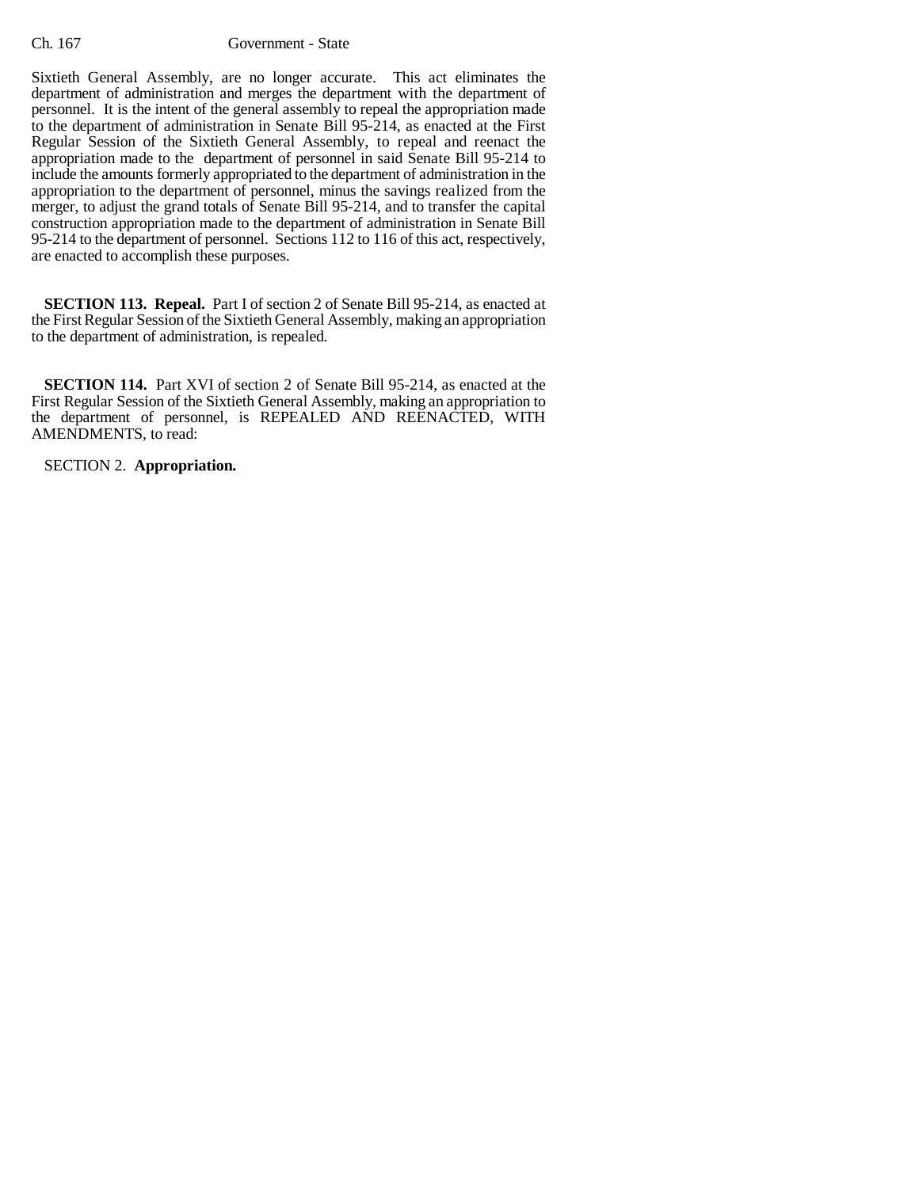Sixtieth General Assembly, are no longer accurate. This act eliminates the department of administration and merges the department with the department of personnel. It is the intent of the general assembly to repeal the appropriation made to the department of administration in Senate Bill 95-214, as enacted at the First Regular Session of the Sixtieth General Assembly, to repeal and reenact the appropriation made to the department of personnel in said Senate Bill 95-214 to include the amounts formerly appropriated to the department of administration in the appropriation to the department of personnel, minus the savings realized from the merger, to adjust the grand totals of Senate Bill 95-214, and to transfer the capital construction appropriation made to the department of administration in Senate Bill 95-214 to the department of personnel. Sections 112 to 116 of this act, respectively, are enacted to accomplish these purposes.

**SECTION 113. Repeal.** Part I of section 2 of Senate Bill 95-214, as enacted at the First Regular Session of the Sixtieth General Assembly, making an appropriation to the department of administration, is repealed.

**SECTION 114.** Part XVI of section 2 of Senate Bill 95-214, as enacted at the First Regular Session of the Sixtieth General Assembly, making an appropriation to the department of personnel, is REPEALED AND REENACTED, WITH AMENDMENTS, to read:

SECTION 2. **Appropriation.**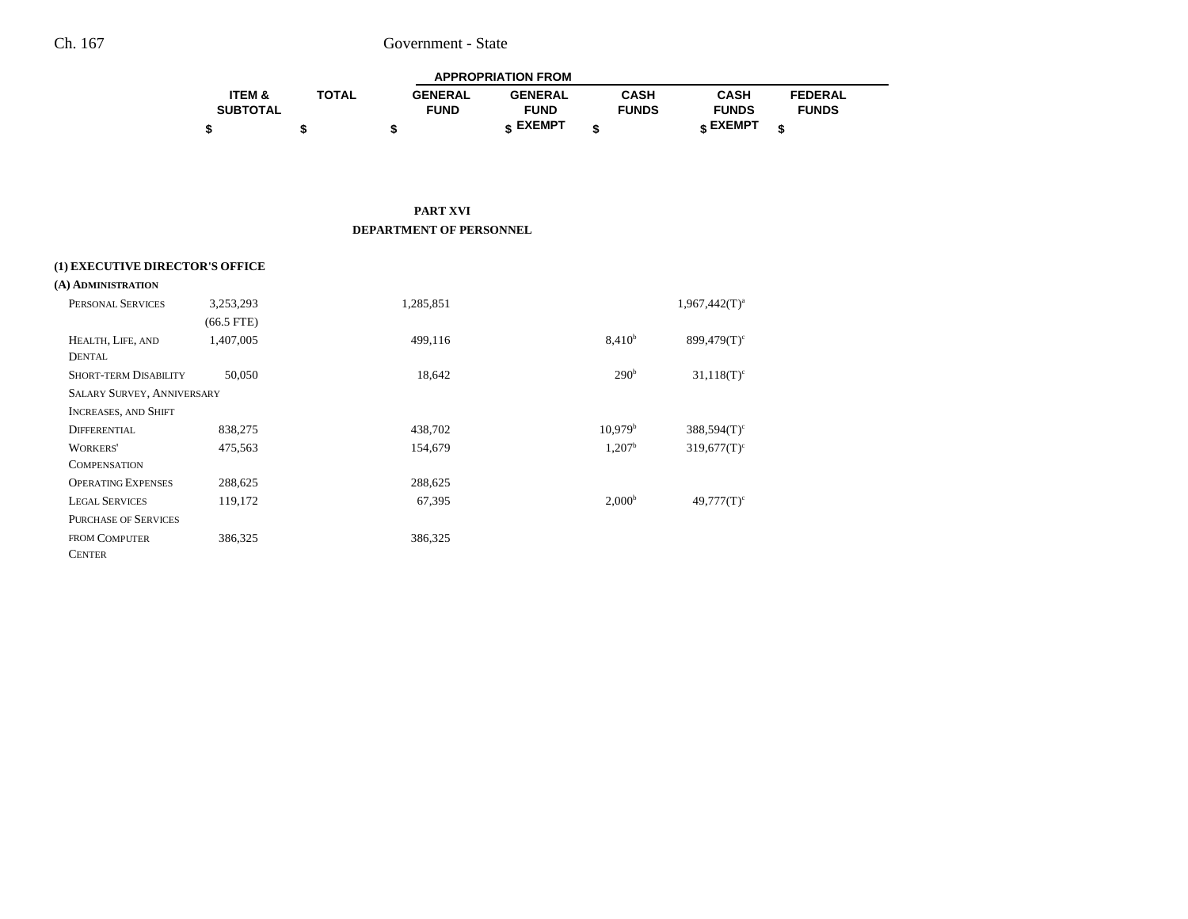|                   | <b>APPROPRIATION FROM</b> |                |                |              |              |                |  |
|-------------------|---------------------------|----------------|----------------|--------------|--------------|----------------|--|
| <b>ITEM &amp;</b> | <b>TOTAL</b>              | <b>GENERAL</b> | <b>GENERAL</b> | CASH         | CASH         | <b>FEDERAL</b> |  |
| <b>SUBTOTAL</b>   |                           | <b>FUND</b>    | <b>FUND</b>    | <b>FUNDS</b> | <b>FUNDS</b> | <b>FUNDS</b>   |  |
|                   |                           |                | EXEMPT -       |              | CXEMPT -     |                |  |

**PART XVI DEPARTMENT OF PERSONNEL**

### **(1) EXECUTIVE DIRECTOR'S OFFICE**

| A) ADMINISTRATION                 |              |           |                     |                           |  |
|-----------------------------------|--------------|-----------|---------------------|---------------------------|--|
| PERSONAL SERVICES                 | 3,253,293    | 1,285,851 |                     | $1,967,442(T)^{a}$        |  |
|                                   | $(66.5$ FTE) |           |                     |                           |  |
| HEALTH, LIFE, AND                 | 1,407,005    | 499,116   | $8,410^{b}$         | $899,479(T)$ <sup>c</sup> |  |
| <b>DENTAL</b>                     |              |           |                     |                           |  |
| <b>SHORT-TERM DISABILITY</b>      | 50,050       | 18,642    | 290 <sup>b</sup>    | $31,118(T)^c$             |  |
| <b>SALARY SURVEY, ANNIVERSARY</b> |              |           |                     |                           |  |
| <b>INCREASES, AND SHIFT</b>       |              |           |                     |                           |  |
| <b>DIFFERENTIAL</b>               | 838,275      | 438,702   | 10,979 <sup>b</sup> | $388,594(T)$ <sup>c</sup> |  |
| <b>WORKERS'</b>                   | 475,563      | 154,679   | 1,207 <sup>b</sup>  | $319,677(T)$ <sup>c</sup> |  |
| <b>COMPENSATION</b>               |              |           |                     |                           |  |
| <b>OPERATING EXPENSES</b>         | 288,625      | 288,625   |                     |                           |  |
| <b>LEGAL SERVICES</b>             | 119,172      | 67,395    | 2,000 <sup>b</sup>  | $49,777(T)$ <sup>c</sup>  |  |
| <b>PURCHASE OF SERVICES</b>       |              |           |                     |                           |  |
| <b>FROM COMPUTER</b>              | 386,325      | 386,325   |                     |                           |  |
| <b>CENTER</b>                     |              |           |                     |                           |  |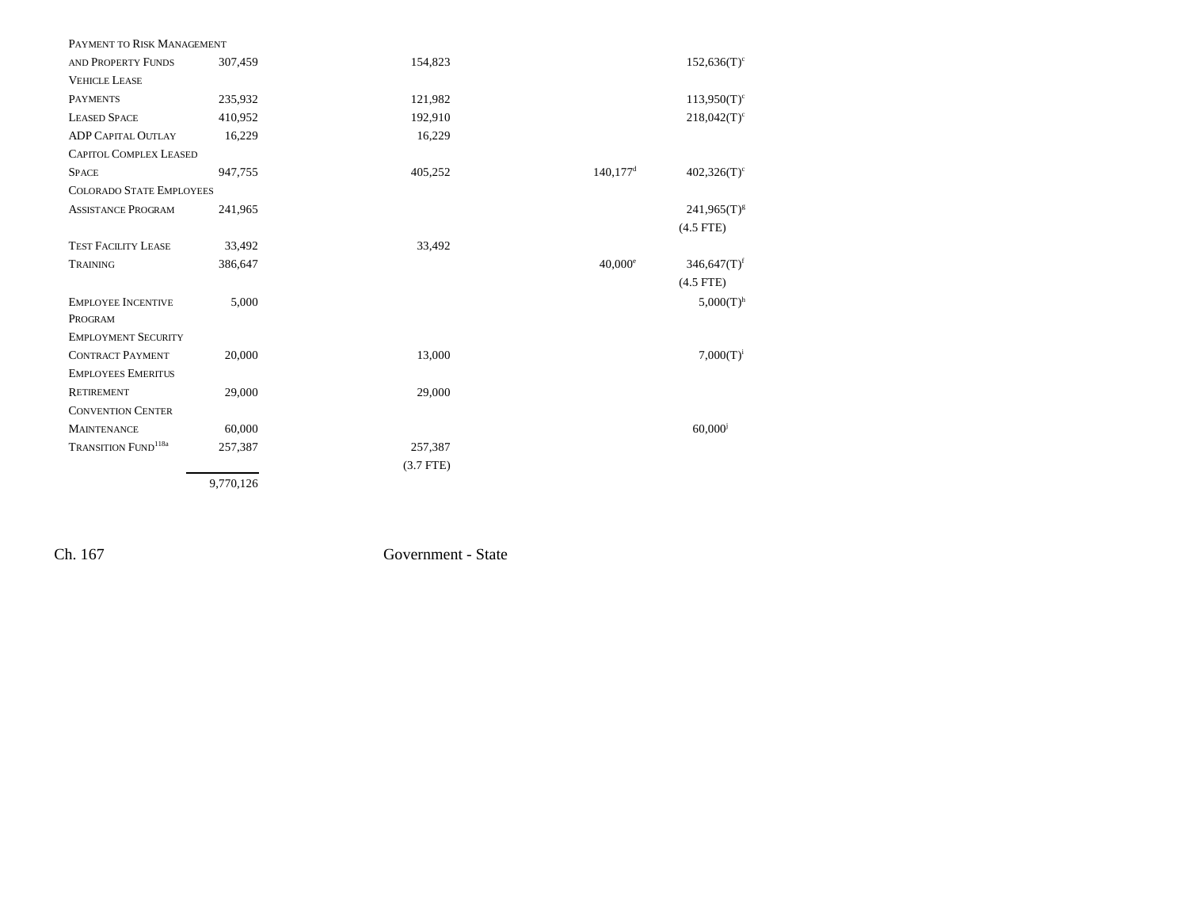| PAYMENT TO RISK MANAGEMENT             |           |             |                        |                           |
|----------------------------------------|-----------|-------------|------------------------|---------------------------|
| AND PROPERTY FUNDS                     | 307,459   | 154,823     |                        | $152,636(T)^c$            |
| <b>VEHICLE LEASE</b>                   |           |             |                        |                           |
| <b>PAYMENTS</b>                        | 235,932   | 121,982     |                        | $113,950(T)^c$            |
| <b>LEASED SPACE</b>                    | 410,952   | 192,910     |                        | $218,042(T)^c$            |
| <b>ADP CAPITAL OUTLAY</b>              | 16,229    | 16,229      |                        |                           |
| <b>CAPITOL COMPLEX LEASED</b>          |           |             |                        |                           |
| <b>SPACE</b>                           | 947,755   | 405,252     | $140,177$ <sup>d</sup> | $402,326(T)^c$            |
| <b>COLORADO STATE EMPLOYEES</b>        |           |             |                        |                           |
| <b>ASSISTANCE PROGRAM</b>              | 241,965   |             |                        | $241,965(T)^{g}$          |
|                                        |           |             |                        | $(4.5$ FTE)               |
| <b>TEST FACILITY LEASE</b>             | 33,492    | 33,492      |                        |                           |
| TRAINING                               | 386,647   |             | $40,000^{\circ}$       | $346,647(T)$ <sup>f</sup> |
|                                        |           |             |                        | $(4.5$ FTE)               |
| <b>EMPLOYEE INCENTIVE</b>              | 5,000     |             |                        | $5,000(T)$ <sup>h</sup>   |
| PROGRAM                                |           |             |                        |                           |
| <b>EMPLOYMENT SECURITY</b>             |           |             |                        |                           |
| <b>CONTRACT PAYMENT</b>                | 20,000    | 13,000      |                        | $7,000(T)^{i}$            |
| <b>EMPLOYEES EMERITUS</b>              |           |             |                        |                           |
| <b>RETIREMENT</b>                      | 29,000    | 29,000      |                        |                           |
| <b>CONVENTION CENTER</b>               |           |             |                        |                           |
| <b>MAINTENANCE</b>                     | 60,000    |             |                        | $60,000$ <sup>j</sup>     |
| <b>TRANSITION FUND</b> <sup>118a</sup> | 257,387   | 257,387     |                        |                           |
|                                        |           | $(3.7$ FTE) |                        |                           |
|                                        | 9,770,126 |             |                        |                           |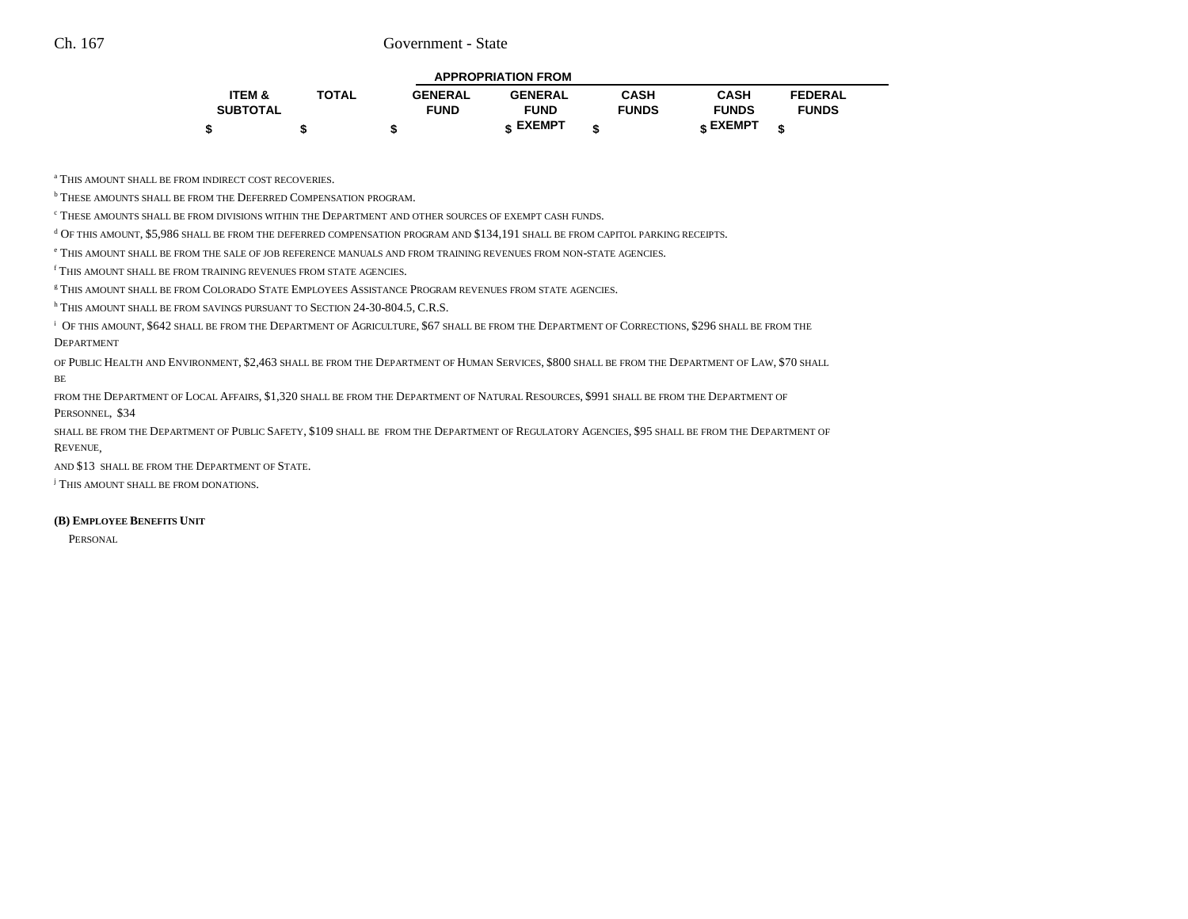|  | <b>APPROPRIATION FROM</b> |
|--|---------------------------|
|  |                           |

| 'TEM &          | <b>TOTAL</b> | <b>GENERAL</b> | <b>GENERAL</b> | CASH         | CASH         | <b>FEDERAL</b> |
|-----------------|--------------|----------------|----------------|--------------|--------------|----------------|
| <b>SUBTOTAL</b> |              | <b>FUND</b>    | <b>FUND</b>    | <b>FUNDS</b> | <b>FUNDS</b> | <b>FUNDS</b>   |
|                 |              |                | EXEMPT -       |              | EXEMPT -     |                |

a THIS AMOUNT SHALL BE FROM INDIRECT COST RECOVERIES.

**b** THESE AMOUNTS SHALL BE FROM THE DEFERRED COMPENSATION PROGRAM.

 $\lq$  These amounts shall be from divisions within the Department and other sources of exempt cash funds.

d OF THIS AMOUNT, \$5,986 SHALL BE FROM THE DEFERRED COMPENSATION PROGRAM AND \$134,191 SHALL BE FROM CAPITOL PARKING RECEIPTS.

e THIS AMOUNT SHALL BE FROM THE SALE OF JOB REFERENCE MANUALS AND FROM TRAINING REVENUES FROM NON-STATE AGENCIES.

f THIS AMOUNT SHALL BE FROM TRAINING REVENUES FROM STATE AGENCIES.

g THIS AMOUNT SHALL BE FROM COLORADO STATE EMPLOYEES ASSISTANCE PROGRAM REVENUES FROM STATE AGENCIES.

h THIS AMOUNT SHALL BE FROM SAVINGS PURSUANT TO SECTION 24-30-804.5, C.R.S.

 $^\mathrm{i}$  Of this amount, \$642 shall be from the Department of Agriculture, \$67 shall be from the Department of Corrections, \$296 shall be from the DEPARTMENT

of Public Health and Environment, \$2,463 shall be from the Department of Human Services, \$800 shall be from the Department of Law, \$70 shall BE

from the Department of Local Affairs, \$1,320 shall be from the Department of Natural Resources, \$991 shall be from the Department of PERSONNEL, \$34

shall be from the Department of Public Safety, \$109 shall be from the Department of Regulatory Agencies, \$95 shall be from the Department of REVENUE,

AND \$13 SHALL BE FROM THE DEPARTMENT OF STATE.

<sup>j</sup> This amount shall be from donations.

### **(B) EMPLOYEE BENEFITS UNIT**

PERSONAL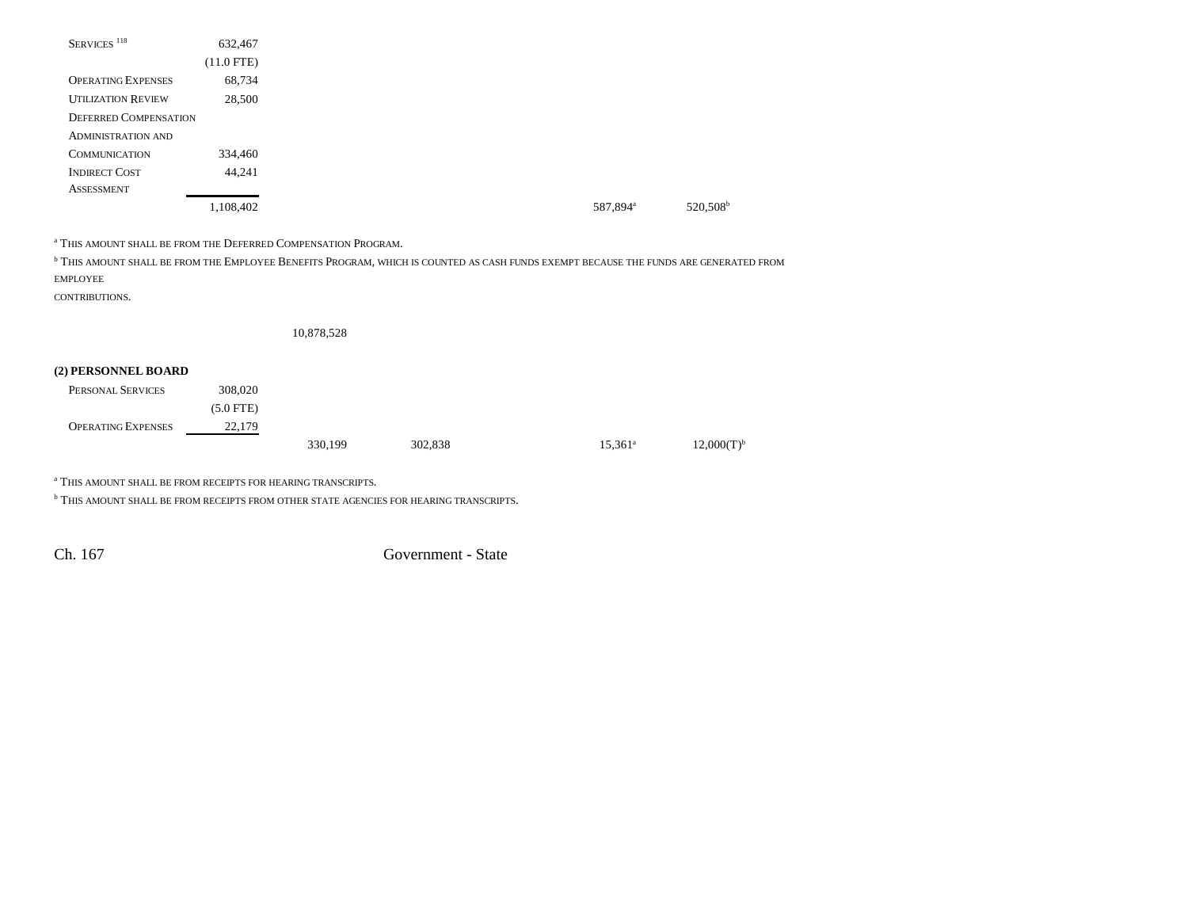| SERVICES <sup>118</sup>      | 632,467      |
|------------------------------|--------------|
|                              | $(11.0$ FTE) |
| <b>OPERATING EXPENSES</b>    | 68,734       |
| <b>UTILIZATION REVIEW</b>    | 28,500       |
| <b>DEFERRED COMPENSATION</b> |              |
| <b>ADMINISTRATION AND</b>    |              |
| <b>COMMUNICATION</b>         | 334,460      |
| <b>INDIRECT COST</b>         | 44,241       |
| <b>ASSESSMENT</b>            |              |
|                              | 1,108,402    |

a THIS AMOUNT SHALL BE FROM THE DEFERRED COMPENSATION PROGRAM.

<sup>b</sup> This amount shall be from the Employee Benefits Program, which is counted as cash funds exempt because the funds are generated from EMPLOYEE

CONTRIBUTIONS.

10,878,528

### **(2) PERSONNEL BOARD**

| PERSONAL SERVICES         | 308,020     |         |         |                  |                 |
|---------------------------|-------------|---------|---------|------------------|-----------------|
|                           | $(5.0$ FTE) |         |         |                  |                 |
| <b>OPERATING EXPENSES</b> | 22,179      |         |         |                  |                 |
|                           |             | 330,199 | 302,838 | $15,361^{\circ}$ | $12,000(T)^{b}$ |

a THIS AMOUNT SHALL BE FROM RECEIPTS FOR HEARING TRANSCRIPTS.

 $^{\rm b}$  THIS AMOUNT SHALL BE FROM RECEIPTS FROM OTHER STATE AGENCIES FOR HEARING TRANSCRIPTS.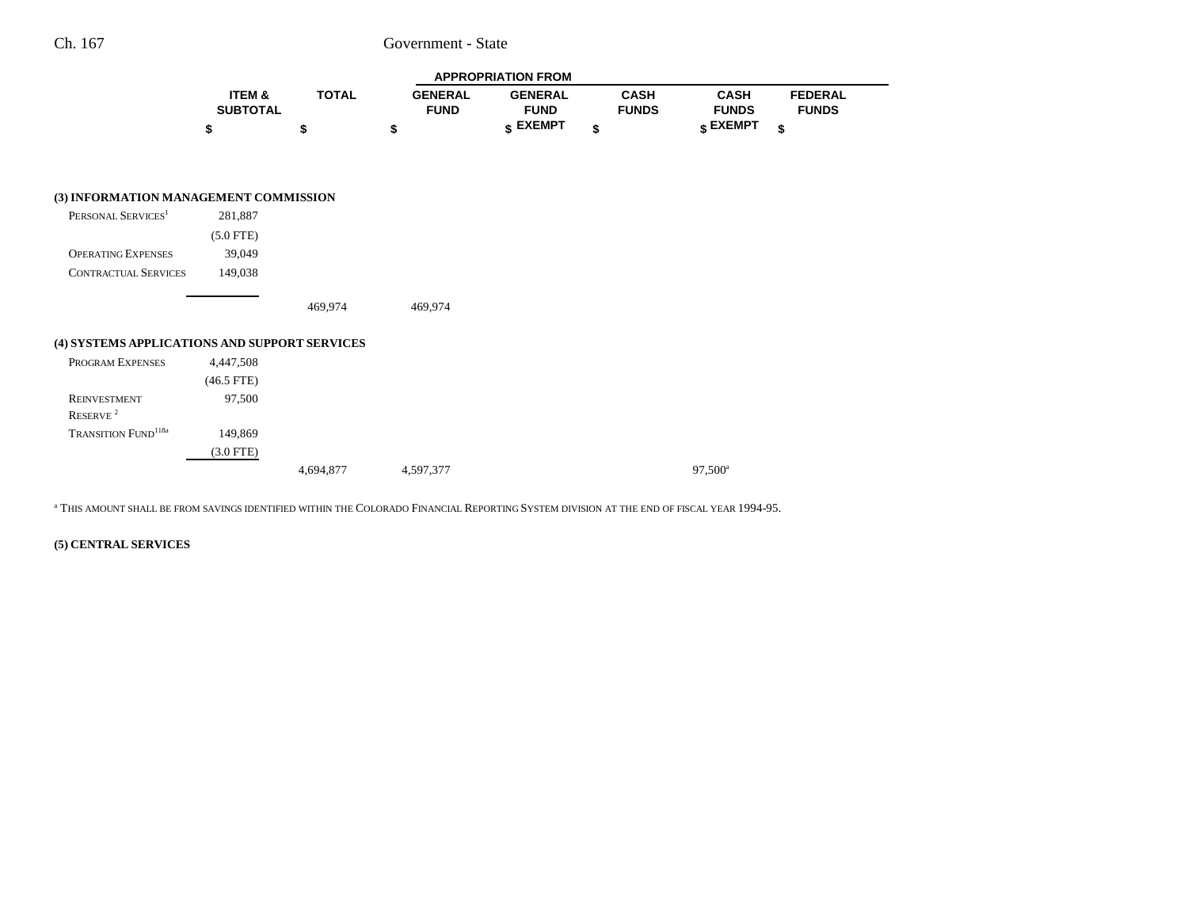|                                               |                           |              |                               | <b>APPROPRIATION FROM</b>     |                             |                             |                                |
|-----------------------------------------------|---------------------------|--------------|-------------------------------|-------------------------------|-----------------------------|-----------------------------|--------------------------------|
|                                               | ITEM &<br><b>SUBTOTAL</b> | <b>TOTAL</b> | <b>GENERAL</b><br><b>FUND</b> | <b>GENERAL</b><br><b>FUND</b> | <b>CASH</b><br><b>FUNDS</b> | <b>CASH</b><br><b>FUNDS</b> | <b>FEDERAL</b><br><b>FUNDS</b> |
|                                               | \$                        | \$           | \$                            | \$ EXEMPT                     | \$                          | $\frac{1}{3}$ EXEMPT        | \$                             |
|                                               |                           |              |                               |                               |                             |                             |                                |
| (3) INFORMATION MANAGEMENT COMMISSION         |                           |              |                               |                               |                             |                             |                                |
| PERSONAL SERVICES <sup>1</sup>                | 281,887                   |              |                               |                               |                             |                             |                                |
|                                               | $(5.0$ FTE)               |              |                               |                               |                             |                             |                                |
| <b>OPERATING EXPENSES</b>                     | 39,049                    |              |                               |                               |                             |                             |                                |
| <b>CONTRACTUAL SERVICES</b>                   | 149,038                   |              |                               |                               |                             |                             |                                |
|                                               |                           | 469,974      | 469,974                       |                               |                             |                             |                                |
| (4) SYSTEMS APPLICATIONS AND SUPPORT SERVICES |                           |              |                               |                               |                             |                             |                                |
| PROGRAM EXPENSES                              | 4,447,508                 |              |                               |                               |                             |                             |                                |
|                                               | $(46.5$ FTE)              |              |                               |                               |                             |                             |                                |
| <b>REINVESTMENT</b>                           | 97,500                    |              |                               |                               |                             |                             |                                |
| RESERVE <sup>2</sup>                          |                           |              |                               |                               |                             |                             |                                |

a THIS AMOUNT SHALL BE FROM SAVINGS IDENTIFIED WITHIN THE COLORADO FINANCIAL REPORTING SYSTEM DIVISION AT THE END OF FISCAL YEAR 1994-95.

4,694,877 4,597,377 97,500<sup>a</sup>

TRANSITION FUND<sup>118a</sup> 149,869

**(5) CENTRAL SERVICES**

(3.0 FTE)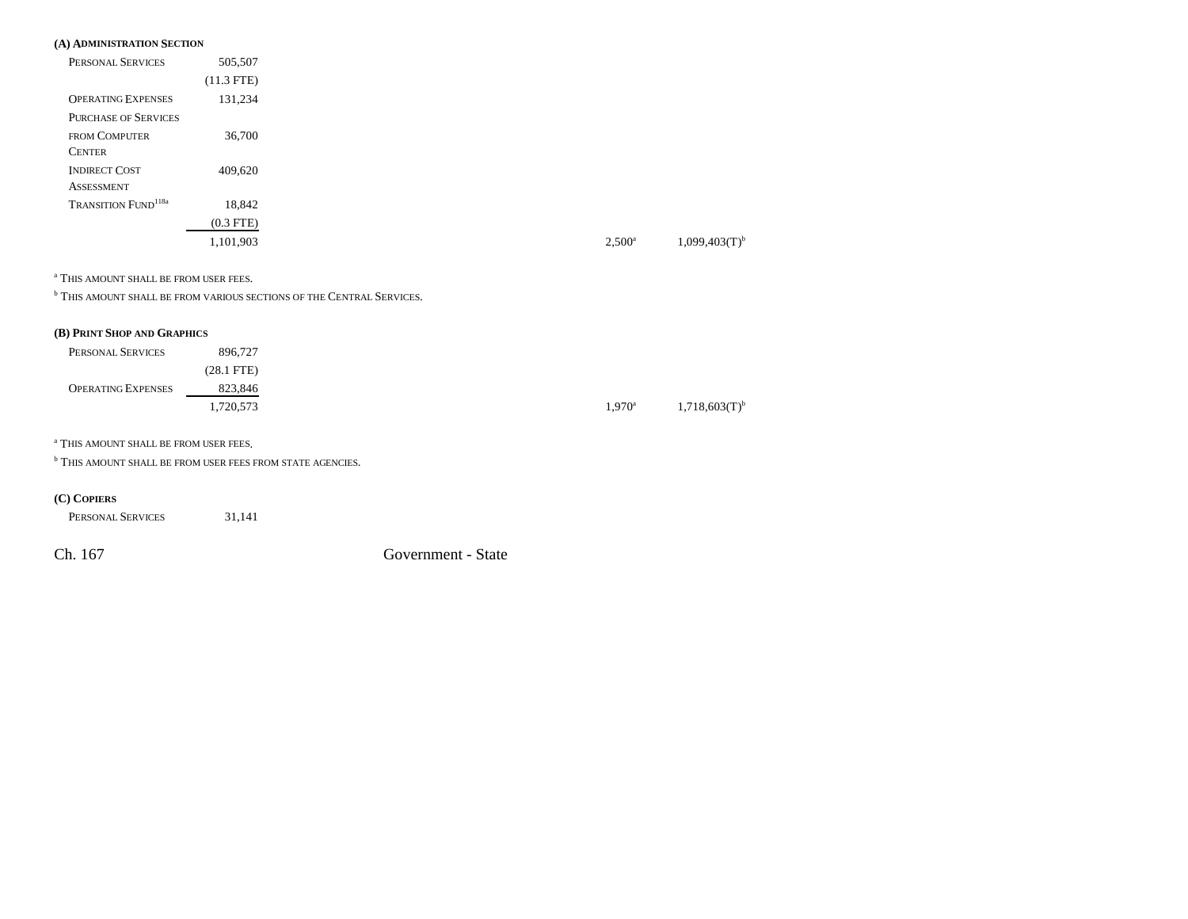#### **(A) ADMINISTRATION SECTION**

| PERSONAL SERVICES                      | 505,507      |
|----------------------------------------|--------------|
|                                        | $(11.3$ FTE) |
| <b>OPERATING EXPENSES</b>              | 131,234      |
| <b>PURCHASE OF SERVICES</b>            |              |
| <b>FROM COMPUTER</b>                   | 36,700       |
| <b>CENTER</b>                          |              |
| <b>INDIRECT COST</b>                   | 409,620      |
| <b>ASSESSMENT</b>                      |              |
| <b>TRANSITION FUND</b> <sup>118a</sup> | 18,842       |
|                                        | $(0.3$ FTE)  |
|                                        | 1,101,903    |

a THIS AMOUNT SHALL BE FROM USER FEES.

**b THIS AMOUNT SHALL BE FROM VARIOUS SECTIONS OF THE CENTRAL SERVICES.** 

#### **(B) PRINT SHOP AND GRAPHICS**

| PERSONAL SERVICES         | 896,727      |
|---------------------------|--------------|
|                           | $(28.1$ FTE) |
| <b>OPERATING EXPENSES</b> | 823,846      |
|                           | .720,573     |

a THIS AMOUNT SHALL BE FROM USER FEES.

**b THIS AMOUNT SHALL BE FROM USER FEES FROM STATE AGENCIES.** 

#### **(C) COPIERS**

PERSONAL SERVICES31,141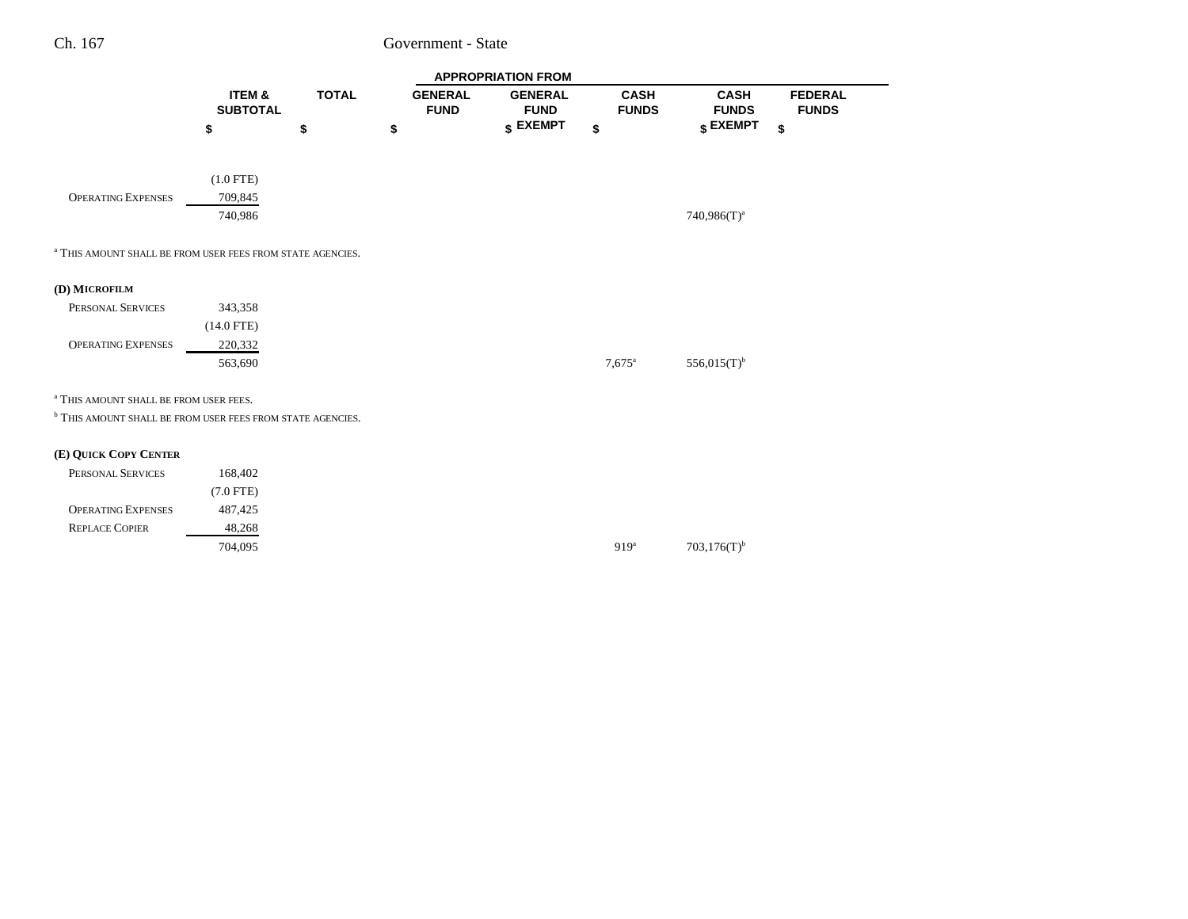|                                                                       |                           |              |                               | <b>APPROPRIATION FROM</b>     |                             |                                                               |
|-----------------------------------------------------------------------|---------------------------|--------------|-------------------------------|-------------------------------|-----------------------------|---------------------------------------------------------------|
|                                                                       | ITEM &<br><b>SUBTOTAL</b> | <b>TOTAL</b> | <b>GENERAL</b><br><b>FUND</b> | <b>GENERAL</b><br><b>FUND</b> | <b>CASH</b><br><b>FUNDS</b> | <b>CASH</b><br><b>FEDERAL</b><br><b>FUNDS</b><br><b>FUNDS</b> |
|                                                                       | \$                        | \$           | \$                            | \$ EXEMPT                     | \$                          | \$ EXEMPT<br>\$                                               |
|                                                                       |                           |              |                               |                               |                             |                                                               |
|                                                                       | $(1.0$ FTE)               |              |                               |                               |                             |                                                               |
| <b>OPERATING EXPENSES</b>                                             | 709,845                   |              |                               |                               |                             |                                                               |
|                                                                       | 740,986                   |              |                               |                               |                             | 740,986(T) <sup>a</sup>                                       |
|                                                                       |                           |              |                               |                               |                             |                                                               |
| <sup>a</sup> THIS AMOUNT SHALL BE FROM USER FEES FROM STATE AGENCIES. |                           |              |                               |                               |                             |                                                               |
|                                                                       |                           |              |                               |                               |                             |                                                               |
| (D) MICROFILM                                                         |                           |              |                               |                               |                             |                                                               |
| PERSONAL SERVICES                                                     | 343,358                   |              |                               |                               |                             |                                                               |
|                                                                       | $(14.0$ FTE)              |              |                               |                               |                             |                                                               |
| <b>OPERATING EXPENSES</b>                                             | 220,332                   |              |                               |                               |                             |                                                               |
|                                                                       | 563,690                   |              |                               |                               | $7.675$ <sup>a</sup>        | $556,015(T)$ <sup>b</sup>                                     |
|                                                                       |                           |              |                               |                               |                             |                                                               |
| <sup>a</sup> THIS AMOUNT SHALL BE FROM USER FEES.                     |                           |              |                               |                               |                             |                                                               |
| <sup>b</sup> THIS AMOUNT SHALL BE FROM USER FEES FROM STATE AGENCIES. |                           |              |                               |                               |                             |                                                               |
| (E) QUICK COPY CENTER                                                 |                           |              |                               |                               |                             |                                                               |
| PERSONAL SERVICES                                                     | 168,402                   |              |                               |                               |                             |                                                               |
|                                                                       | $(7.0$ FTE)               |              |                               |                               |                             |                                                               |
| <b>OPERATING EXPENSES</b>                                             | 487,425                   |              |                               |                               |                             |                                                               |
| <b>REPLACE COPIER</b>                                                 | 48,268                    |              |                               |                               |                             |                                                               |
|                                                                       | 704,095                   |              |                               |                               | 919 <sup>a</sup>            | $703,176(T)$ <sup>b</sup>                                     |
|                                                                       |                           |              |                               |                               |                             |                                                               |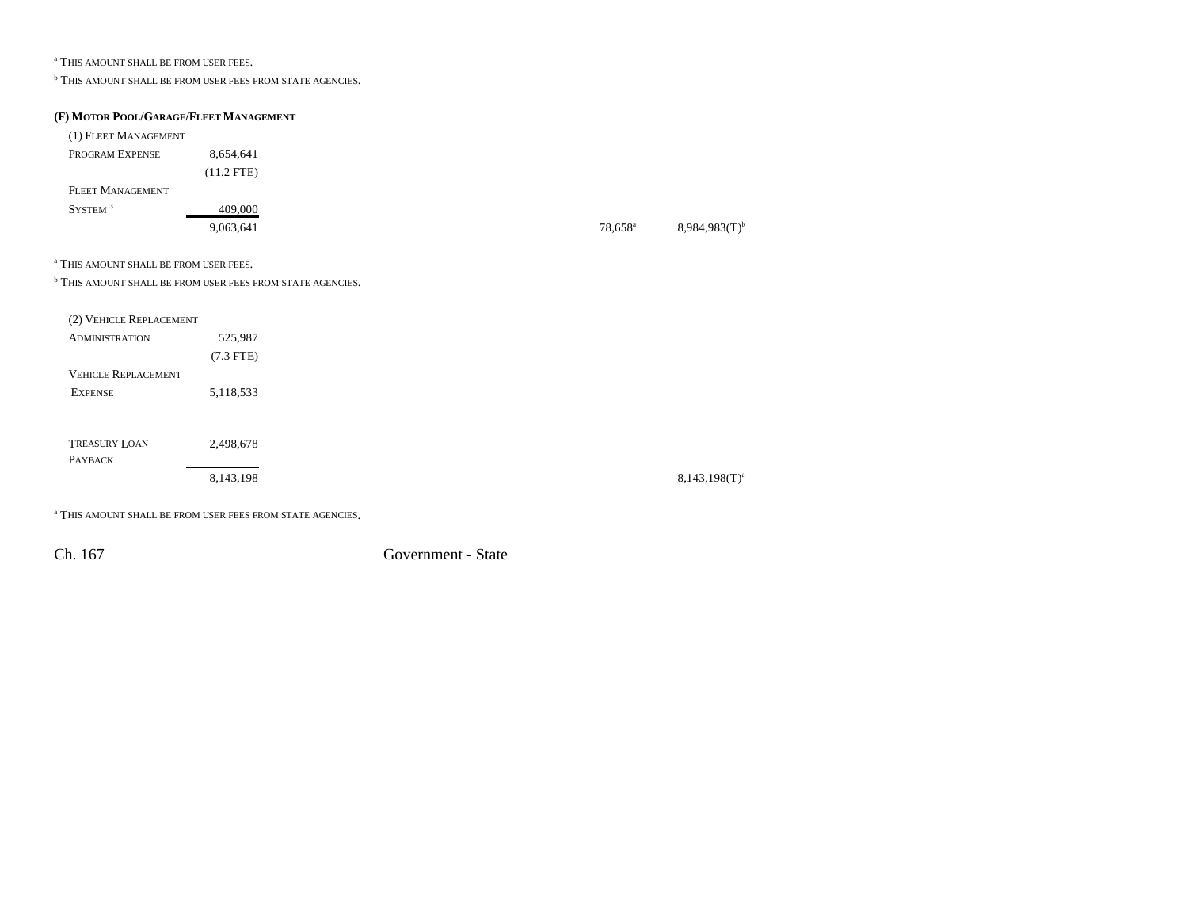a THIS AMOUNT SHALL BE FROM USER FEES.

**b THIS AMOUNT SHALL BE FROM USER FEES FROM STATE AGENCIES.** 

#### **(F) MOTOR POOL/GARAGE/FLEET MANAGEMENT**

| (1) FLEET MANAGEMENT                              |                                                                       |                  |                    |
|---------------------------------------------------|-----------------------------------------------------------------------|------------------|--------------------|
| PROGRAM EXPENSE                                   | 8,654,641                                                             |                  |                    |
|                                                   | $(11.2$ FTE)                                                          |                  |                    |
| <b>FLEET MANAGEMENT</b>                           |                                                                       |                  |                    |
| $\text{SYSTEM}$ $^3$                              | 409,000                                                               |                  |                    |
|                                                   | 9,063,641                                                             | $78,658^{\circ}$ | $8,984,983(T)^{b}$ |
| <sup>a</sup> THIS AMOUNT SHALL BE FROM USER FEES. |                                                                       |                  |                    |
|                                                   | <sup>b</sup> THIS AMOUNT SHALL BE FROM USER FEES FROM STATE AGENCIES. |                  |                    |
| (2) VEHICLE REPLACEMENT                           |                                                                       |                  |                    |
| <b>ADMINISTRATION</b>                             | 525,987                                                               |                  |                    |
|                                                   | $(7.3$ FTE)                                                           |                  |                    |
| <b>VEHICLE REPLACEMENT</b>                        |                                                                       |                  |                    |
| <b>EXPENSE</b>                                    | 5,118,533                                                             |                  |                    |
|                                                   |                                                                       |                  |                    |
| <b>TREASURY LOAN</b>                              | 2,498,678                                                             |                  |                    |
| PAYBACK                                           |                                                                       |                  |                    |
|                                                   | 8,143,198                                                             |                  | $8,143,198(T)^{a}$ |

a THIS AMOUNT SHALL BE FROM USER FEES FROM STATE AGENCIES.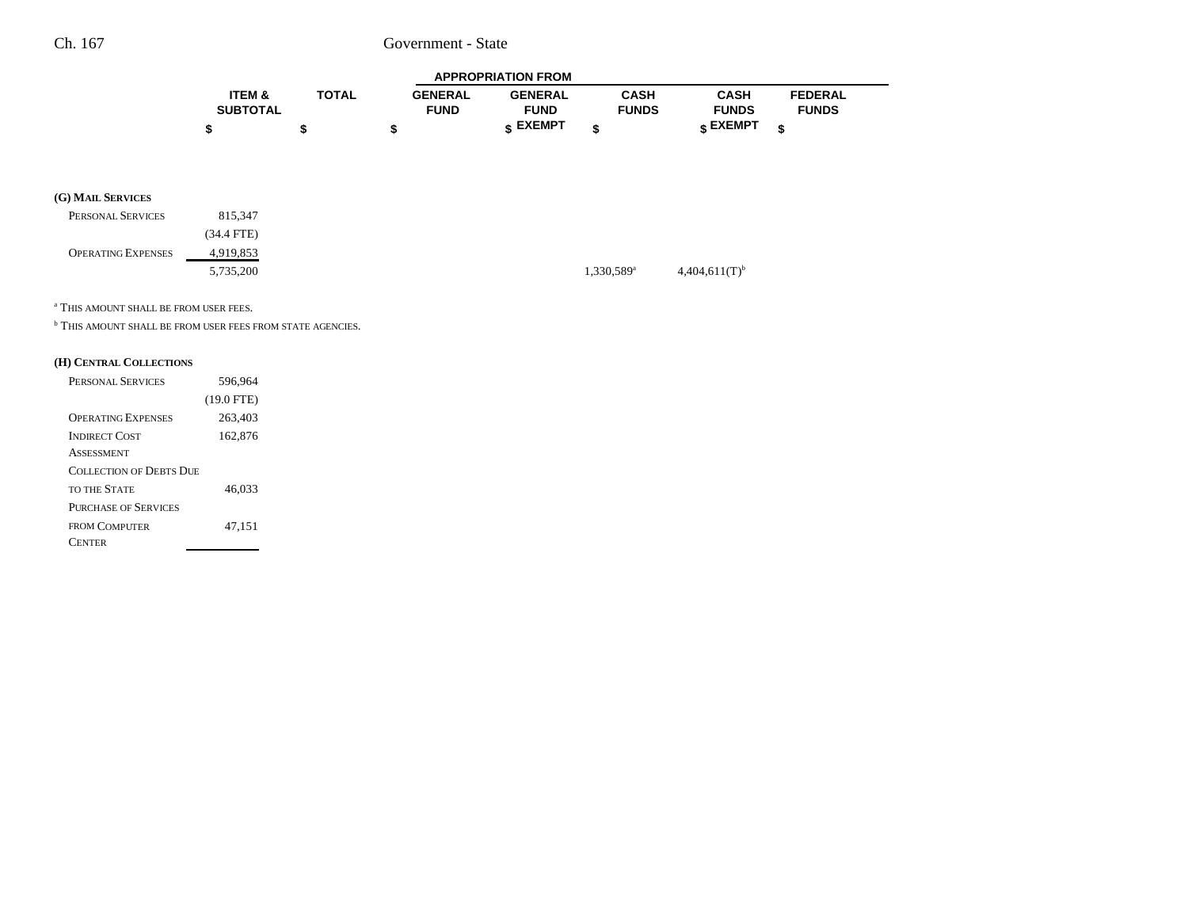| <b>APPROPRIATION FROM</b> |       |                |                |              |              |                |  |  |
|---------------------------|-------|----------------|----------------|--------------|--------------|----------------|--|--|
| <b>ITEM &amp;</b>         | TOTAL | <b>GENERAL</b> | <b>GENERAL</b> | CASH         | CASH         | <b>FEDERAL</b> |  |  |
| <b>SUBTOTAL</b>           |       | <b>FUND</b>    | <b>FUND</b>    | <b>FUNDS</b> | <b>FUNDS</b> | <b>FUNDS</b>   |  |  |
|                           |       |                | EXEMPT -       |              | EXEMPT -     |                |  |  |

#### **(G) MAIL SERVICES**

| PERSONAL SERVICES         | 815.347    |                          |
|---------------------------|------------|--------------------------|
|                           | (34.4 FTE) |                          |
| <b>OPERATING EXPENSES</b> | 4,919,853  |                          |
|                           | 5,735,200  | $1,330,589$ <sup>a</sup> |

a THIS AMOUNT SHALL BE FROM USER FEES.

**b THIS AMOUNT SHALL BE FROM USER FEES FROM STATE AGENCIES.** 

#### **(H) CENTRAL COLLECTIONS**

| PERSONAL SERVICES           | 596,964      |
|-----------------------------|--------------|
|                             | $(19.0$ FTE) |
| <b>OPERATING EXPENSES</b>   | 263,403      |
| <b>INDIRECT COST</b>        | 162,876      |
| <b>ASSESSMENT</b>           |              |
| COLLECTION OF DERTS DUE     |              |
| <b>TO THE STATE</b>         | 46,033       |
| <b>PURCHASE OF SERVICES</b> |              |
| <b>FROM COMPUTER</b>        | 47,151       |
| 'ENTER                      |              |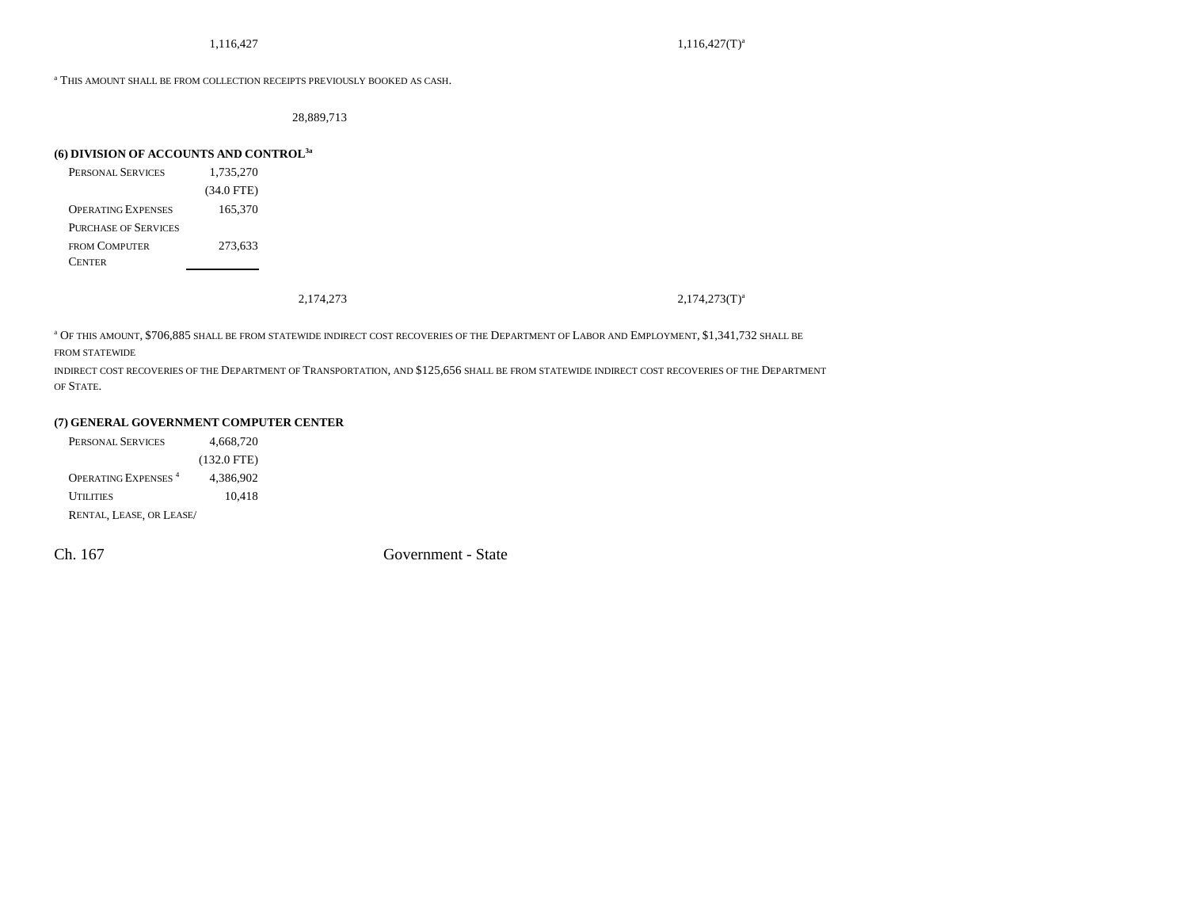$1,116,427$   $1,116,427$   $1,116,427$ 

a THIS AMOUNT SHALL BE FROM COLLECTION RECEIPTS PREVIOUSLY BOOKED AS CASH.

28,889,713

### **(6) DIVISION OF ACCOUNTS AND CONTROL3a**

| <b>PERSONAL SERVICES</b>    | 1,735,270    |
|-----------------------------|--------------|
|                             | $(34.0$ FTE) |
| <b>OPERATING EXPENSES</b>   | 165,370      |
| <b>PURCHASE OF SERVICES</b> |              |
| FROM COMPUTER               | 273,633      |
| <b>CENTER</b>               |              |

2,174,273(T)<sup>a</sup> 2,174,273(T)<sup>a</sup>

<sup>a</sup> Of this amount, \$706,885 shall be from statewide indirect cost recoveries of the Department of Labor and Employment, \$1,341,732 shall be FROM STATEWIDE

indirect cost recoveries of the Department of Transportation, and \$125,656 shall be from statewide indirect cost recoveries of the Department OF STATE.

### **(7) GENERAL GOVERNMENT COMPUTER CENTER**

| PERSONAL SERVICES                     | 4.668.720     |
|---------------------------------------|---------------|
|                                       | $(132.0$ FTE) |
| <b>OPERATING EXPENSES<sup>4</sup></b> | 4.386.902     |
| <b>UTILITIES</b>                      | 10.418        |
| RENTAL, LEASE, OR LEASE/              |               |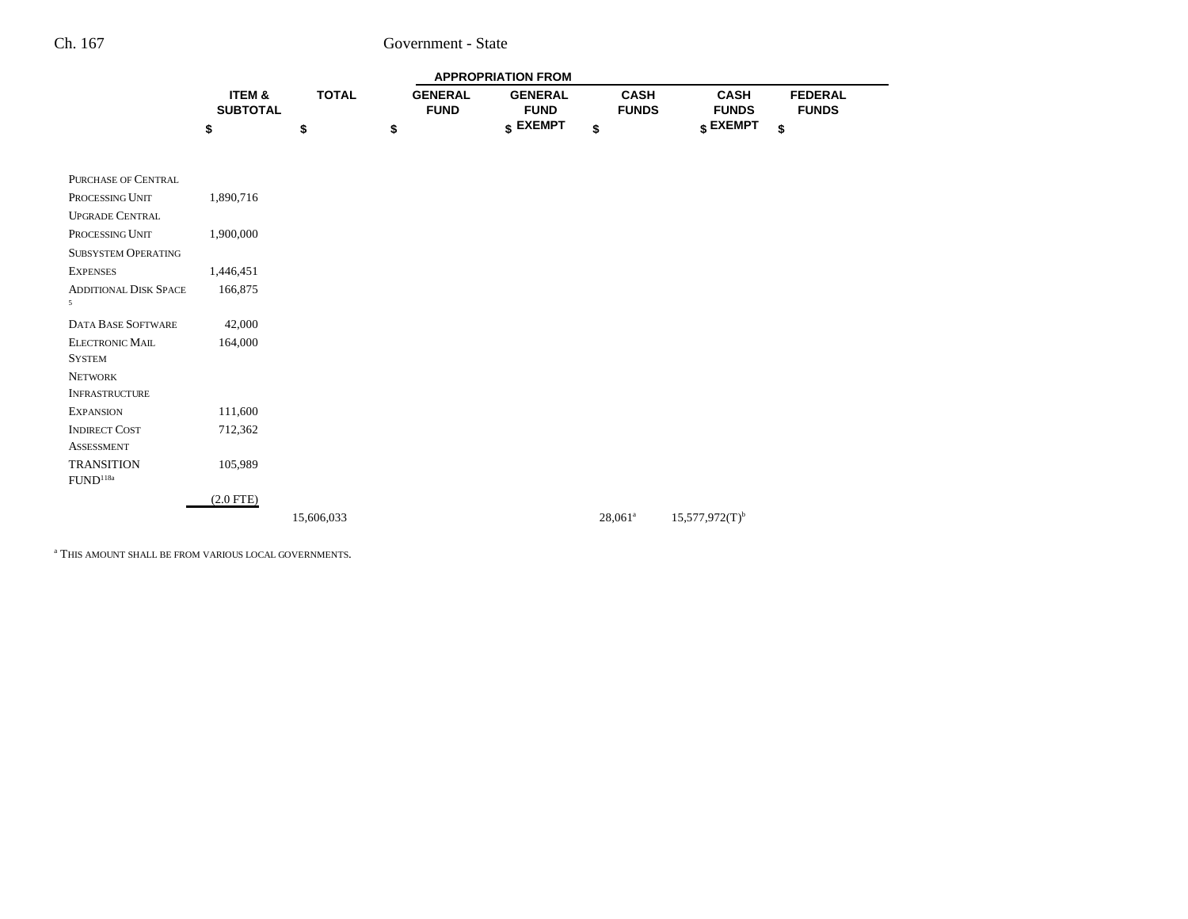|                                           |                           |              |                               | <b>APPROPRIATION FROM</b>     |            |                             |                              |                                |  |
|-------------------------------------------|---------------------------|--------------|-------------------------------|-------------------------------|------------|-----------------------------|------------------------------|--------------------------------|--|
|                                           | ITEM &<br><b>SUBTOTAL</b> | <b>TOTAL</b> | <b>GENERAL</b><br><b>FUND</b> | <b>GENERAL</b><br><b>FUND</b> |            | <b>CASH</b><br><b>FUNDS</b> | <b>CASH</b><br><b>FUNDS</b>  | <b>FEDERAL</b><br><b>FUNDS</b> |  |
|                                           | \$                        | \$           | \$                            | $S$ EXEMPT                    | \$         |                             | \$ EXEMPT                    | \$                             |  |
|                                           |                           |              |                               |                               |            |                             |                              |                                |  |
| PURCHASE OF CENTRAL                       |                           |              |                               |                               |            |                             |                              |                                |  |
| PROCESSING UNIT                           | 1,890,716                 |              |                               |                               |            |                             |                              |                                |  |
| <b>UPGRADE CENTRAL</b>                    |                           |              |                               |                               |            |                             |                              |                                |  |
| PROCESSING UNIT                           | 1,900,000                 |              |                               |                               |            |                             |                              |                                |  |
| <b>SUBSYSTEM OPERATING</b>                |                           |              |                               |                               |            |                             |                              |                                |  |
| <b>EXPENSES</b>                           | 1,446,451                 |              |                               |                               |            |                             |                              |                                |  |
| <b>ADDITIONAL DISK SPACE</b>              | 166,875                   |              |                               |                               |            |                             |                              |                                |  |
| $5^{\circ}$                               |                           |              |                               |                               |            |                             |                              |                                |  |
| <b>DATA BASE SOFTWARE</b>                 | 42,000                    |              |                               |                               |            |                             |                              |                                |  |
| <b>ELECTRONIC MAIL</b>                    | 164,000                   |              |                               |                               |            |                             |                              |                                |  |
| <b>SYSTEM</b>                             |                           |              |                               |                               |            |                             |                              |                                |  |
| <b>NETWORK</b>                            |                           |              |                               |                               |            |                             |                              |                                |  |
| <b>INFRASTRUCTURE</b>                     |                           |              |                               |                               |            |                             |                              |                                |  |
| <b>EXPANSION</b>                          | 111,600                   |              |                               |                               |            |                             |                              |                                |  |
| <b>INDIRECT COST</b>                      | 712,362                   |              |                               |                               |            |                             |                              |                                |  |
| <b>ASSESSMENT</b>                         |                           |              |                               |                               |            |                             |                              |                                |  |
| <b>TRANSITION</b><br>FUND <sup>118a</sup> | 105,989                   |              |                               |                               |            |                             |                              |                                |  |
|                                           | $(2.0$ FTE)               |              |                               |                               |            |                             |                              |                                |  |
|                                           |                           | 15,606,033   |                               |                               | $28,061^a$ |                             | $15,577,972(T)$ <sup>b</sup> |                                |  |
|                                           |                           |              |                               |                               |            |                             |                              |                                |  |

a THIS AMOUNT SHALL BE FROM VARIOUS LOCAL GOVERNMENTS.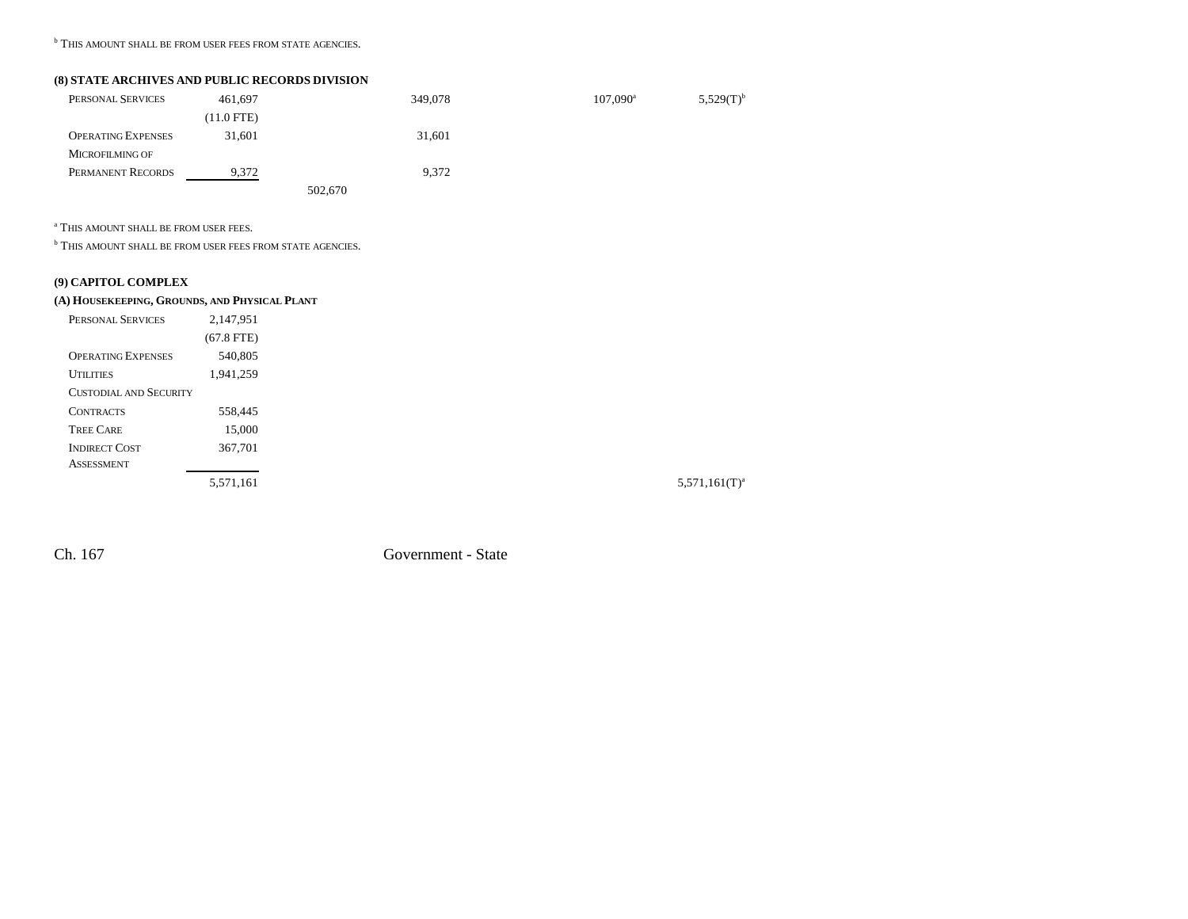**b THIS AMOUNT SHALL BE FROM USER FEES FROM STATE AGENCIES.** 

### **(8) STATE ARCHIVES AND PUBLIC RECORDS DIVISION**

| PERSONAL SERVICES         | 461,697      |         | 349,078 | $107,090^{\rm a}$ | $5,529(T)^{b}$ |
|---------------------------|--------------|---------|---------|-------------------|----------------|
|                           | $(11.0$ FTE) |         |         |                   |                |
| <b>OPERATING EXPENSES</b> | 31.601       |         | 31,601  |                   |                |
| <b>MICROFILMING OF</b>    |              |         |         |                   |                |
| PERMANENT RECORDS         | 9,372        |         | 9,372   |                   |                |
|                           |              | 502,670 |         |                   |                |

a THIS AMOUNT SHALL BE FROM USER FEES.

**b THIS AMOUNT SHALL BE FROM USER FEES FROM STATE AGENCIES.** 

## **(9) CAPITOL COMPLEX**

#### **(A) HOUSEKEEPING, GROUNDS, AND PHYSICAL PLANT**

| PERSONAL SERVICES         | 2,147,951    |
|---------------------------|--------------|
|                           | $(67.8$ FTE) |
| <b>OPERATING EXPENSES</b> | 540,805      |
| <b>UTH ITIES</b>          | 1,941,259    |
| CUSTODIAL AND SECURITY    |              |
| <b>CONTRACTS</b>          | 558,445      |
| <b>TREE CARE</b>          | 15,000       |
| <b>INDIRECT COST</b>      | 367,701      |
| <b>ASSESSMENT</b>         |              |
|                           | 5.571.161    |

 $5,571,161$ (T)<sup>a</sup>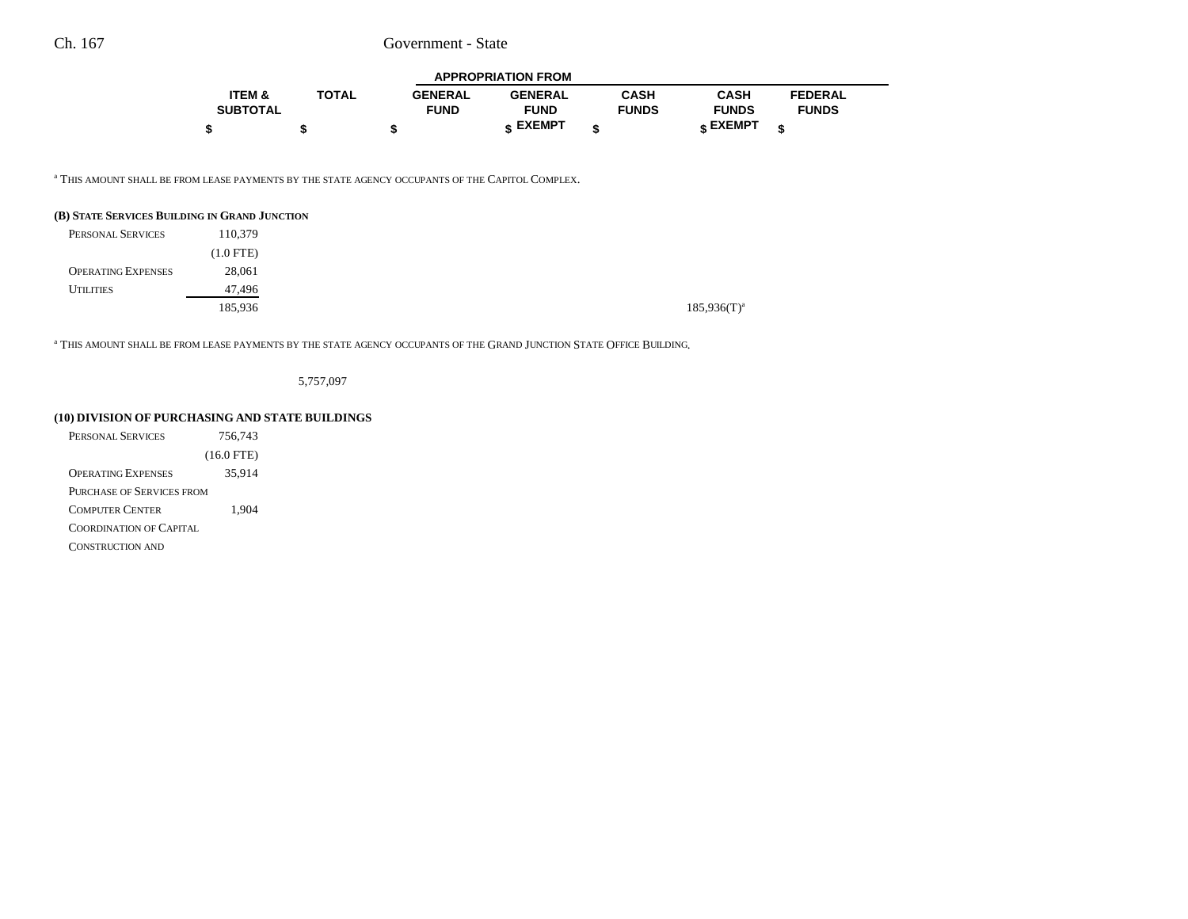| <b>APPROPRIATION FROM</b> |              |                |                |              |              |                |  |  |
|---------------------------|--------------|----------------|----------------|--------------|--------------|----------------|--|--|
| <b>ITEM &amp;</b>         | <b>TOTAL</b> | <b>GENERAL</b> | <b>GENERAL</b> | <b>CASH</b>  | <b>CASH</b>  | <b>FEDERAL</b> |  |  |
| <b>SUBTOTAL</b>           |              | <b>FUND</b>    | <b>FUND</b>    | <b>FUNDS</b> | <b>FUNDS</b> | <b>FUNDS</b>   |  |  |
|                           |              |                | EXEMPT -       | ¢            | EXEMPT -     | ¢              |  |  |

<sup>a</sup> This amount shall be from lease payments by the state agency occupants of the Capitol Complex.

#### **(B) STATE SERVICES BUILDING IN GRAND JUNCTION**

| PERSONAL SERVICES         | 110,379     |
|---------------------------|-------------|
|                           | $(1.0$ FTE) |
| <b>OPERATING EXPENSES</b> | 28,061      |
| <b>UTILITIES</b>          | 47,496      |
|                           | 185,936     |

 $\mathrm{^a}$  This amount shall be from lease payments by the state agency occupants of the Grand Junction State Office Building.

5,757,097

### **(10) DIVISION OF PURCHASING AND STATE BUILDINGS**

| PERSONAL SERVICES              | 756.743      |
|--------------------------------|--------------|
|                                | $(16.0$ FTE) |
| <b>OPERATING EXPENSES</b>      | 35,914       |
| PURCHASE OF SERVICES FROM      |              |
| <b>COMPUTER CENTER</b>         | 1,904        |
| <b>COORDINATION OF CAPITAL</b> |              |
| <b>CONSTRUCTION AND</b>        |              |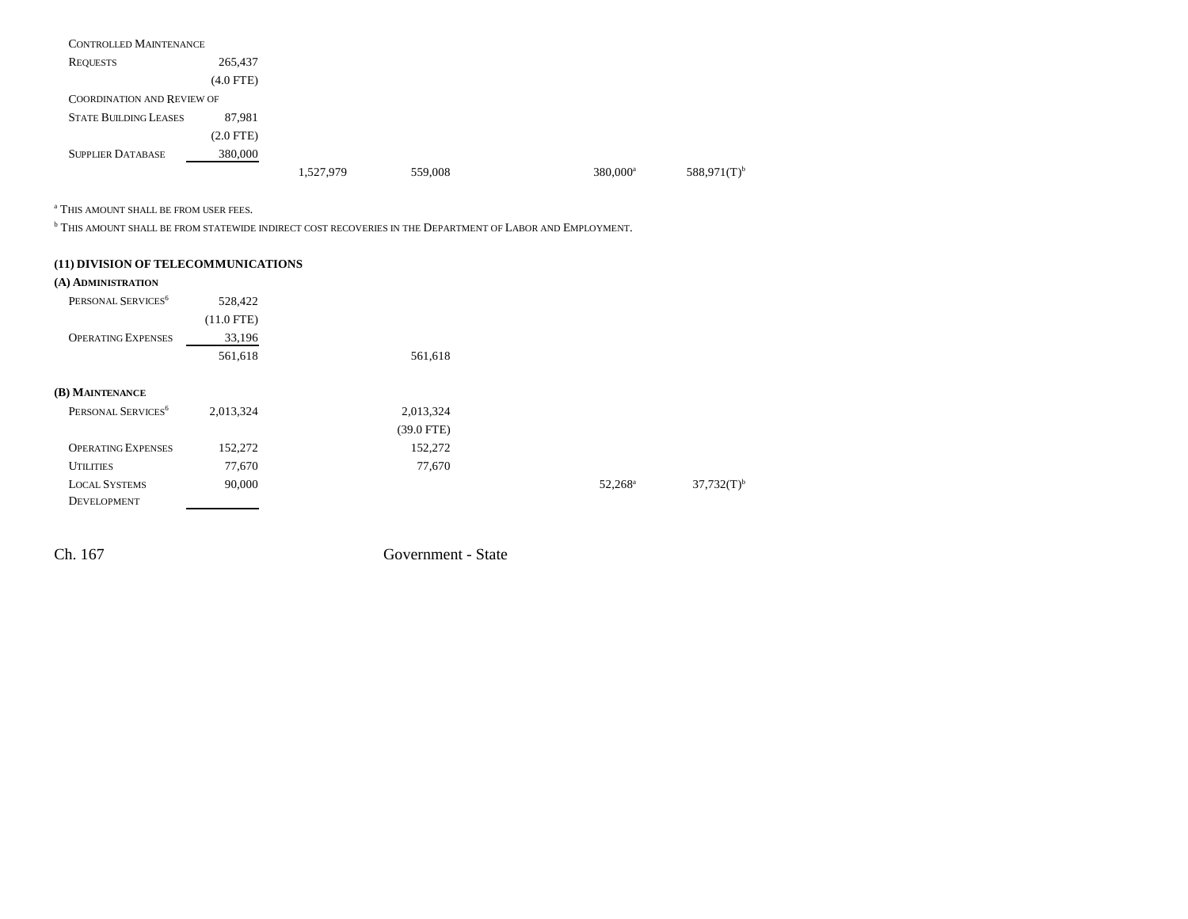| <b>CONTROLLED MAINTENANCE</b>     |                |           |         |                      |                           |
|-----------------------------------|----------------|-----------|---------|----------------------|---------------------------|
| <b>REQUESTS</b>                   | 265,437        |           |         |                      |                           |
|                                   | $(4.0$ FTE)    |           |         |                      |                           |
| <b>COORDINATION AND REVIEW OF</b> |                |           |         |                      |                           |
| <b>STATE BUILDING LEASES</b>      | 87,981         |           |         |                      |                           |
|                                   | $(2.0$ FTE $)$ |           |         |                      |                           |
| <b>SUPPLIER DATABASE</b>          | 380,000        |           |         |                      |                           |
|                                   |                | 1,527,979 | 559,008 | 380,000 <sup>a</sup> | $588,971(T)$ <sup>b</sup> |

a THIS AMOUNT SHALL BE FROM USER FEES.

 $^{\rm b}$  This amount shall be from statewide indirect cost recoveries in the Department of Labor and Employment.

| (11) DIVISION OF TELECOMMUNICATIONS |              |              |                  |                          |
|-------------------------------------|--------------|--------------|------------------|--------------------------|
| (A) ADMINISTRATION                  |              |              |                  |                          |
| PERSONAL SERVICES <sup>6</sup>      | 528,422      |              |                  |                          |
|                                     | $(11.0$ FTE) |              |                  |                          |
| <b>OPERATING EXPENSES</b>           | 33,196       |              |                  |                          |
|                                     | 561,618      | 561,618      |                  |                          |
| (B) MAINTENANCE                     |              |              |                  |                          |
| PERSONAL SERVICES <sup>6</sup>      | 2,013,324    | 2,013,324    |                  |                          |
|                                     |              | $(39.0$ FTE) |                  |                          |
| <b>OPERATING EXPENSES</b>           | 152,272      | 152,272      |                  |                          |
| <b>UTILITIES</b>                    | 77,670       | 77,670       |                  |                          |
| <b>LOCAL SYSTEMS</b>                | 90,000       |              | $52,268^{\rm a}$ | $37,732(T)$ <sup>b</sup> |
| DEVELOPMENT                         |              |              |                  |                          |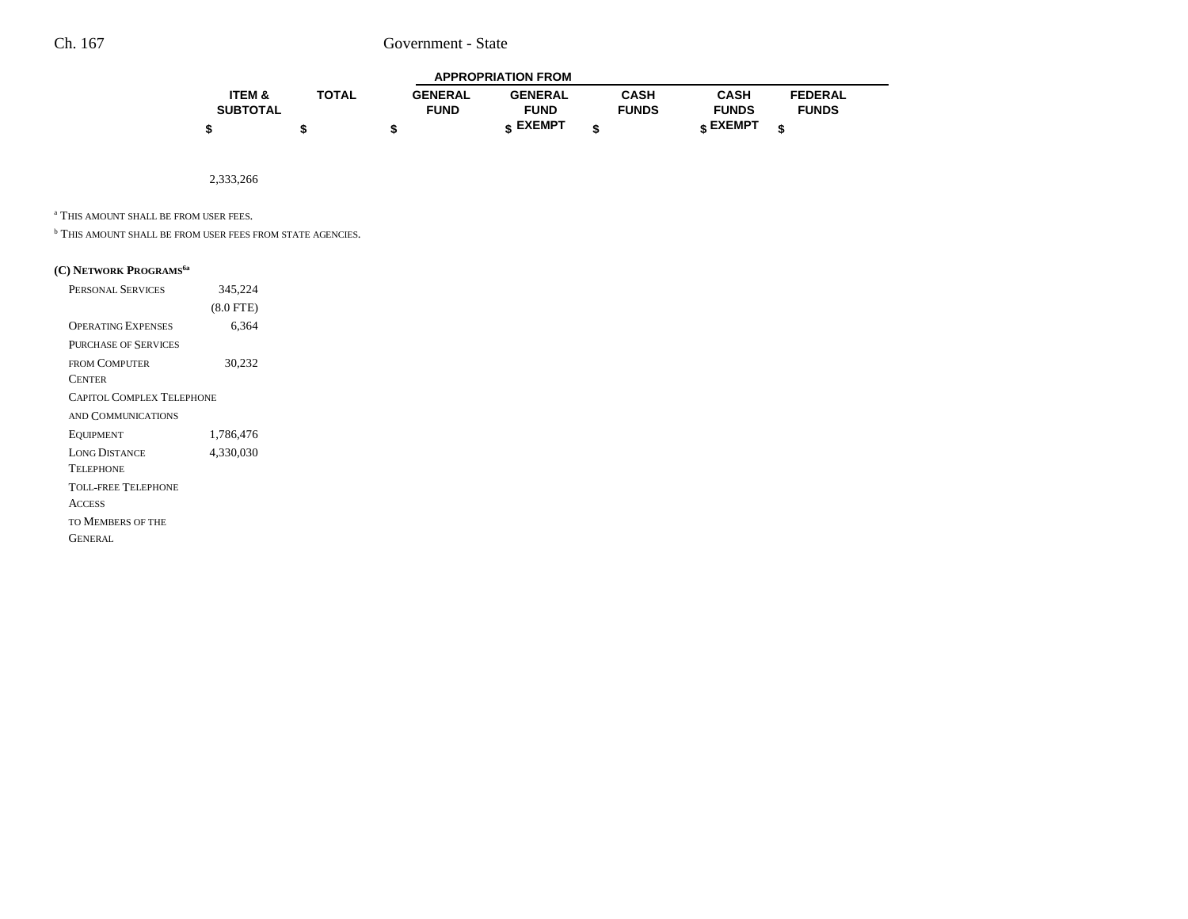| <b>APPROPRIATION FROM</b> |              |                |                |              |              |                |  |  |  |
|---------------------------|--------------|----------------|----------------|--------------|--------------|----------------|--|--|--|
| <b>ITEM &amp;</b>         | <b>TOTAL</b> | <b>GENERAL</b> | <b>GENERAL</b> | CASH         | <b>CASH</b>  | <b>FEDERAL</b> |  |  |  |
| <b>SUBTOTAL</b>           |              | <b>FUND</b>    | <b>FUND</b>    | <b>FUNDS</b> | <b>FUNDS</b> | <b>FUNDS</b>   |  |  |  |
|                           |              |                | <b>EXEMPT</b>  |              | CXEMPT -     |                |  |  |  |

2,333,266

a THIS AMOUNT SHALL BE FROM USER FEES.

**b THIS AMOUNT SHALL BE FROM USER FEES FROM STATE AGENCIES.** 

#### **(C) NETWORK PROGRAMS6a**

| <b>PERSONAL SERVICES</b>         | 345,224     |
|----------------------------------|-------------|
|                                  | $(8.0$ FTE) |
| <b>OPERATING EXPENSES</b>        | 6,364       |
| <b>PURCHASE OF SERVICES</b>      |             |
| <b>FROM COMPUTER</b>             | 30,232      |
| <b>CENTER</b>                    |             |
| <b>CAPITOL COMPLEX TELEPHONE</b> |             |
| AND COMMUNICATIONS               |             |
| EQUIPMENT                        | 1,786,476   |
| <b>LONG DISTANCE</b>             | 4,330,030   |
| <b>TELEPHONE</b>                 |             |
| TOLL-FREE TELEPHONE              |             |
| <b>ACCESS</b>                    |             |
| TO MEMBERS OF THE                |             |
| GENERAL                          |             |
|                                  |             |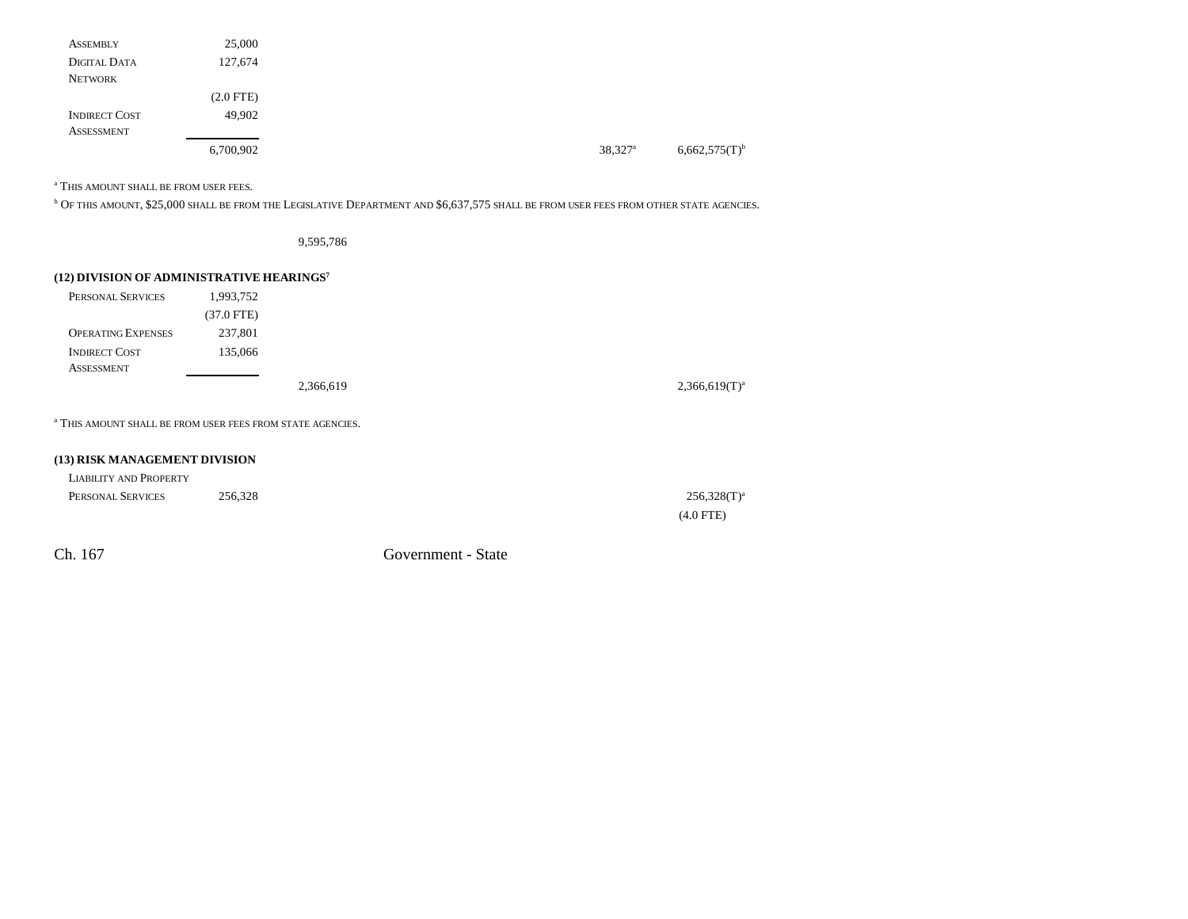| <b>ASSEMBLY</b>      | 25,000      |                       |
|----------------------|-------------|-----------------------|
| DIGITAL DATA         | 127,674     |                       |
| <b>NETWORK</b>       |             |                       |
|                      | $(2.0$ FTE) |                       |
| <b>INDIRECT COST</b> | 49.902      |                       |
| <b>ASSESSMENT</b>    |             |                       |
|                      | 6,700,902   | $38,327$ <sup>a</sup> |

a THIS AMOUNT SHALL BE FROM USER FEES.

 $^{\rm b}$  Of this amount, \$25,000 shall be from the Legislative Department and \$6,637,575 shall be from user fees from other state agencies.

9,595,786

### **(12) DIVISION OF ADMINISTRATIVE HEARINGS<sup>7</sup>**

| PERSONAL SERVICES                                                     | 1,993,752  |           |  |                    |
|-----------------------------------------------------------------------|------------|-----------|--|--------------------|
|                                                                       | (37.0 FTE) |           |  |                    |
| <b>OPERATING EXPENSES</b>                                             | 237,801    |           |  |                    |
| <b>INDIRECT COST</b>                                                  | 135,066    |           |  |                    |
| <b>ASSESSMENT</b>                                                     |            |           |  |                    |
|                                                                       |            | 2,366,619 |  | $2,366,619(T)^{a}$ |
|                                                                       |            |           |  |                    |
| <sup>a</sup> This amount shall be from user fees from state agencies. |            |           |  |                    |

# **(13) RISK MANAGEMENT DIVISION**

| LIABILITY AND PROPERTY |         |                |
|------------------------|---------|----------------|
| PERSONAL SERVICES      | 256,328 | $256,328(T)^a$ |
|                        |         | $(4.0$ FTE)    |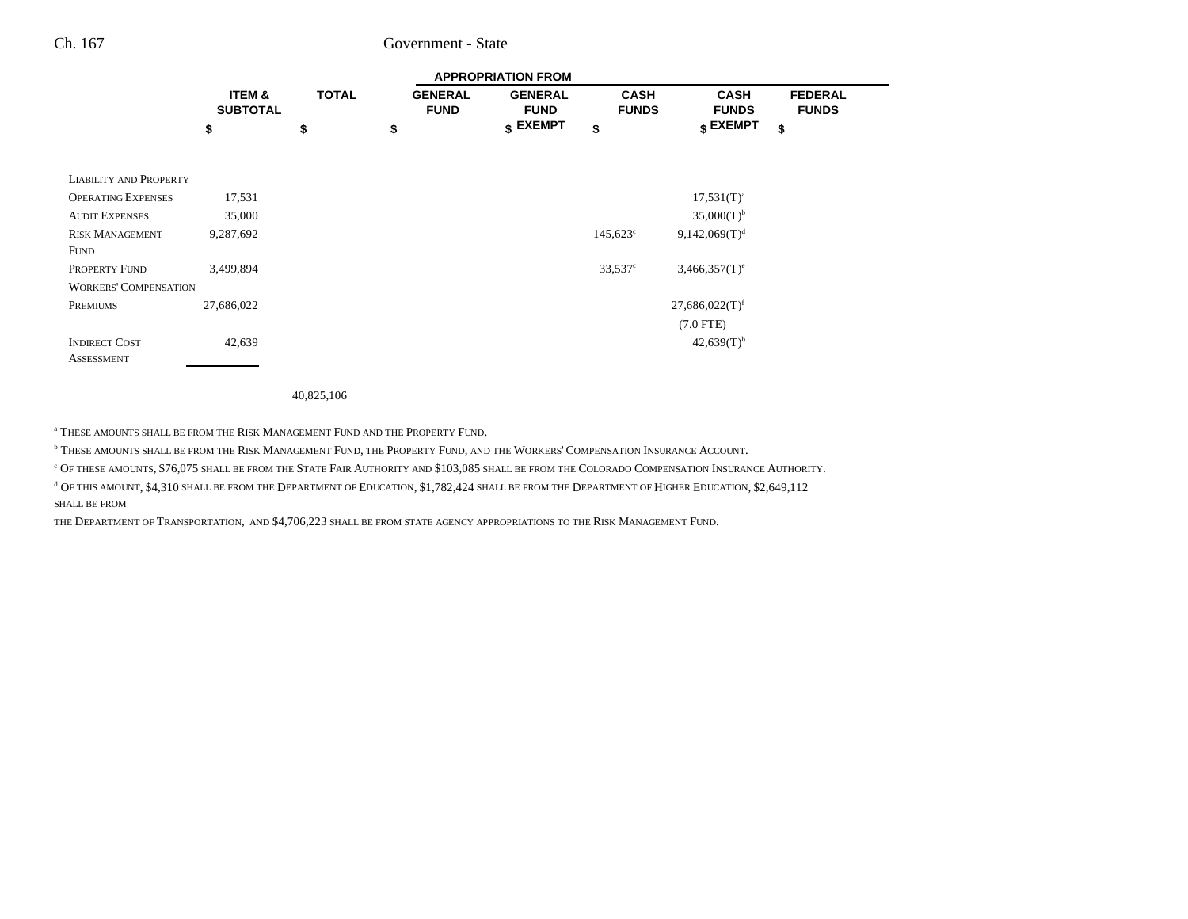|                               |                                      | <b>APPROPRIATION FROM</b> |                               |                               |                             |                                  |                                |  |
|-------------------------------|--------------------------------------|---------------------------|-------------------------------|-------------------------------|-----------------------------|----------------------------------|--------------------------------|--|
|                               | <b>ITEM &amp;</b><br><b>SUBTOTAL</b> | <b>TOTAL</b>              | <b>GENERAL</b><br><b>FUND</b> | <b>GENERAL</b><br><b>FUND</b> | <b>CASH</b><br><b>FUNDS</b> | <b>CASH</b><br><b>FUNDS</b>      | <b>FEDERAL</b><br><b>FUNDS</b> |  |
|                               | \$                                   | \$                        | \$                            | $\sqrt{s}$ EXEMPT             | \$                          | $\boldsymbol{\mathsf{s}}$ EXEMPT | \$                             |  |
|                               |                                      |                           |                               |                               |                             |                                  |                                |  |
| <b>LIABILITY AND PROPERTY</b> |                                      |                           |                               |                               |                             |                                  |                                |  |
| <b>OPERATING EXPENSES</b>     | 17,531                               |                           |                               |                               |                             | $17,531(T)^{a}$                  |                                |  |
| <b>AUDIT EXPENSES</b>         | 35,000                               |                           |                               |                               |                             | $35,000(T)^{b}$                  |                                |  |
| <b>RISK MANAGEMENT</b>        | 9,287,692                            |                           |                               |                               | $145,623^{\circ}$           | 9,142,069(T) <sup>d</sup>        |                                |  |
| <b>FUND</b>                   |                                      |                           |                               |                               |                             |                                  |                                |  |
| PROPERTY FUND                 | 3,499,894                            |                           |                               |                               | $33,537^{\circ}$            | $3,466,357(T)$ <sup>e</sup>      |                                |  |
| <b>WORKERS' COMPENSATION</b>  |                                      |                           |                               |                               |                             |                                  |                                |  |
| PREMIUMS                      | 27,686,022                           |                           |                               |                               |                             | $27,686,022(T)$ <sup>f</sup>     |                                |  |
|                               |                                      |                           |                               |                               |                             | $(7.0$ FTE)                      |                                |  |
| <b>INDIRECT COST</b>          | 42,639                               |                           |                               |                               |                             | $42,639(T)^{b}$                  |                                |  |
| <b>ASSESSMENT</b>             |                                      |                           |                               |                               |                             |                                  |                                |  |

40,825,106

<sup>a</sup> These amounts shall be from the Risk Management Fund and the Property Fund.

<sup>b</sup> These amounts shall be from the Risk Management Fund, the Property Fund, and the Workers' Compensation Insurance Account.

 $^\mathrm{c}$  Of these amounts, \$76,075 shall be from the State Fair Authority and \$103,085 shall be from the Colorado Compensation Insurance Authority.

 $^{\text{d}}$  Of this amount, \$4,310 shall be from the Department of Education, \$1,782,424 shall be from the Department of Higher Education, \$2,649,112

SHALL BE FROM

THE DEPARTMENT OF TRANSPORTATION, AND \$4,706,223 SHALL BE FROM STATE AGENCY APPROPRIATIONS TO THE RISK MANAGEMENT FUND.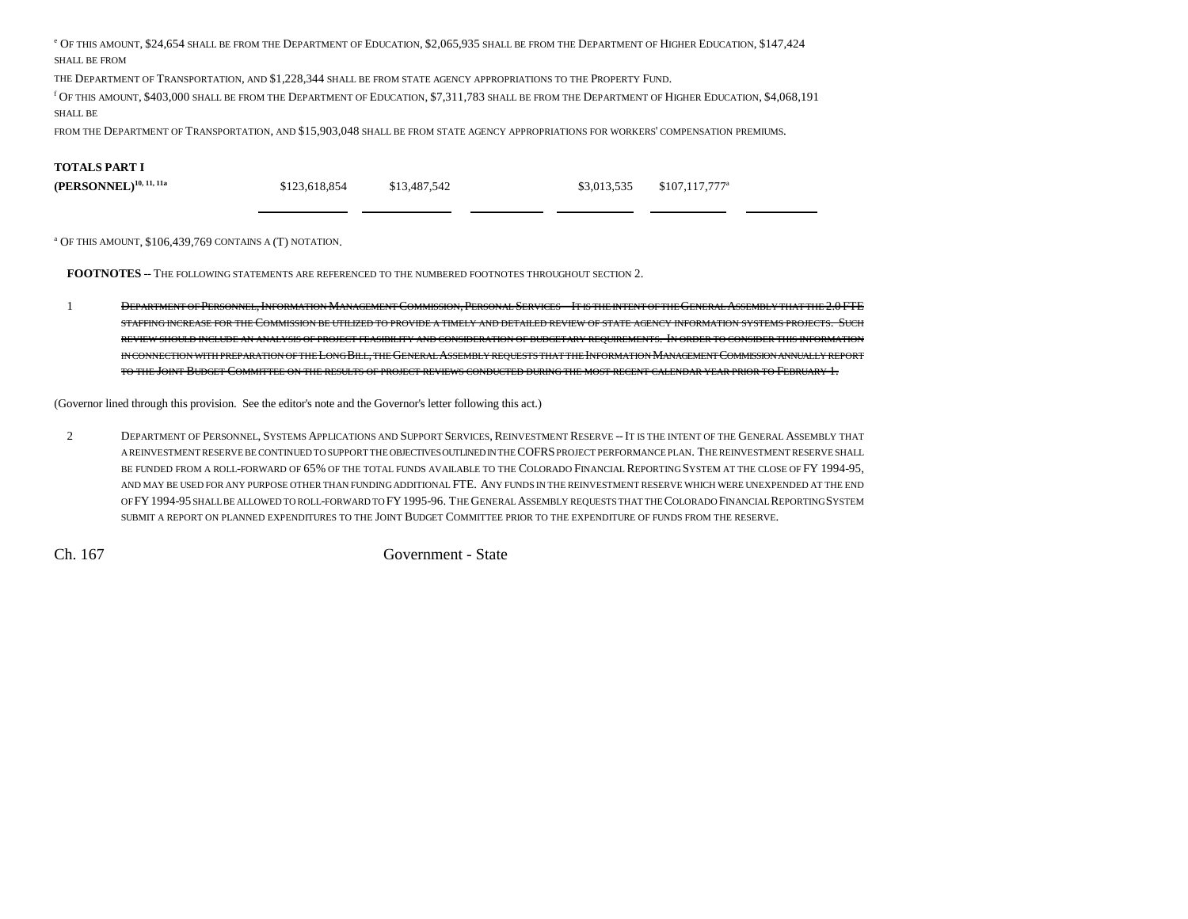e Of this amount, \$24,654 shall be from the Department of Education, \$2,065,935 shall be from the Department of Higher Education, \$147,424  $\,$ SHALL BE FROM

THE DEPARTMENT OF TRANSPORTATION, AND \$1,228,344 SHALL BE FROM STATE AGENCY APPROPRIATIONS TO THE PROPERTY FUND.

f Of this amount, \$403,000 shall be from the Department of Education, \$7,311,783 shall be from the Department of Higher Education, \$4,068,191 SHALL BE

FROM THE DEPARTMENT OF TRANSPORTATION, AND \$15,903,048 SHALL BE FROM STATE AGENCY APPROPRIATIONS FOR WORKERS' COMPENSATION PREMIUMS.

#### **TOTALS PART I**

| $(\mathbf{PERSONNEL})^{10,\;11,\;11a}$ | \$123,618,854 | \$13,487,542 | \$3,013,535 | $$107,117,777^{\circ}$ |
|----------------------------------------|---------------|--------------|-------------|------------------------|
|                                        |               |              |             |                        |

a OF THIS AMOUNT, \$106,439,769 CONTAINS A (T) NOTATION.

**FOOTNOTES** -- THE FOLLOWING STATEMENTS ARE REFERENCED TO THE NUMBERED FOOTNOTES THROUGHOUT SECTION 2.

1 DEPARTMENT OF PERSONNEL, INFORMATION MANAGEMENT COMMISSION, PERSONAL SERVICES -- IT IS THE INTENT OF THE GENERAL ASSEMBLY THAT THE 2.0 FTE STAFFING INCREASE FOR THE COMMISSION BE UTILIZED TO PROVIDE A TIMELY AND DETAILED REVIEW OF STATE AGENCY INFORMATION SYSTEMS PROJECTS. SUCH REVIEW SHOULD INCLUDE AN ANALYSIS OF PROJECT FEASIBILITY AND CONSIDERATION OF BUDGETARY REQUIREMENTS. IN ORDER TO CONSIDER THIS INFORMATION in connection with preparation of the Long Bill, the General Assembly requests that the Information Management Commission annually report TO THE JOINT BUDGET COMMITTEE ON THE RESULTS OF PROJECT REVIEWS CONDUCTED DURING THE MOST RECENT CALENDAR YEAR PRIOR TO FEBRUARY 1.

(Governor lined through this provision. See the editor's note and the Governor's letter following this act.)

2 DEPARTMENT OF PERSONNEL, SYSTEMS APPLICATIONS AND SUPPORT SERVICES, REINVESTMENT RESERVE --IT IS THE INTENT OF THE GENERAL ASSEMBLY THAT A REINVESTMENT RESERVE BE CONTINUED TO SUPPORT THE OBJECTIVES OUTLINED IN THE COFRS PROJECT PERFORMANCE PLAN. THE REINVESTMENT RESERVE SHALLbe funded from a roll-forward of 65% of the total funds available to the Colorado Financial Reporting System at the close of FY 1994-95, AND MAY BE USED FOR ANY PURPOSE OTHER THAN FUNDING ADDITIONAL FTE. ANY FUNDS IN THE REINVESTMENT RESERVE WHICH WERE UNEXPENDED AT THE END OFFY 1994-95 shall be allowed to roll-forward to FY 1995-96. The General Assembly requests that the Colorado Financial Reporting System SUBMIT A REPORT ON PLANNED EXPENDITURES TO THE JOINT BUDGET COMMITTEE PRIOR TO THE EXPENDITURE OF FUNDS FROM THE RESERVE.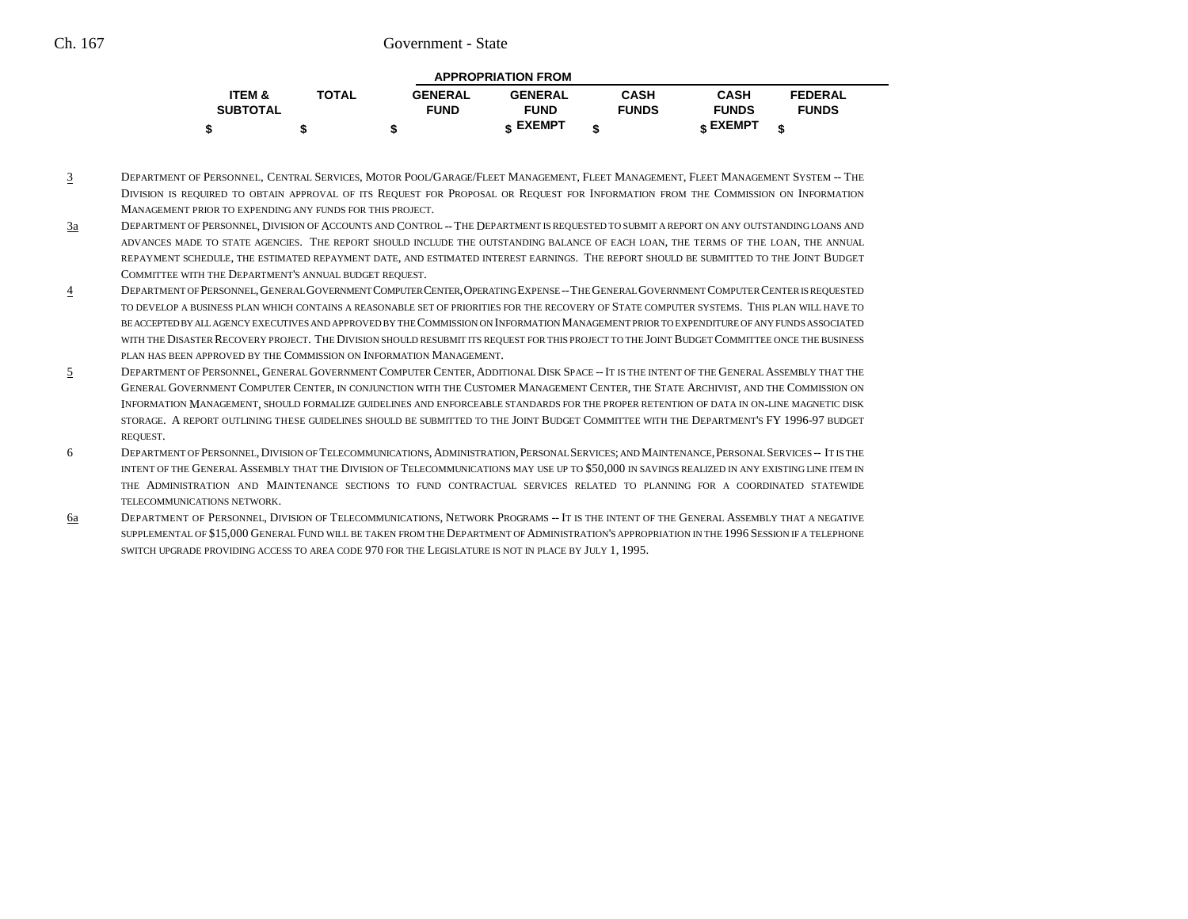| <b>APPROPRIATION FROM</b> |              |                |                |              |                   |                |  |  |
|---------------------------|--------------|----------------|----------------|--------------|-------------------|----------------|--|--|
| <b>ITEM &amp;</b>         | <b>TOTAL</b> | <b>GENERAL</b> | <b>GENERAL</b> | <b>CASH</b>  | <b>CASH</b>       | <b>FEDERAL</b> |  |  |
| <b>SUBTOTAL</b>           |              | <b>FUND</b>    | <b>FUND</b>    | <b>FUNDS</b> | <b>FUNDS</b>      | <b>FUNDS</b>   |  |  |
|                           |              |                | EXEMPT -       |              | $_{\rm c}$ EXEMPT |                |  |  |

- 3 DEPARTMENT OF PERSONNEL, CENTRAL SERVICES, MOTOR POOL/GARAGE/FLEET MANAGEMENT, FLEET MANAGEMENT, FLEET MANAGEMENT SYSTEM -- THEDivision is required to obtain approval of its Request for Proposal or Request for Information from the Commission on Information MANAGEMENT PRIOR TO EXPENDING ANY FUNDS FOR THIS PROJECT.
- 3a DEPARTMENT OF PERSONNEL, DIVISION OF ACCOUNTS AND CONTROL -- THE DEPARTMENT IS REQUESTED TO SUBMIT A REPORT ON ANY OUTSTANDING LOANS AND ADVANCES MADE TO STATE AGENCIES. THE REPORT SHOULD INCLUDE THE OUTSTANDING BALANCE OF EACH LOAN, THE TERMS OF THE LOAN, THE ANNUAL REPAYMENT SCHEDULE, THE ESTIMATED REPAYMENT DATE, AND ESTIMATED INTEREST EARNINGS. THE REPORT SHOULD BE SUBMITTED TO THE JOINT BUDGET COMMITTEE WITH THE DEPARTMENT'S ANNUAL BUDGET REQUEST.
- 4 DEPARTMENT OF PERSONNEL,GENERAL GOVERNMENT COMPUTER CENTER,OPERATING EXPENSE --THE GENERAL GOVERNMENT COMPUTER CENTER IS REQUESTED TO DEVELOP A BUSINESS PLAN WHICH CONTAINS A REASONABLE SET OF PRIORITIES FOR THE RECOVERY OF STATE COMPUTER SYSTEMS. THIS PLAN WILL HAVE TOBE ACCEPTED BY ALL AGENCY EXECUTIVES AND APPROVED BY THE COMMISSION ON INFORMATION MANAGEMENT PRIOR TO EXPENDITURE OF ANY FUNDS ASSOCIATED WITH THE DISASTER RECOVERY PROJECT. THE DIVISION SHOULD RESUBMIT ITS REQUEST FOR THIS PROJECT TO THE JOINT BUDGET COMMITTEE ONCE THE BUSINESS PLAN HAS BEEN APPROVED BY THE COMMISSION ON INFORMATION MANAGEMENT.
- 55 DEPARTMENT OF PERSONNEL, GENERAL GOVERNMENT COMPUTER CENTER, ADDITIONAL DISK SPACE -- IT IS THE INTENT OF THE GENERAL ASSEMBLY THAT THE GENERAL GOVERNMENT COMPUTER CENTER, IN CONJUNCTION WITH THE CUSTOMER MANAGEMENT CENTER, THE STATE ARCHIVIST, AND THE COMMISSION ON INFORMATION MANAGEMENT, SHOULD FORMALIZE GUIDELINES AND ENFORCEABLE STANDARDS FOR THE PROPER RETENTION OF DATA IN ON-LINE MAGNETIC DISK storage. A report outlining these guidelines should be submitted to the Joint Budget Committee with the Department's FY 1996-97 budget REQUEST.
- 6 DEPARTMENT OF PERSONNEL,DIVISION OF TELECOMMUNICATIONS,ADMINISTRATION,PERSONAL SERVICES; AND MAINTENANCE,PERSONAL SERVICES -- IT IS THE intent of the General Assembly that the Division of Telecommunications may use up to \$50,000 in savings realized in any existing line item in THE ADMINISTRATION AND MAINTENANCE SECTIONS TO FUND CONTRACTUAL SERVICES RELATED TO PLANNING FOR A COORDINATED STATEWIDETELECOMMUNICATIONS NETWORK.
- 6a DEPARTMENT OF PERSONNEL, DIVISION OF TELECOMMUNICATIONS, NETWORK PROGRAMS -- IT IS THE INTENT OF THE GENERAL ASSEMBLY THAT A NEGATIVE SUPPLEMENTAL OF \$15,000 GENERAL FUND WILL BE TAKEN FROM THE DEPARTMENT OF ADMINISTRATION'S APPROPRIATION IN THE 1996 SESSION IF A TELEPHONE SWITCH UPGRADE PROVIDING ACCESS TO AREA CODE 970 FOR THE LEGISLATURE IS NOT IN PLACE BY JULY 1, 1995.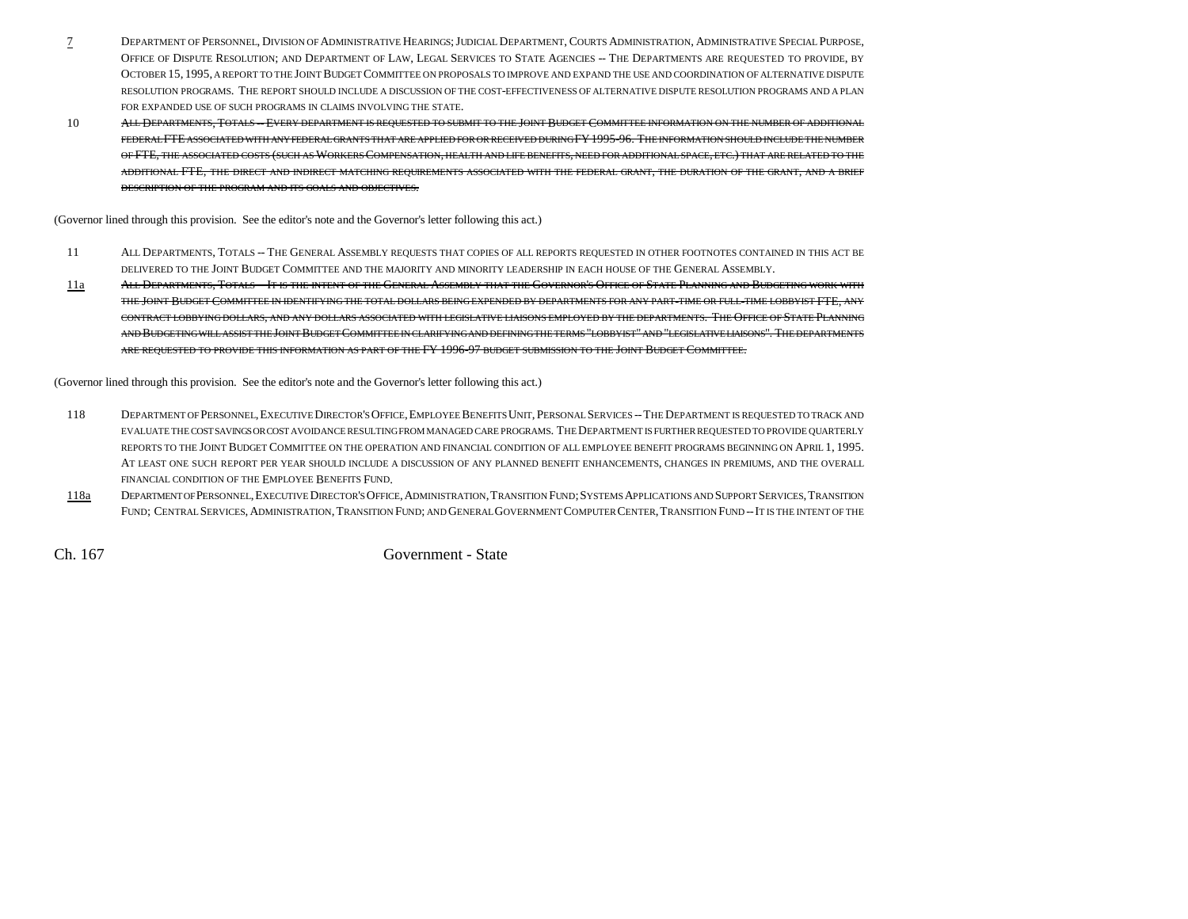- 7 DEPARTMENT OF PERSONNEL, DIVISION OF ADMINISTRATIVE HEARINGS;JUDICIAL DEPARTMENT, COURTS ADMINISTRATION, ADMINISTRATIVE SPECIAL PURPOSE, OFFICE OF DISPUTE RESOLUTION; AND DEPARTMENT OF LAW, LEGAL SERVICES TO STATE AGENCIES -- THE DEPARTMENTS ARE REQUESTED TO PROVIDE, BY OCTOBER 15, 1995, A REPORT TO THE JOINT BUDGET COMMITTEE ON PROPOSALS TO IMPROVE AND EXPAND THE USE AND COORDINATION OF ALTERNATIVE DISPUTE RESOLUTION PROGRAMS. THE REPORT SHOULD INCLUDE A DISCUSSION OF THE COST-EFFECTIVENESS OF ALTERNATIVE DISPUTE RESOLUTION PROGRAMS AND A PLAN FOR EXPANDED USE OF SUCH PROGRAMS IN CLAIMS INVOLVING THE STATE.
- 10 ALL DEPARTMENTS, TOTALS --EVERY DEPARTMENT IS REQUESTED TO SUBMIT TO THE JOINT BUDGET COMMITTEE INFORMATION ON THE NUMBER OF ADDITIONAL FEDERAL FTE ASSOCIATED WITH ANY FEDERAL GRANTS THAT ARE APPLIED FOR OR RECEIVED DURING FY1995-96. THE INFORMATION SHOULD INCLUDE THE NUMBER OF FTE, THE ASSOCIATED COSTS (SUCH AS WORKERS COMPENSATION, HEALTH AND LIFE BENEFITS, NEED FOR ADDITIONAL SPACE, ETC.) THAT ARE RELATED TO THE ADDITIONAL FTE, THE DIRECT AND INDIRECT MATCHING REQUIREMENTS ASSOCIATED WITH THE FEDERAL GRANT, THE DURATION OF THE GRANT, AND A BRIEF DESCRIPTION OF THE PROGRAM AND ITS GOALS AND OBJECTIVES.

(Governor lined through this provision. See the editor's note and the Governor's letter following this act.)

- 11 ALL DEPARTMENTS, TOTALS -- THE GENERAL ASSEMBLY REQUESTS THAT COPIES OF ALL REPORTS REQUESTED IN OTHER FOOTNOTES CONTAINED IN THIS ACT BE delivered to the Joint Budget Committee and the majority and minority leadership in each house of the General Assembly.
- 11a All Departments, Totals -- It is the intent of the General Assembly that the Governor's Office of State Planning and Budgeting work with the Joint Budget Committee in identifying the total dollars being expended by departments for any part-time or full-time lobbyist FTE, any CONTRACT LOBBYING DOLLARS, AND ANY DOLLARS ASSOCIATED WITH LEGISLATIVE LIAISONS EMPLOYED BY THE DEPARTMENTS. THE OFFICE OF STATE PLANNINGand Budgeting will assist the Joint Budget Committee in clarifying and defining the terms "lobby ist" and "legislative liaisons". The departments ARE REQUESTED TO PROVIDE THIS INFORMATION AS PART OF THE FY 1996-97 BUDGET SUBMISSION TO THE JOINT BUDGET COMMITTEE.

(Governor lined through this provision. See the editor's note and the Governor's letter following this act.)

- 118 DEPARTMENT OF PERSONNEL,EXECUTIVE DIRECTOR'S OFFICE,EMPLOYEE BENEFITS UNIT, PERSONAL SERVICES --THE DEPARTMENT IS REQUESTED TO TRACK AND EVALUATE THE COST SAVINGS OR COST AVOIDANCE RESULTING FROM MANAGED CARE PROGRAMS. THE DEPARTMENT IS FURTHER REQUESTED TO PROVIDE QUARTERLY REPORTS TO THE JOINT BUDGET COMMITTEE ON THE OPERATION AND FINANCIAL CONDITION OF ALL EMPLOYEE BENEFIT PROGRAMS BEGINNING ON APRIL 1, 1995. AT LEAST ONE SUCH REPORT PER YEAR SHOULD INCLUDE A DISCUSSION OF ANY PLANNED BENEFIT ENHANCEMENTS, CHANGES IN PREMIUMS, AND THE OVERALL FINANCIAL CONDITION OF THE EMPLOYEE BENEFITS FUND.
- 118a Department of Personnel, Executive Director's Office, Administration, Transition Fund; Systems Applications and Support Services, Transition FUND; CENTRAL SERVICES, ADMINISTRATION, TRANSITION FUND; AND GENERAL GOVERNMENT COMPUTER CENTER, TRANSITION FUND -- IT IS THE INTENT OF THE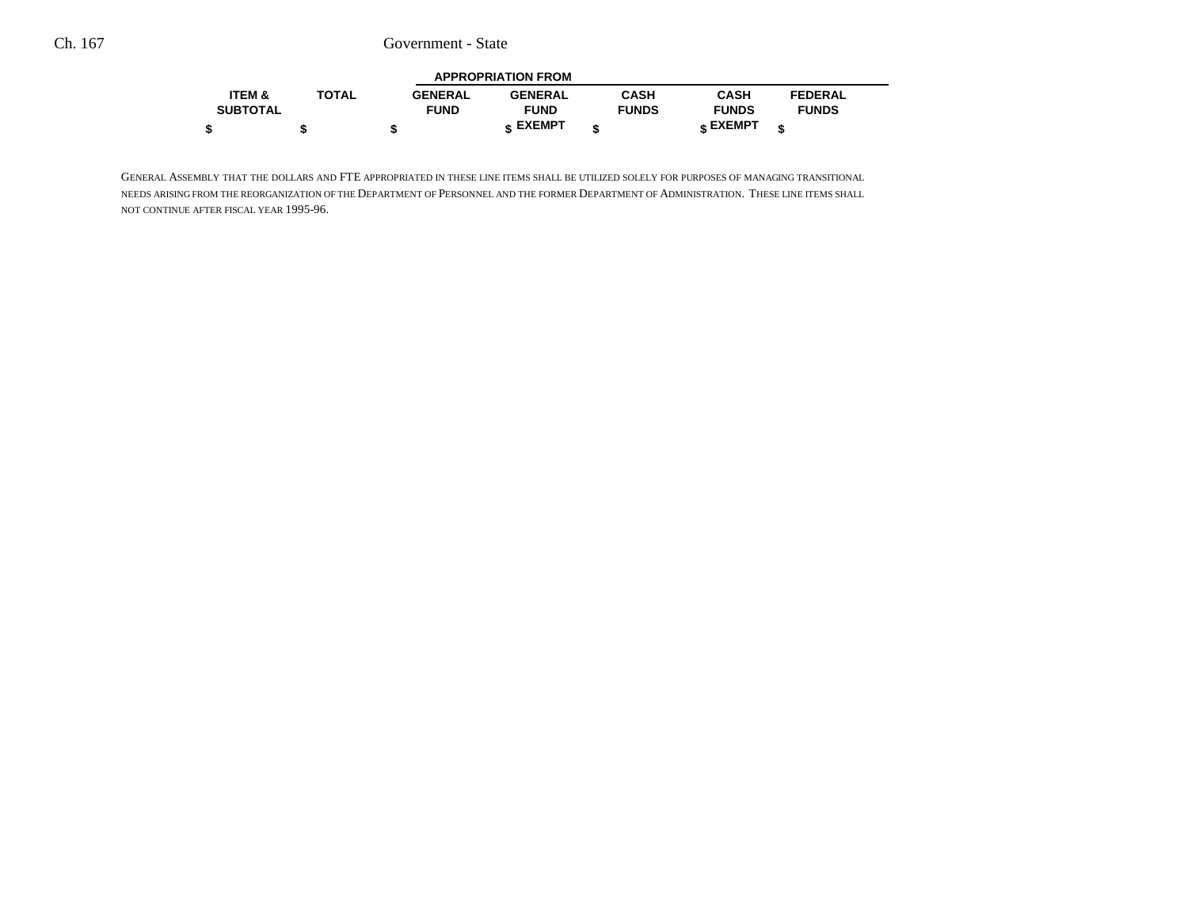| <b>APPROPRIATION FROM</b> |              |                |                |              |              |                |  |  |
|---------------------------|--------------|----------------|----------------|--------------|--------------|----------------|--|--|
| <b>ITEM &amp;</b>         | <b>TOTAL</b> | <b>GENERAL</b> | <b>GENERAL</b> | CASH         | <b>CASH</b>  | <b>FEDERAL</b> |  |  |
| <b>SUBTOTAL</b>           |              | <b>FUND</b>    | <b>FUND</b>    | <b>FUNDS</b> | <b>FUNDS</b> | <b>FUNDS</b>   |  |  |
|                           |              |                | EXEMPT -       |              | EXEMPT ه     |                |  |  |

GENERAL ASSEMBLY THAT THE DOLLARS AND FTE APPROPRIATED IN THESE LINE ITEMS SHALL BE UTILIZED SOLELY FOR PURPOSES OF MANAGING TRANSITIONAL needs arising from the reorganization of the Department of Personnel and the former Department of Administration. These line items shall NOT CONTINUE AFTER FISCAL YEAR 1995-96.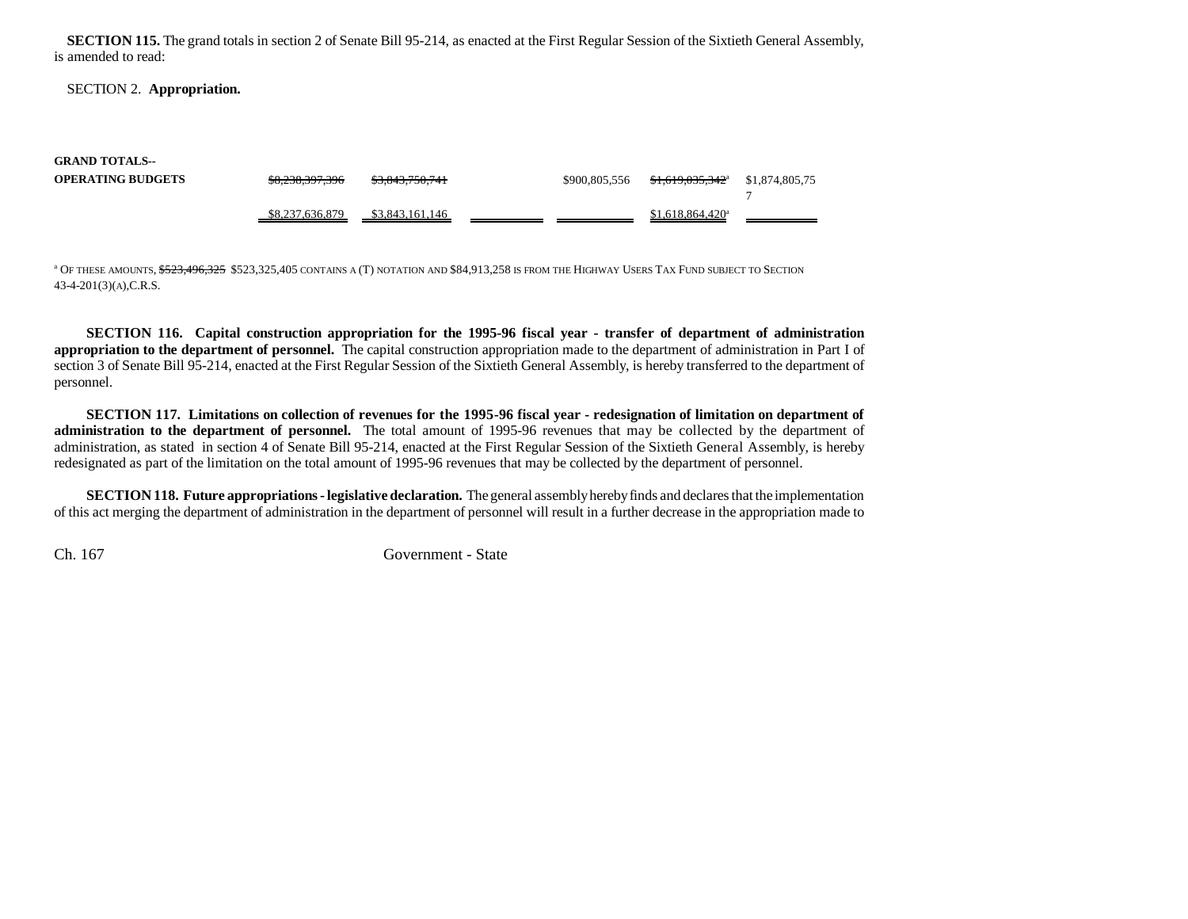**SECTION 115.** The grand totals in section 2 of Senate Bill 95-214, as enacted at the First Regular Session of the Sixtieth General Assembly, is amended to read:

### SECTION 2. **Appropriation.**

| <b>GRAND TOTALS--</b>    |                 |                            |               |                                         |                |
|--------------------------|-----------------|----------------------------|---------------|-----------------------------------------|----------------|
| <b>OPERATING BUDGETS</b> | \$8,238,397,396 | <del>\$3,843,750,741</del> | \$900,805,556 | <del>\$1,619,035,342</del> <sup>a</sup> | \$1,874,805,75 |
|                          | \$8.237.636.879 | \$3,843,161,146            |               | \$1.618.864.420 <sup>a</sup>            |                |

<sup>a</sup> Of these amounts, <del>\$523,496,325</del> \$523,325,405 contains a (T) notation and \$84,913,258 is from the Highway Users Tax Fund subject to Section 43-4-201(3)(A),C.R.S.

**SECTION 116. Capital construction appropriation for the 1995-96 fiscal year - transfer of department of administration appropriation to the department of personnel.** The capital construction appropriation made to the department of administration in Part I of section 3 of Senate Bill 95-214, enacted at the First Regular Session of the Sixtieth General Assembly, is hereby transferred to the department of personnel.

**SECTION 117. Limitations on collection of revenues for the 1995-96 fiscal year - redesignation of limitation on department of administration to the department of personnel.** The total amount of 1995-96 revenues that may be collected by the department of administration, as stated in section 4 of Senate Bill 95-214, enacted at the First Regular Session of the Sixtieth General Assembly, is hereby redesignated as part of the limitation on the total amount of 1995-96 revenues that may be collected by the department of personnel.

**SECTION 118. Future appropriations - legislative declaration.** The general assembly hereby finds and declares that the implementation of this act merging the department of administration in the department of personnel will result in a further decrease in the appropriation made to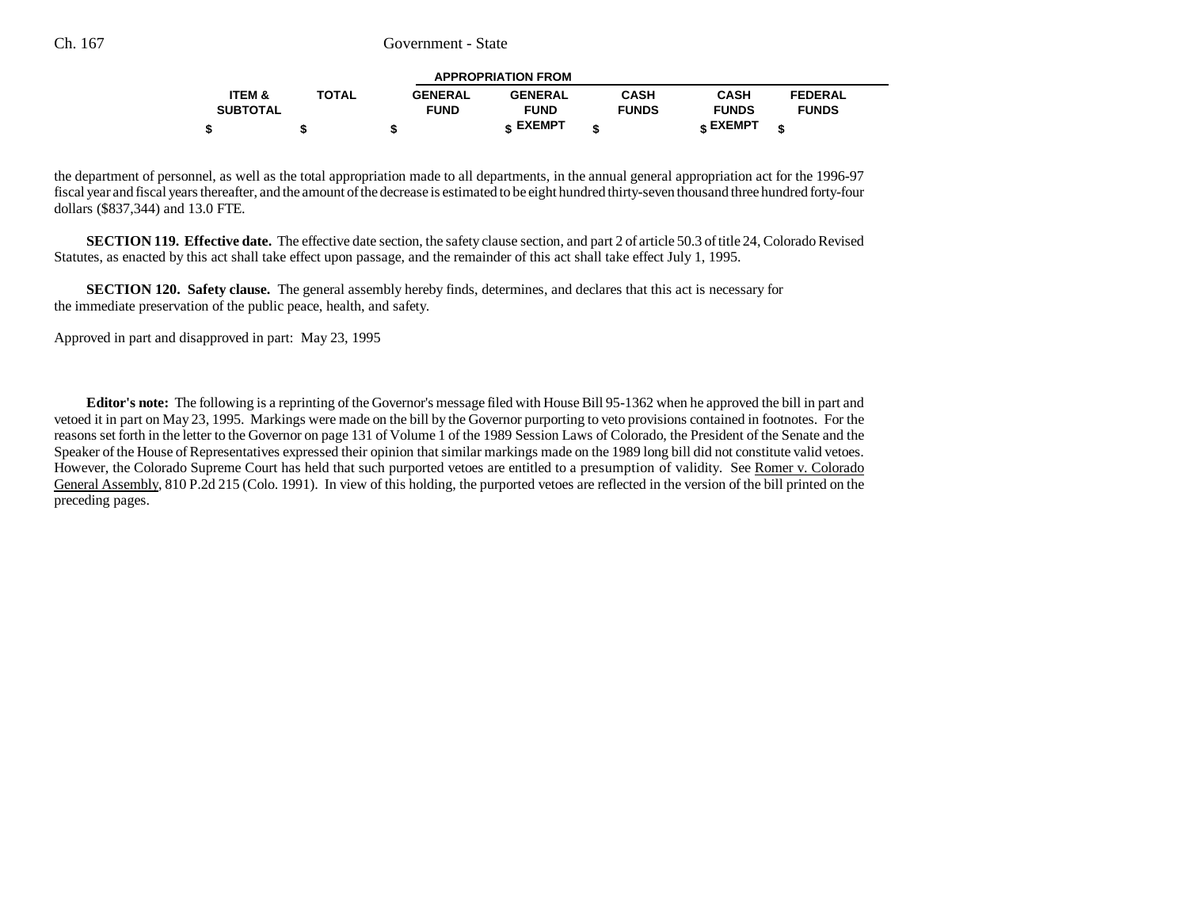| <b>APPROPRIATION FROM</b> |              |                |                |              |              |                |  |  |
|---------------------------|--------------|----------------|----------------|--------------|--------------|----------------|--|--|
| <b>ITEM &amp;</b>         | <b>TOTAL</b> | <b>GENERAL</b> | <b>GENERAL</b> | <b>CASH</b>  | <b>CASH</b>  | <b>FEDERAL</b> |  |  |
| <b>SUBTOTAL</b>           |              | <b>FUND</b>    | <b>FUND</b>    | <b>FUNDS</b> | <b>FUNDS</b> | <b>FUNDS</b>   |  |  |
|                           |              |                | <b>EXEMPT</b>  |              | EXEMPT -     |                |  |  |

the department of personnel, as well as the total appropriation made to all departments, in the annual general appropriation act for the 1996-97 fiscal year and fiscal years thereafter, and the amount of the decrease is estimated to be eight hundred thirty-seven thousand three hundred forty-four dollars (\$837,344) and 13.0 FTE.

**SECTION 119. Effective date.** The effective date section, the safety clause section, and part 2 of article 50.3 of title 24, Colorado Revised Statutes, as enacted by this act shall take effect upon passage, and the remainder of this act shall take effect July 1, 1995.

**SECTION 120. Safety clause.** The general assembly hereby finds, determines, and declares that this act is necessary for the immediate preservation of the public peace, health, and safety.

Approved in part and disapproved in part: May 23, 1995

**Editor's note:** The following is a reprinting of the Governor's message filed with House Bill 95-1362 when he approved the bill in part and vetoed it in part on May 23, 1995. Markings were made on the bill by the Governor purporting to veto provisions contained in footnotes. For the reasons set forth in the letter to the Governor on page 131 of Volume 1 of the 1989 Session Laws of Colorado, the President of the Senate and the Speaker of the House of Representatives expressed their opinion that similar markings made on the 1989 long bill did not constitute valid vetoes. However, the Colorado Supreme Court has held that such purported vetoes are entitled to a presumption of validity. See Romer v. Colorado General Assembly, 810 P.2d 215 (Colo. 1991). In view of this holding, the purported vetoes are reflected in the version of the bill printed on the preceding pages.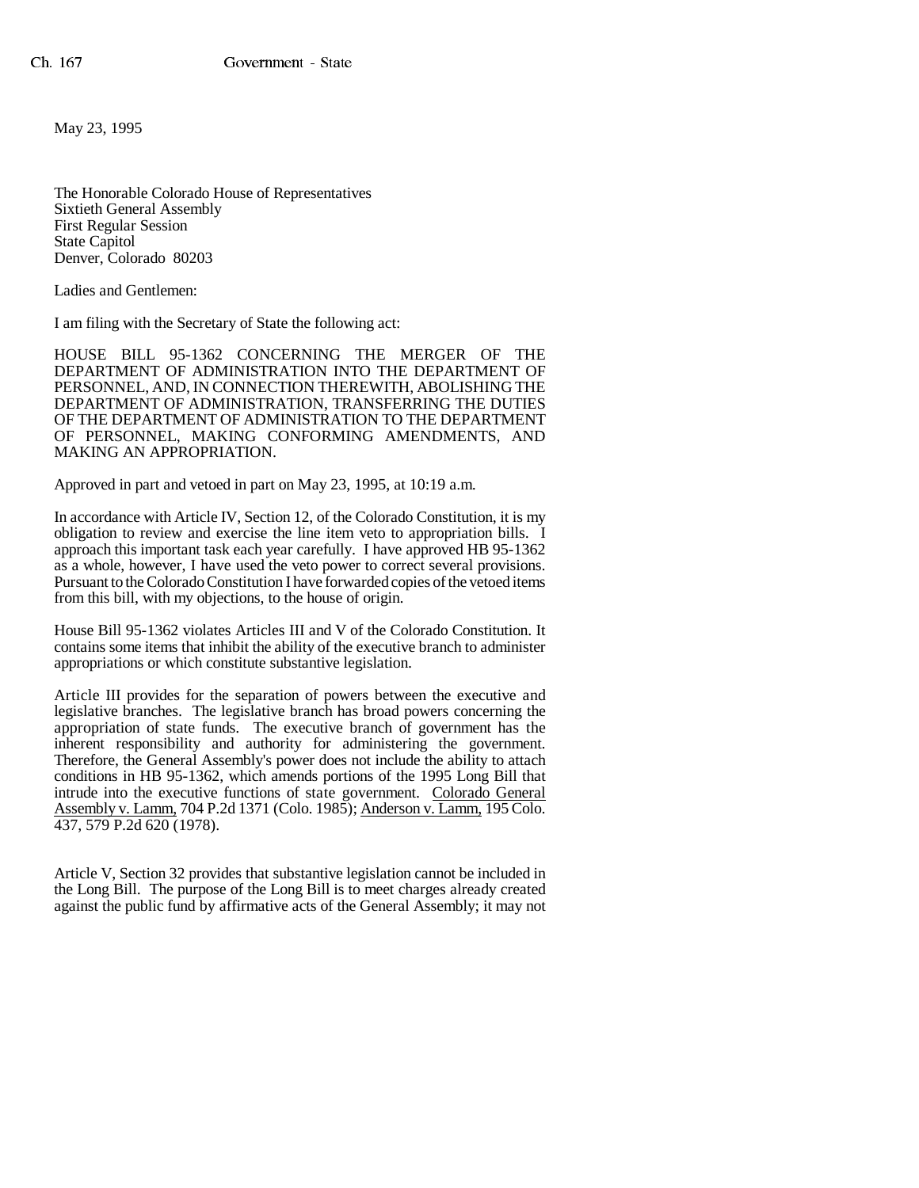May 23, 1995

The Honorable Colorado House of Representatives Sixtieth General Assembly First Regular Session State Capitol Denver, Colorado 80203

Ladies and Gentlemen:

I am filing with the Secretary of State the following act:

HOUSE BILL 95-1362 CONCERNING THE MERGER OF THE DEPARTMENT OF ADMINISTRATION INTO THE DEPARTMENT OF PERSONNEL, AND, IN CONNECTION THEREWITH, ABOLISHING THE DEPARTMENT OF ADMINISTRATION, TRANSFERRING THE DUTIES OF THE DEPARTMENT OF ADMINISTRATION TO THE DEPARTMENT OF PERSONNEL, MAKING CONFORMING AMENDMENTS, AND MAKING AN APPROPRIATION.

Approved in part and vetoed in part on May 23, 1995, at 10:19 a.m.

In accordance with Article IV, Section 12, of the Colorado Constitution, it is my obligation to review and exercise the line item veto to appropriation bills. I approach this important task each year carefully. I have approved HB 95-1362 as a whole, however, I have used the veto power to correct several provisions. Pursuant to the Colorado Constitution I have forwarded copies of the vetoed items from this bill, with my objections, to the house of origin.

House Bill 95-1362 violates Articles III and V of the Colorado Constitution. It contains some items that inhibit the ability of the executive branch to administer appropriations or which constitute substantive legislation.

Article III provides for the separation of powers between the executive and legislative branches. The legislative branch has broad powers concerning the appropriation of state funds. The executive branch of government has the inherent responsibility and authority for administering the government. Therefore, the General Assembly's power does not include the ability to attach conditions in HB 95-1362, which amends portions of the 1995 Long Bill that intrude into the executive functions of state government. Colorado General Assembly v. Lamm, 704 P.2d 1371 (Colo. 1985); Anderson v. Lamm, 195 Colo. 437, 579 P.2d 620 (1978).

Article V, Section 32 provides that substantive legislation cannot be included in the Long Bill. The purpose of the Long Bill is to meet charges already created against the public fund by affirmative acts of the General Assembly; it may not